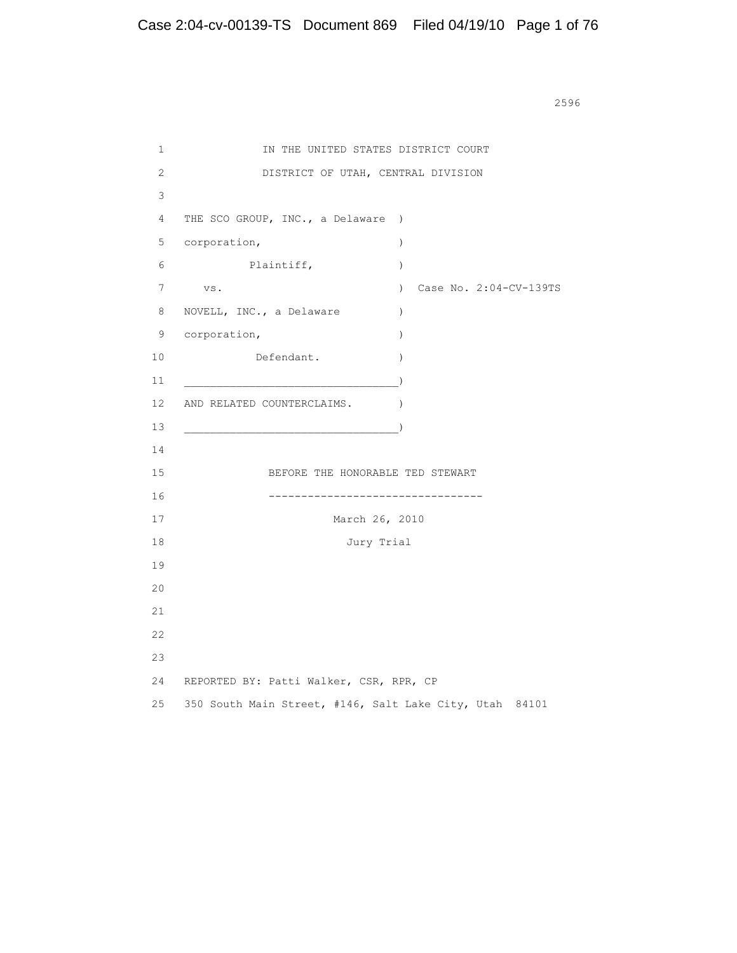<u>2596</u> **2596** 

```
1 IN THE UNITED STATES DISTRICT COURT
       2 DISTRICT OF UTAH, CENTRAL DIVISION
       3
       4 THE SCO GROUP, INC., a Delaware )
      5 corporation, ) 6 Plaintiff, )
       7 vs. ) Case No. 2:04-CV-139TS
      8 NOVELL, INC., a Delaware )
      9 corporation, )10 Defendant.
11 )
     12 AND RELATED COUNTERCLAIMS.
13 )
      14
      15 BEFORE THE HONORABLE TED STEWART
      16 ---------------------------------
      17 March 26, 2010
      18 Jury Trial
      19
      20
      21
      22
      23
      24 REPORTED BY: Patti Walker, CSR, RPR, CP
      25 350 South Main Street, #146, Salt Lake City, Utah 84101
```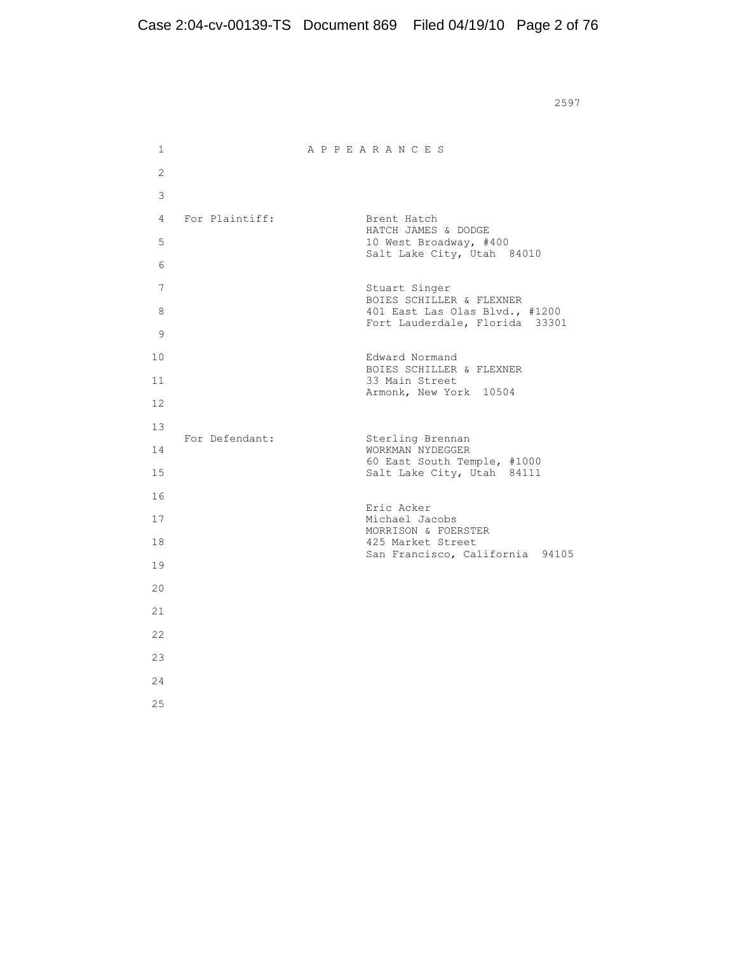<u>2597</u>

| 1              |                | APPEARANCES                                                                                       |
|----------------|----------------|---------------------------------------------------------------------------------------------------|
| 2              |                |                                                                                                   |
| 3              |                |                                                                                                   |
| $\overline{4}$ | For Plaintiff: | Brent Hatch<br>HATCH JAMES & DODGE                                                                |
| 5              |                | 10 West Broadway, #400<br>Salt Lake City, Utah 84010                                              |
| 6              |                |                                                                                                   |
| 7              |                | Stuart Singer<br>BOIES SCHILLER & FLEXNER                                                         |
| 8<br>9         |                | 401 East Las Olas Blvd., #1200<br>Fort Lauderdale, Florida 33301                                  |
| 10             |                | Edward Normand<br>BOIES SCHILLER & FLEXNER                                                        |
| 11             |                | 33 Main Street<br>Armonk, New York 10504                                                          |
| 12.            |                |                                                                                                   |
| 13             | For Defendant: | Sterling Brennan<br>WORKMAN NYDEGGER<br>60 East South Temple, #1000<br>Salt Lake City, Utah 84111 |
| 14             |                |                                                                                                   |
| 15             |                |                                                                                                   |
| 16             |                | Eric Acker                                                                                        |
| 17<br>18       |                | Michael Jacobs<br>MORRISON & FOERSTER<br>425 Market Street<br>San Francisco, California 94105     |
| 19             |                |                                                                                                   |
| 20             |                |                                                                                                   |
| 21             |                |                                                                                                   |
| 22             |                |                                                                                                   |
| 23             |                |                                                                                                   |
| 2.4            |                |                                                                                                   |
| 25             |                |                                                                                                   |
|                |                |                                                                                                   |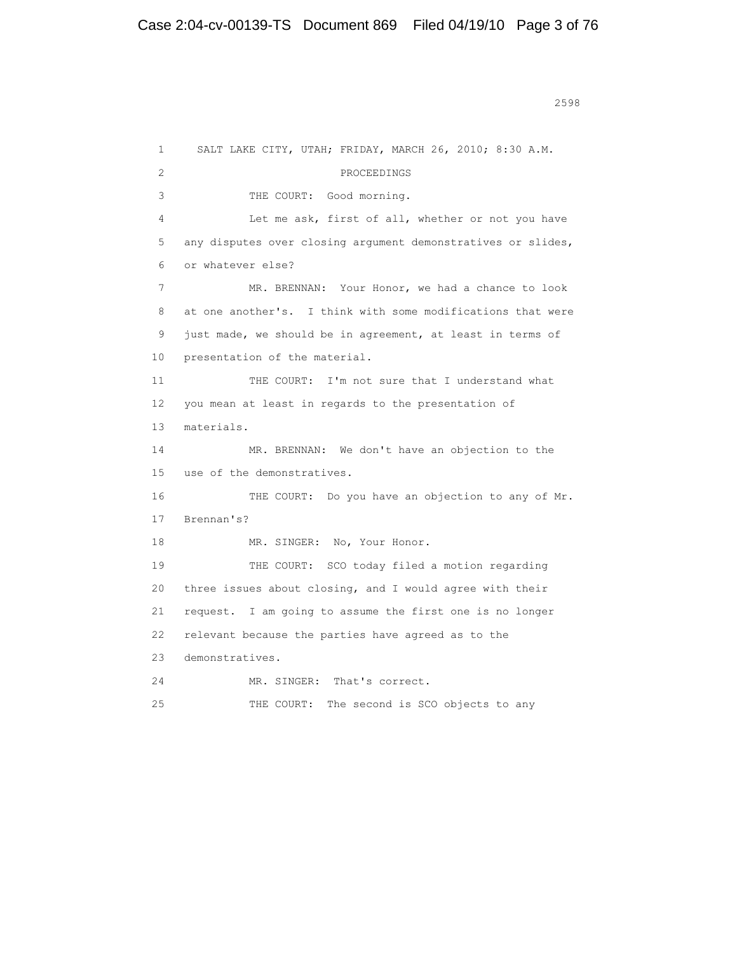1 SALT LAKE CITY, UTAH; FRIDAY, MARCH 26, 2010; 8:30 A.M. 2 PROCEEDINGS 3 THE COURT: Good morning. 4 Let me ask, first of all, whether or not you have 5 any disputes over closing argument demonstratives or slides, 6 or whatever else? 7 MR. BRENNAN: Your Honor, we had a chance to look 8 at one another's. I think with some modifications that were 9 just made, we should be in agreement, at least in terms of 10 presentation of the material. 11 THE COURT: I'm not sure that I understand what 12 you mean at least in regards to the presentation of 13 materials. 14 MR. BRENNAN: We don't have an objection to the 15 use of the demonstratives. 16 THE COURT: Do you have an objection to any of Mr. 17 Brennan's? 18 MR. SINGER: No, Your Honor. 19 THE COURT: SCO today filed a motion regarding 20 three issues about closing, and I would agree with their 21 request. I am going to assume the first one is no longer 22 relevant because the parties have agreed as to the 23 demonstratives. 24 MR. SINGER: That's correct. 25 THE COURT: The second is SCO objects to any

<u>2598</u>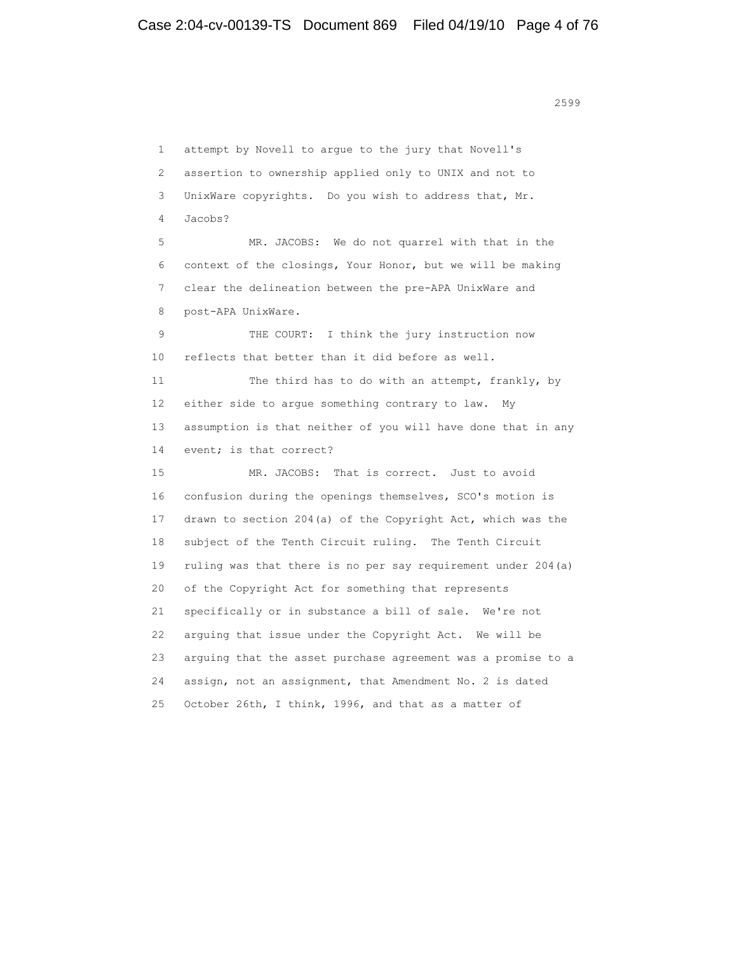1 attempt by Novell to argue to the jury that Novell's 2 assertion to ownership applied only to UNIX and not to 3 UnixWare copyrights. Do you wish to address that, Mr. 4 Jacobs? 5 MR. JACOBS: We do not quarrel with that in the 6 context of the closings, Your Honor, but we will be making 7 clear the delineation between the pre-APA UnixWare and 8 post-APA UnixWare. 9 THE COURT: I think the jury instruction now 10 reflects that better than it did before as well. 11 The third has to do with an attempt, frankly, by 12 either side to argue something contrary to law. My 13 assumption is that neither of you will have done that in any 14 event; is that correct? 15 MR. JACOBS: That is correct. Just to avoid 16 confusion during the openings themselves, SCO's motion is 17 drawn to section 204(a) of the Copyright Act, which was the 18 subject of the Tenth Circuit ruling. The Tenth Circuit 19 ruling was that there is no per say requirement under 204(a) 20 of the Copyright Act for something that represents 21 specifically or in substance a bill of sale. We're not 22 arguing that issue under the Copyright Act. We will be 23 arguing that the asset purchase agreement was a promise to a 24 assign, not an assignment, that Amendment No. 2 is dated 25 October 26th, I think, 1996, and that as a matter of

<u>2599</u>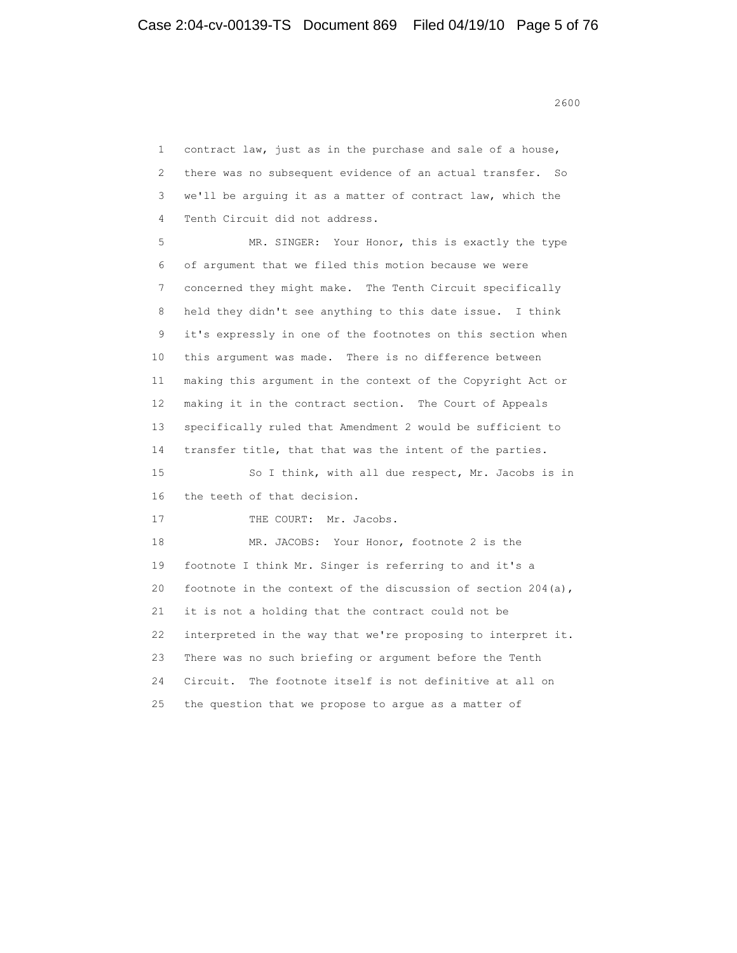<u>2600</u>

 1 contract law, just as in the purchase and sale of a house, 2 there was no subsequent evidence of an actual transfer. So 3 we'll be arguing it as a matter of contract law, which the 4 Tenth Circuit did not address. 5 MR. SINGER: Your Honor, this is exactly the type 6 of argument that we filed this motion because we were 7 concerned they might make. The Tenth Circuit specifically 8 held they didn't see anything to this date issue. I think 9 it's expressly in one of the footnotes on this section when 10 this argument was made. There is no difference between 11 making this argument in the context of the Copyright Act or 12 making it in the contract section. The Court of Appeals 13 specifically ruled that Amendment 2 would be sufficient to 14 transfer title, that that was the intent of the parties. 15 So I think, with all due respect, Mr. Jacobs is in 16 the teeth of that decision. 17 THE COURT: Mr. Jacobs. 18 MR. JACOBS: Your Honor, footnote 2 is the 19 footnote I think Mr. Singer is referring to and it's a 20 footnote in the context of the discussion of section  $204(a)$ , 21 it is not a holding that the contract could not be 22 interpreted in the way that we're proposing to interpret it. 23 There was no such briefing or argument before the Tenth 24 Circuit. The footnote itself is not definitive at all on 25 the question that we propose to argue as a matter of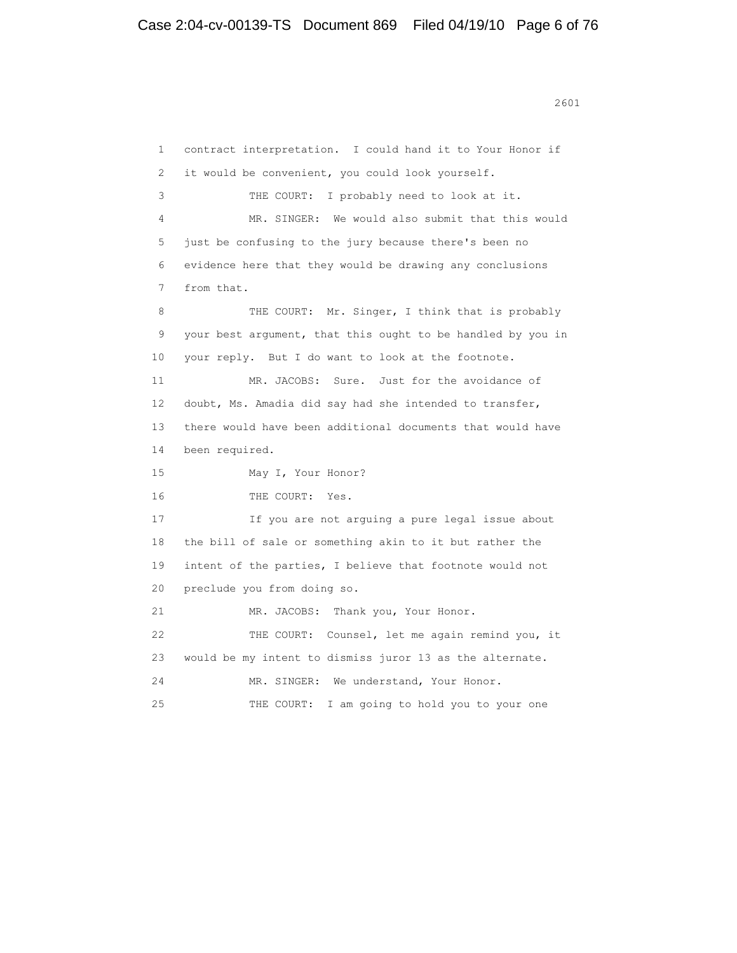1 contract interpretation. I could hand it to Your Honor if 2 it would be convenient, you could look yourself. 3 THE COURT: I probably need to look at it. 4 MR. SINGER: We would also submit that this would 5 just be confusing to the jury because there's been no 6 evidence here that they would be drawing any conclusions 7 from that. 8 THE COURT: Mr. Singer, I think that is probably 9 your best argument, that this ought to be handled by you in 10 your reply. But I do want to look at the footnote. 11 MR. JACOBS: Sure. Just for the avoidance of 12 doubt, Ms. Amadia did say had she intended to transfer, 13 there would have been additional documents that would have 14 been required. 15 May I, Your Honor? 16 THE COURT: Yes. 17 If you are not arguing a pure legal issue about 18 the bill of sale or something akin to it but rather the 19 intent of the parties, I believe that footnote would not 20 preclude you from doing so. 21 MR. JACOBS: Thank you, Your Honor. 22 THE COURT: Counsel, let me again remind you, it 23 would be my intent to dismiss juror 13 as the alternate. 24 MR. SINGER: We understand, Your Honor. 25 THE COURT: I am going to hold you to your one

2601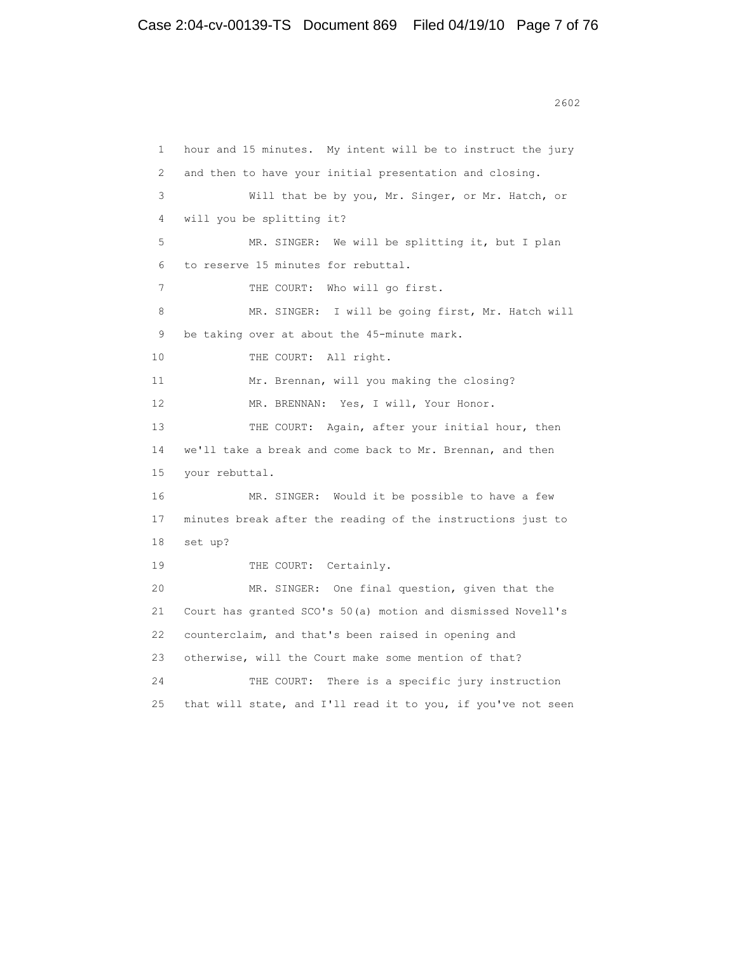<u>2602</u>

```
 1 hour and 15 minutes. My intent will be to instruct the jury
 2 and then to have your initial presentation and closing.
 3 Will that be by you, Mr. Singer, or Mr. Hatch, or
 4 will you be splitting it?
 5 MR. SINGER: We will be splitting it, but I plan
 6 to reserve 15 minutes for rebuttal.
7 THE COURT: Who will go first.
8 MR. SINGER: I will be going first, Mr. Hatch will
 9 be taking over at about the 45-minute mark.
10 THE COURT: All right.
 11 Mr. Brennan, will you making the closing?
12 MR. BRENNAN: Yes, I will, Your Honor.
13 THE COURT: Again, after your initial hour, then
 14 we'll take a break and come back to Mr. Brennan, and then
 15 your rebuttal.
 16 MR. SINGER: Would it be possible to have a few
 17 minutes break after the reading of the instructions just to
 18 set up?
19 THE COURT: Certainly.
 20 MR. SINGER: One final question, given that the
 21 Court has granted SCO's 50(a) motion and dismissed Novell's
 22 counterclaim, and that's been raised in opening and
 23 otherwise, will the Court make some mention of that?
 24 THE COURT: There is a specific jury instruction
 25 that will state, and I'll read it to you, if you've not seen
```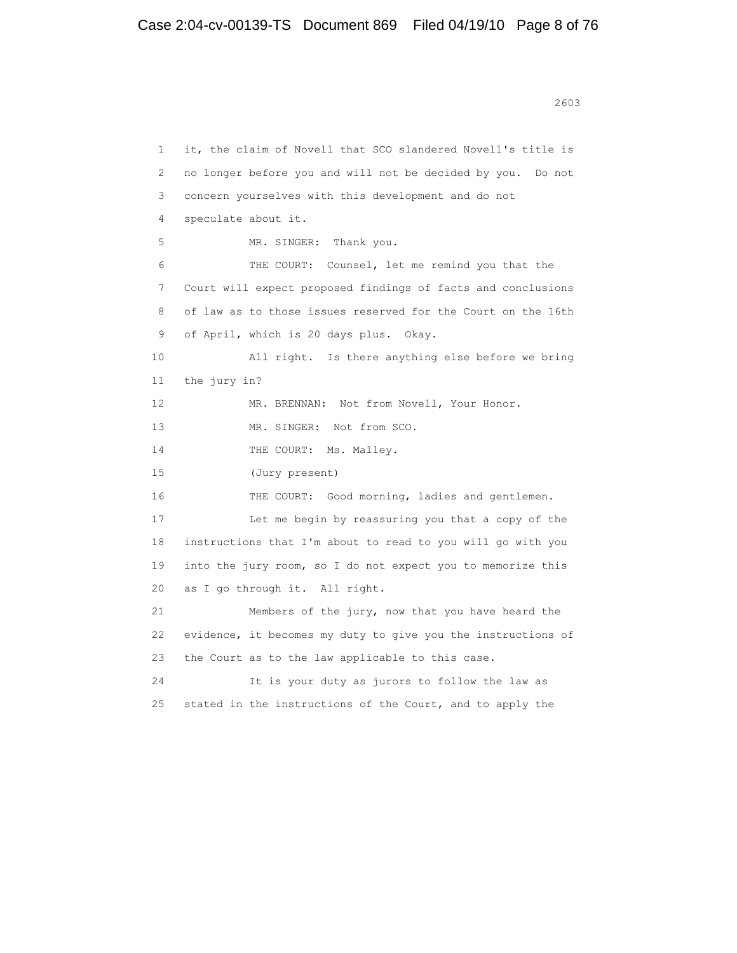<u>2603</u>

```
 1 it, the claim of Novell that SCO slandered Novell's title is
 2 no longer before you and will not be decided by you. Do not
 3 concern yourselves with this development and do not
 4 speculate about it.
 5 MR. SINGER: Thank you.
 6 THE COURT: Counsel, let me remind you that the
 7 Court will expect proposed findings of facts and conclusions
 8 of law as to those issues reserved for the Court on the 16th
 9 of April, which is 20 days plus. Okay.
 10 All right. Is there anything else before we bring
 11 the jury in?
12 MR. BRENNAN: Not from Novell, Your Honor.
13 MR. SINGER: Not from SCO.
14 THE COURT: Ms. Malley.
 15 (Jury present)
 16 THE COURT: Good morning, ladies and gentlemen.
 17 Let me begin by reassuring you that a copy of the
 18 instructions that I'm about to read to you will go with you
 19 into the jury room, so I do not expect you to memorize this
 20 as I go through it. All right.
 21 Members of the jury, now that you have heard the
 22 evidence, it becomes my duty to give you the instructions of
 23 the Court as to the law applicable to this case.
 24 It is your duty as jurors to follow the law as
25 stated in the instructions of the Court, and to apply the
```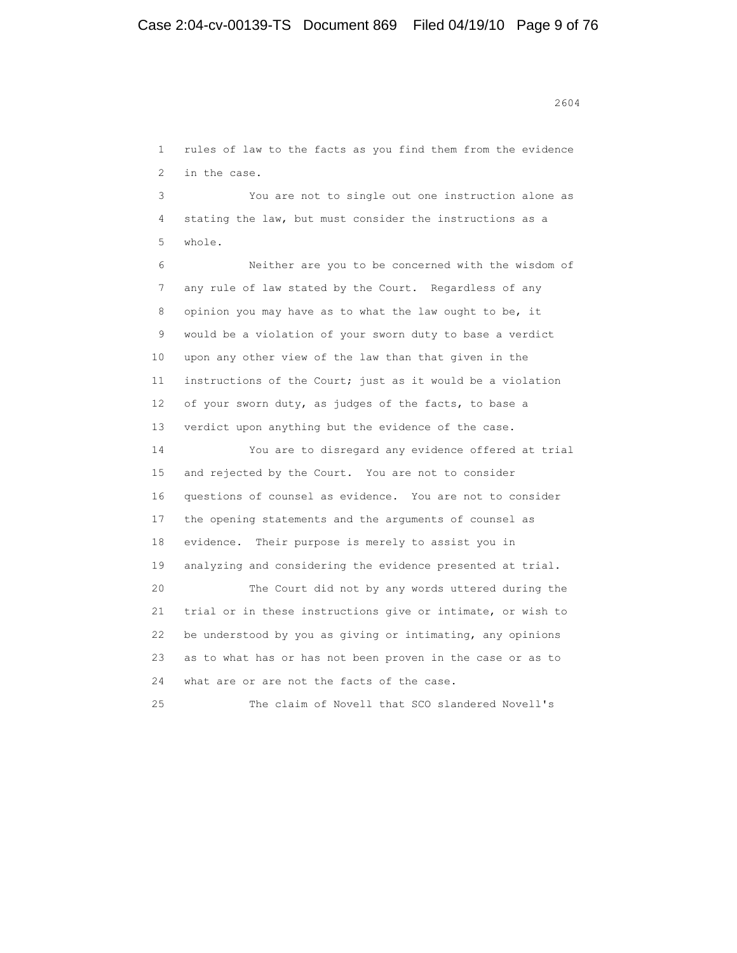1 rules of law to the facts as you find them from the evidence

 3 You are not to single out one instruction alone as 4 stating the law, but must consider the instructions as a 5 whole.

2 in the case.

 6 Neither are you to be concerned with the wisdom of 7 any rule of law stated by the Court. Regardless of any 8 opinion you may have as to what the law ought to be, it 9 would be a violation of your sworn duty to base a verdict 10 upon any other view of the law than that given in the 11 instructions of the Court; just as it would be a violation 12 of your sworn duty, as judges of the facts, to base a 13 verdict upon anything but the evidence of the case.

 14 You are to disregard any evidence offered at trial 15 and rejected by the Court. You are not to consider 16 questions of counsel as evidence. You are not to consider 17 the opening statements and the arguments of counsel as 18 evidence. Their purpose is merely to assist you in 19 analyzing and considering the evidence presented at trial. 20 The Court did not by any words uttered during the 21 trial or in these instructions give or intimate, or wish to 22 be understood by you as giving or intimating, any opinions 23 as to what has or has not been proven in the case or as to 24 what are or are not the facts of the case.

25 The claim of Novell that SCO slandered Novell's

2604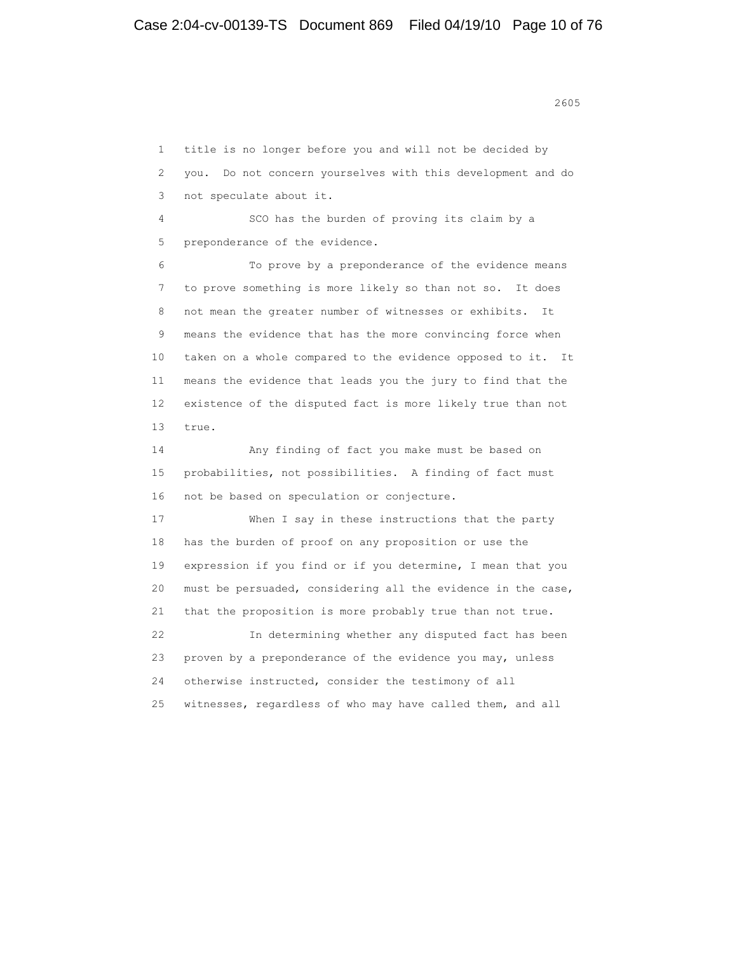<u>2605</u>

 1 title is no longer before you and will not be decided by 2 you. Do not concern yourselves with this development and do 3 not speculate about it. 4 SCO has the burden of proving its claim by a 5 preponderance of the evidence. 6 To prove by a preponderance of the evidence means 7 to prove something is more likely so than not so. It does 8 not mean the greater number of witnesses or exhibits. It 9 means the evidence that has the more convincing force when 10 taken on a whole compared to the evidence opposed to it. It 11 means the evidence that leads you the jury to find that the 12 existence of the disputed fact is more likely true than not 13 true. 14 Any finding of fact you make must be based on 15 probabilities, not possibilities. A finding of fact must 16 not be based on speculation or conjecture. 17 When I say in these instructions that the party 18 has the burden of proof on any proposition or use the 19 expression if you find or if you determine, I mean that you 20 must be persuaded, considering all the evidence in the case, 21 that the proposition is more probably true than not true. 22 In determining whether any disputed fact has been 23 proven by a preponderance of the evidence you may, unless 24 otherwise instructed, consider the testimony of all 25 witnesses, regardless of who may have called them, and all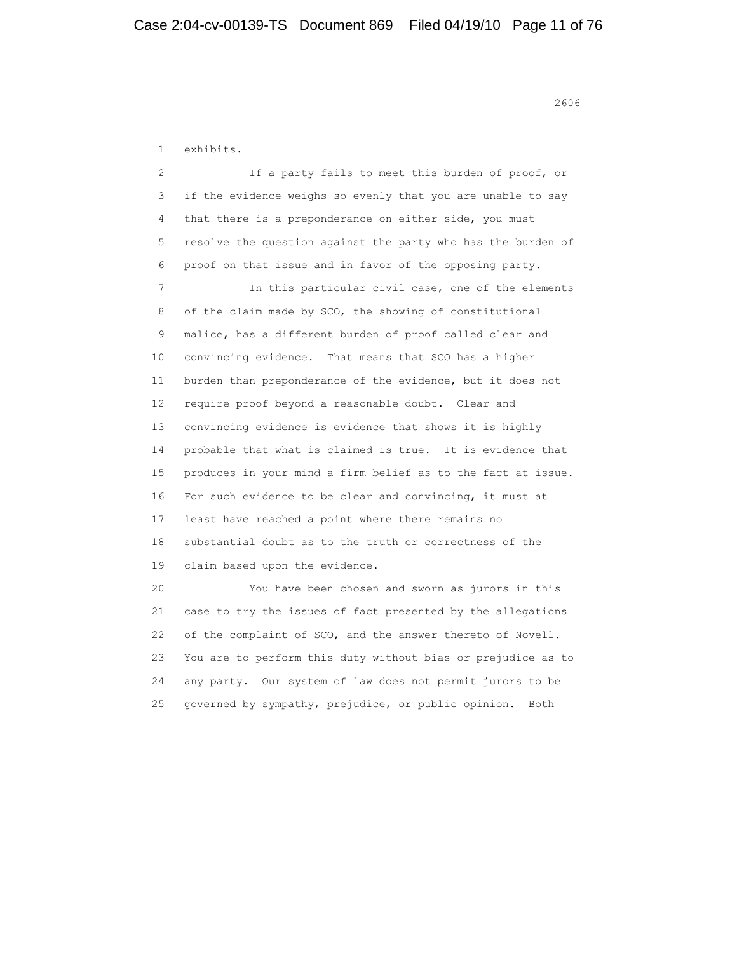1 exhibits. 2 If a party fails to meet this burden of proof, or 3 if the evidence weighs so evenly that you are unable to say 4 that there is a preponderance on either side, you must 5 resolve the question against the party who has the burden of 6 proof on that issue and in favor of the opposing party. 7 In this particular civil case, one of the elements 8 of the claim made by SCO, the showing of constitutional 9 malice, has a different burden of proof called clear and 10 convincing evidence. That means that SCO has a higher 11 burden than preponderance of the evidence, but it does not 12 require proof beyond a reasonable doubt. Clear and 13 convincing evidence is evidence that shows it is highly 14 probable that what is claimed is true. It is evidence that 15 produces in your mind a firm belief as to the fact at issue. 16 For such evidence to be clear and convincing, it must at 17 least have reached a point where there remains no 18 substantial doubt as to the truth or correctness of the 19 claim based upon the evidence. 20 You have been chosen and sworn as jurors in this 21 case to try the issues of fact presented by the allegations 22 of the complaint of SCO, and the answer thereto of Novell. 23 You are to perform this duty without bias or prejudice as to

 24 any party. Our system of law does not permit jurors to be 25 governed by sympathy, prejudice, or public opinion. Both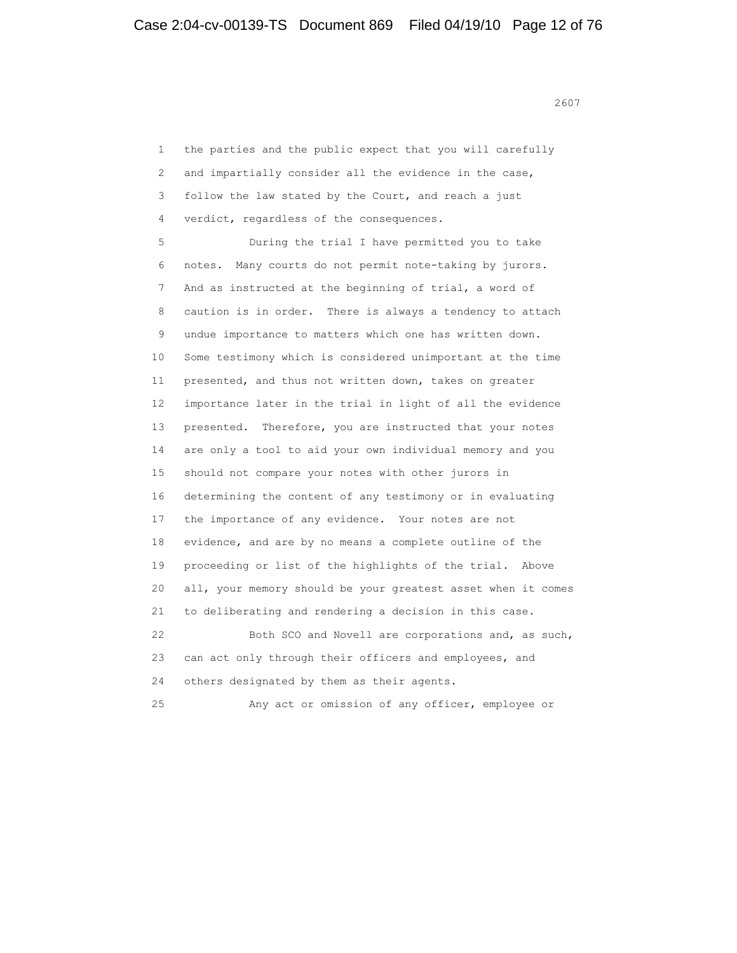<u>2607</u>

 1 the parties and the public expect that you will carefully 2 and impartially consider all the evidence in the case, 3 follow the law stated by the Court, and reach a just 4 verdict, regardless of the consequences. 5 During the trial I have permitted you to take 6 notes. Many courts do not permit note-taking by jurors. 7 And as instructed at the beginning of trial, a word of 8 caution is in order. There is always a tendency to attach 9 undue importance to matters which one has written down. 10 Some testimony which is considered unimportant at the time 11 presented, and thus not written down, takes on greater 12 importance later in the trial in light of all the evidence 13 presented. Therefore, you are instructed that your notes 14 are only a tool to aid your own individual memory and you 15 should not compare your notes with other jurors in 16 determining the content of any testimony or in evaluating 17 the importance of any evidence. Your notes are not 18 evidence, and are by no means a complete outline of the 19 proceeding or list of the highlights of the trial. Above 20 all, your memory should be your greatest asset when it comes 21 to deliberating and rendering a decision in this case. 22 Both SCO and Novell are corporations and, as such, 23 can act only through their officers and employees, and 24 others designated by them as their agents. 25 Any act or omission of any officer, employee or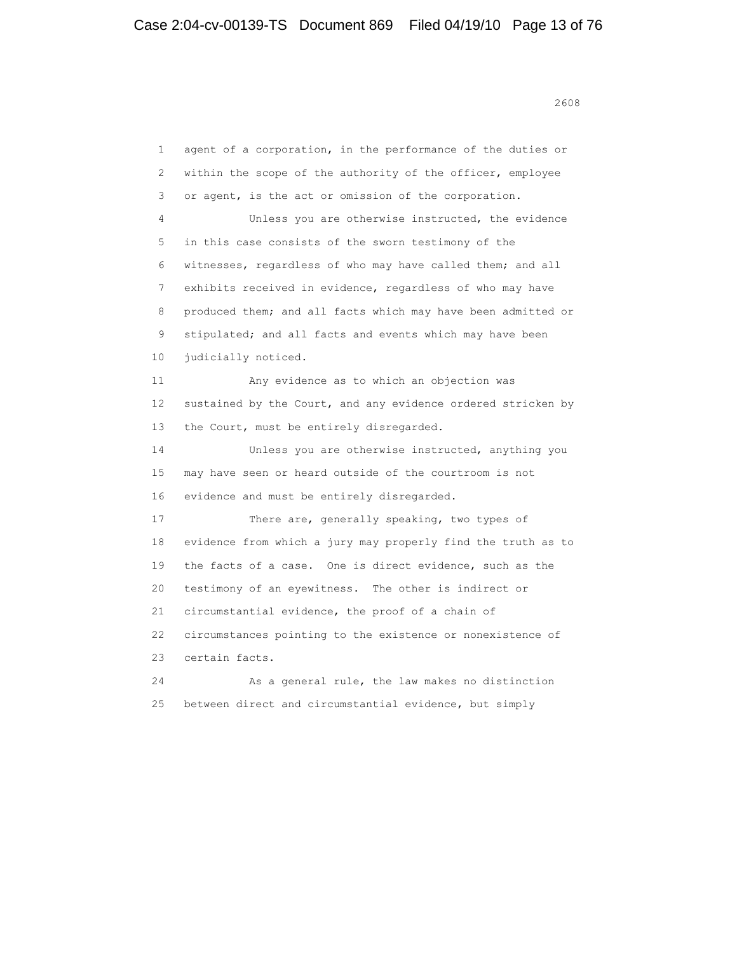<u>2608</u> 2608

 1 agent of a corporation, in the performance of the duties or 2 within the scope of the authority of the officer, employee 3 or agent, is the act or omission of the corporation. 4 Unless you are otherwise instructed, the evidence 5 in this case consists of the sworn testimony of the 6 witnesses, regardless of who may have called them; and all 7 exhibits received in evidence, regardless of who may have 8 produced them; and all facts which may have been admitted or 9 stipulated; and all facts and events which may have been 10 judicially noticed. 11 Any evidence as to which an objection was 12 sustained by the Court, and any evidence ordered stricken by 13 the Court, must be entirely disregarded. 14 Unless you are otherwise instructed, anything you 15 may have seen or heard outside of the courtroom is not 16 evidence and must be entirely disregarded. 17 There are, generally speaking, two types of 18 evidence from which a jury may properly find the truth as to 19 the facts of a case. One is direct evidence, such as the 20 testimony of an eyewitness. The other is indirect or 21 circumstantial evidence, the proof of a chain of 22 circumstances pointing to the existence or nonexistence of 23 certain facts. 24 As a general rule, the law makes no distinction 25 between direct and circumstantial evidence, but simply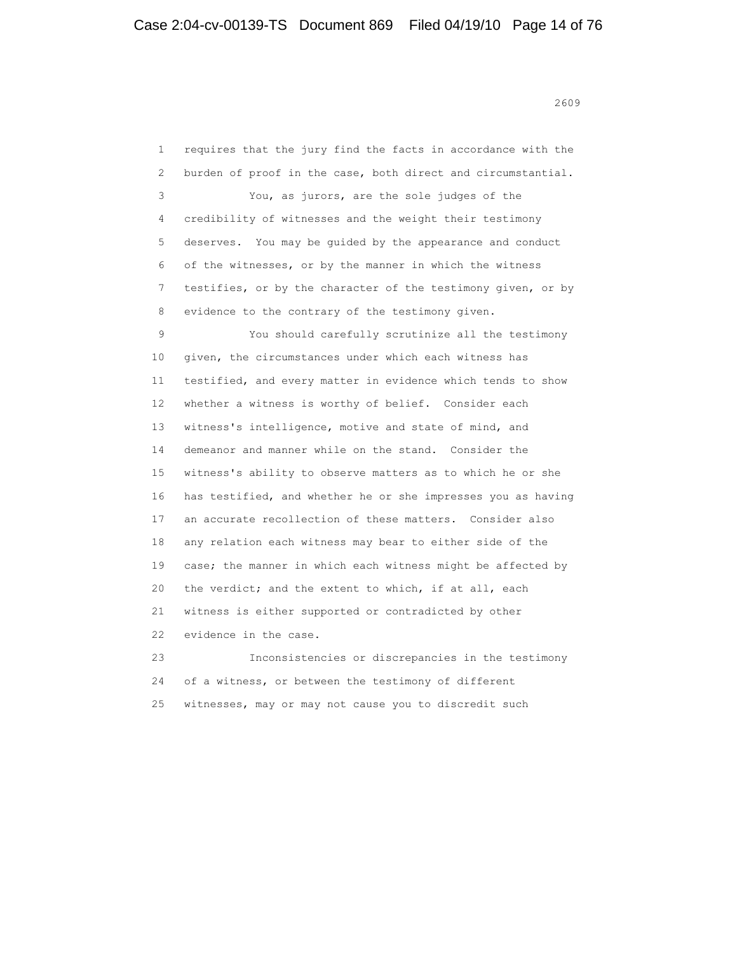<u>2609</u>

 1 requires that the jury find the facts in accordance with the 2 burden of proof in the case, both direct and circumstantial. 3 You, as jurors, are the sole judges of the 4 credibility of witnesses and the weight their testimony 5 deserves. You may be guided by the appearance and conduct 6 of the witnesses, or by the manner in which the witness 7 testifies, or by the character of the testimony given, or by 8 evidence to the contrary of the testimony given. 9 You should carefully scrutinize all the testimony 10 given, the circumstances under which each witness has 11 testified, and every matter in evidence which tends to show 12 whether a witness is worthy of belief. Consider each 13 witness's intelligence, motive and state of mind, and 14 demeanor and manner while on the stand. Consider the 15 witness's ability to observe matters as to which he or she 16 has testified, and whether he or she impresses you as having 17 an accurate recollection of these matters. Consider also 18 any relation each witness may bear to either side of the 19 case; the manner in which each witness might be affected by 20 the verdict; and the extent to which, if at all, each 21 witness is either supported or contradicted by other 22 evidence in the case. 23 Inconsistencies or discrepancies in the testimony 24 of a witness, or between the testimony of different 25 witnesses, may or may not cause you to discredit such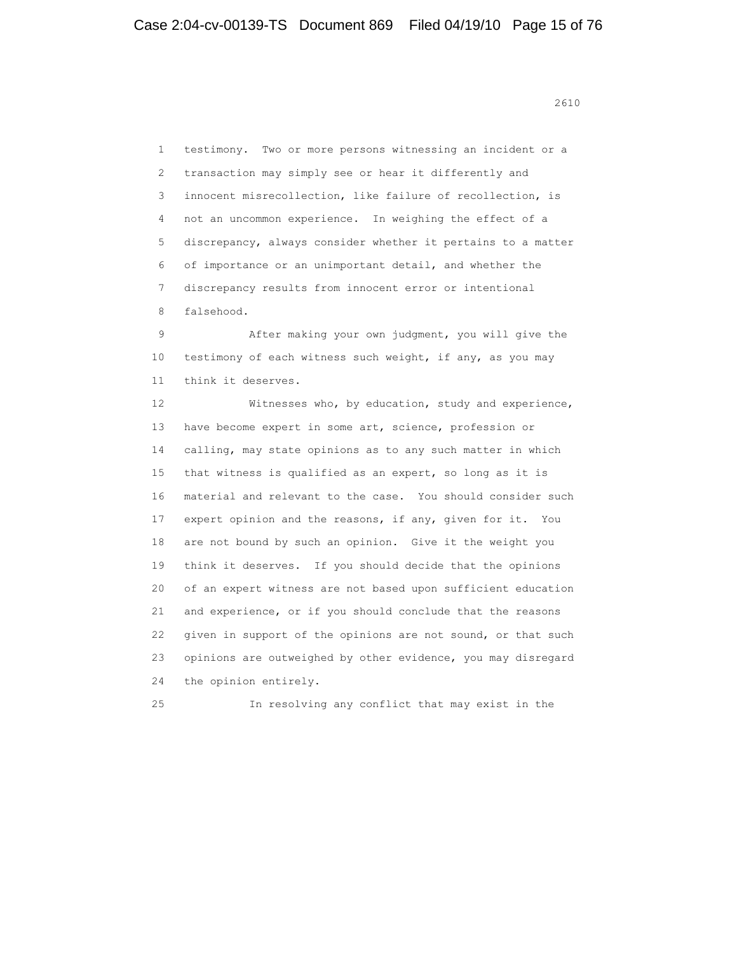<u>2610</u>

 1 testimony. Two or more persons witnessing an incident or a 2 transaction may simply see or hear it differently and 3 innocent misrecollection, like failure of recollection, is 4 not an uncommon experience. In weighing the effect of a 5 discrepancy, always consider whether it pertains to a matter 6 of importance or an unimportant detail, and whether the 7 discrepancy results from innocent error or intentional 8 falsehood.

 9 After making your own judgment, you will give the 10 testimony of each witness such weight, if any, as you may 11 think it deserves.

 12 Witnesses who, by education, study and experience, 13 have become expert in some art, science, profession or 14 calling, may state opinions as to any such matter in which 15 that witness is qualified as an expert, so long as it is 16 material and relevant to the case. You should consider such 17 expert opinion and the reasons, if any, given for it. You 18 are not bound by such an opinion. Give it the weight you 19 think it deserves. If you should decide that the opinions 20 of an expert witness are not based upon sufficient education 21 and experience, or if you should conclude that the reasons 22 given in support of the opinions are not sound, or that such 23 opinions are outweighed by other evidence, you may disregard 24 the opinion entirely.

25 In resolving any conflict that may exist in the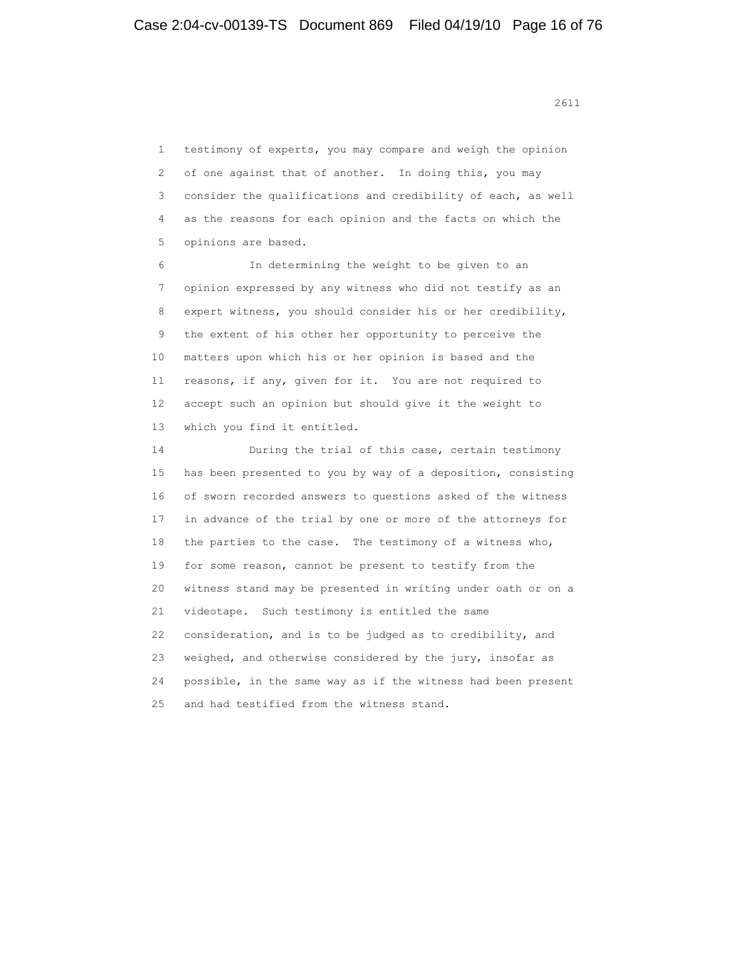1 testimony of experts, you may compare and weigh the opinion 2 of one against that of another. In doing this, you may 3 consider the qualifications and credibility of each, as well 4 as the reasons for each opinion and the facts on which the 5 opinions are based.

 6 In determining the weight to be given to an 7 opinion expressed by any witness who did not testify as an 8 expert witness, you should consider his or her credibility, 9 the extent of his other her opportunity to perceive the 10 matters upon which his or her opinion is based and the 11 reasons, if any, given for it. You are not required to 12 accept such an opinion but should give it the weight to 13 which you find it entitled.

 14 During the trial of this case, certain testimony 15 has been presented to you by way of a deposition, consisting 16 of sworn recorded answers to questions asked of the witness 17 in advance of the trial by one or more of the attorneys for 18 the parties to the case. The testimony of a witness who, 19 for some reason, cannot be present to testify from the 20 witness stand may be presented in writing under oath or on a 21 videotape. Such testimony is entitled the same 22 consideration, and is to be judged as to credibility, and 23 weighed, and otherwise considered by the jury, insofar as 24 possible, in the same way as if the witness had been present 25 and had testified from the witness stand.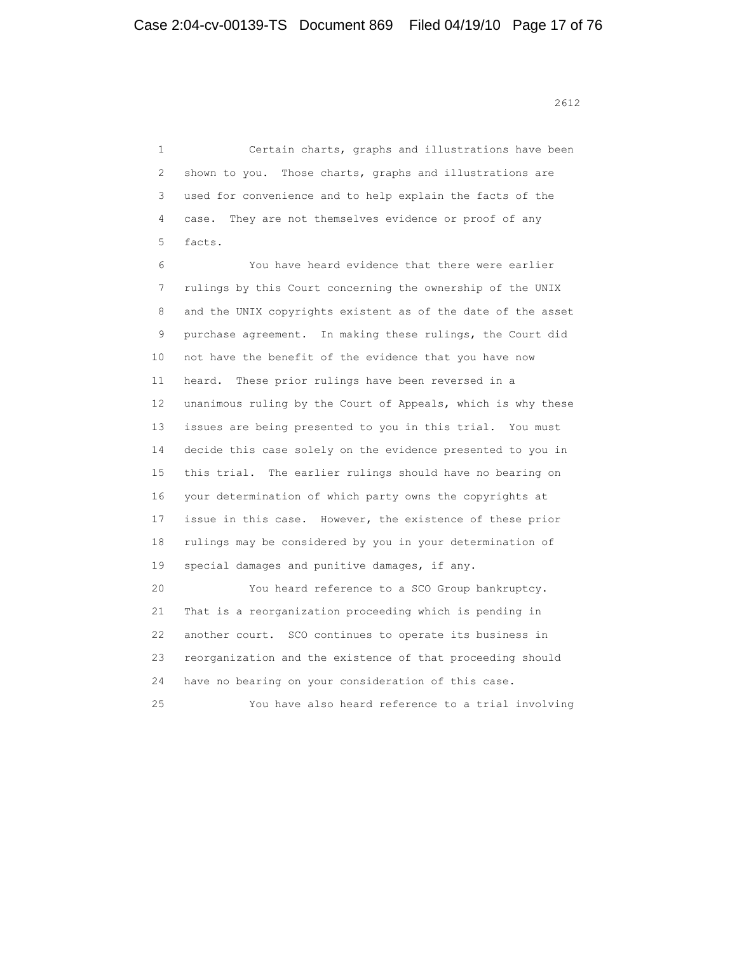2612<br>2612

 1 Certain charts, graphs and illustrations have been 2 shown to you. Those charts, graphs and illustrations are 3 used for convenience and to help explain the facts of the 4 case. They are not themselves evidence or proof of any 5 facts.

 6 You have heard evidence that there were earlier 7 rulings by this Court concerning the ownership of the UNIX 8 and the UNIX copyrights existent as of the date of the asset 9 purchase agreement. In making these rulings, the Court did 10 not have the benefit of the evidence that you have now 11 heard. These prior rulings have been reversed in a 12 unanimous ruling by the Court of Appeals, which is why these 13 issues are being presented to you in this trial. You must 14 decide this case solely on the evidence presented to you in 15 this trial. The earlier rulings should have no bearing on 16 your determination of which party owns the copyrights at 17 issue in this case. However, the existence of these prior 18 rulings may be considered by you in your determination of 19 special damages and punitive damages, if any. 20 You heard reference to a SCO Group bankruptcy.

 21 That is a reorganization proceeding which is pending in 22 another court. SCO continues to operate its business in 23 reorganization and the existence of that proceeding should 24 have no bearing on your consideration of this case.

25 You have also heard reference to a trial involving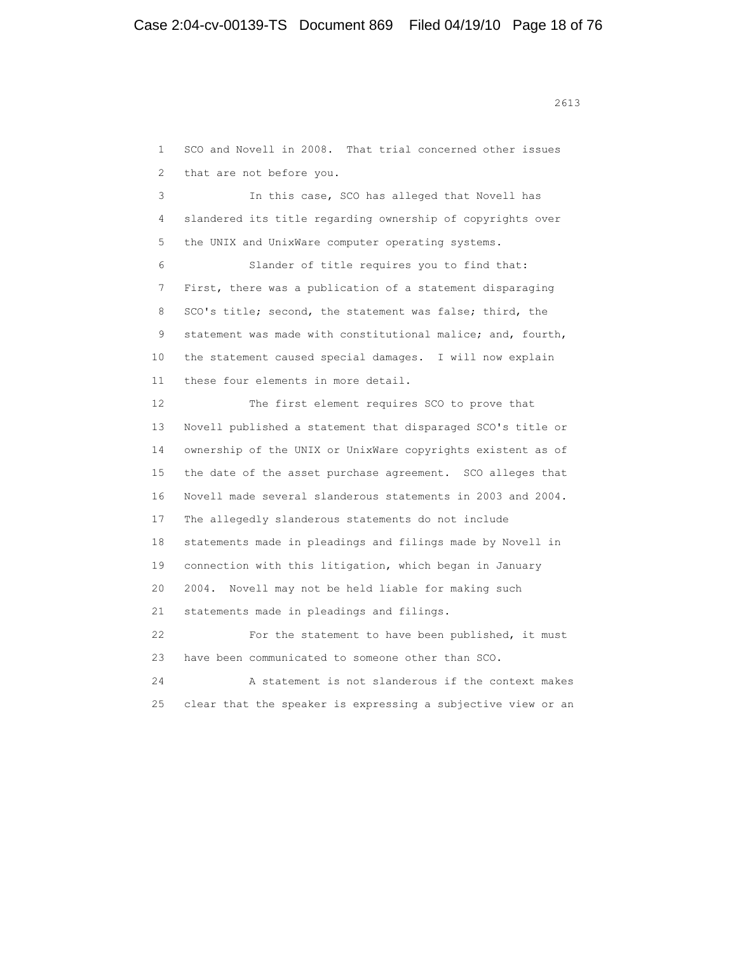1 SCO and Novell in 2008. That trial concerned other issues 2 that are not before you.

 3 In this case, SCO has alleged that Novell has 4 slandered its title regarding ownership of copyrights over 5 the UNIX and UnixWare computer operating systems.

 6 Slander of title requires you to find that: 7 First, there was a publication of a statement disparaging 8 SCO's title; second, the statement was false; third, the 9 statement was made with constitutional malice; and, fourth, 10 the statement caused special damages. I will now explain 11 these four elements in more detail.

 12 The first element requires SCO to prove that 13 Novell published a statement that disparaged SCO's title or 14 ownership of the UNIX or UnixWare copyrights existent as of 15 the date of the asset purchase agreement. SCO alleges that 16 Novell made several slanderous statements in 2003 and 2004. 17 The allegedly slanderous statements do not include 18 statements made in pleadings and filings made by Novell in 19 connection with this litigation, which began in January 20 2004. Novell may not be held liable for making such 21 statements made in pleadings and filings. 22 For the statement to have been published, it must 23 have been communicated to someone other than SCO.

 24 A statement is not slanderous if the context makes 25 clear that the speaker is expressing a subjective view or an

<u>2613</u>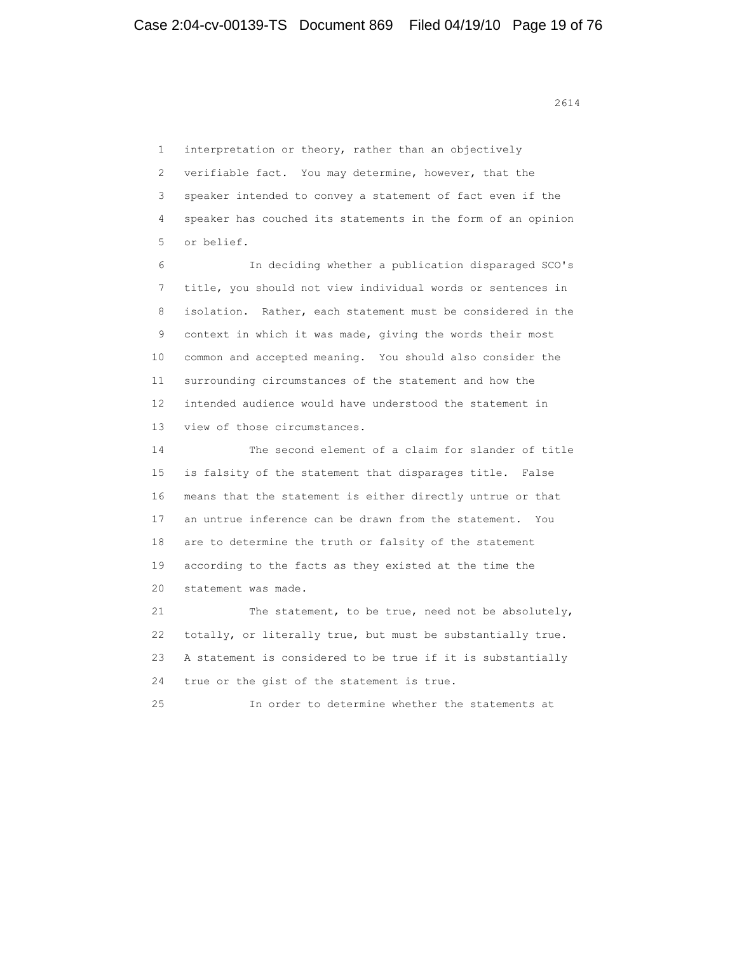1 interpretation or theory, rather than an objectively 2 verifiable fact. You may determine, however, that the 3 speaker intended to convey a statement of fact even if the 4 speaker has couched its statements in the form of an opinion 5 or belief. 6 In deciding whether a publication disparaged SCO's 7 title, you should not view individual words or sentences in 8 isolation. Rather, each statement must be considered in the 9 context in which it was made, giving the words their most 10 common and accepted meaning. You should also consider the 11 surrounding circumstances of the statement and how the 12 intended audience would have understood the statement in 13 view of those circumstances. 14 The second element of a claim for slander of title 15 is falsity of the statement that disparages title. False 16 means that the statement is either directly untrue or that 17 an untrue inference can be drawn from the statement. You 18 are to determine the truth or falsity of the statement 19 according to the facts as they existed at the time the 20 statement was made. 21 The statement, to be true, need not be absolutely, 22 totally, or literally true, but must be substantially true. 23 A statement is considered to be true if it is substantially 24 true or the gist of the statement is true. 25 In order to determine whether the statements at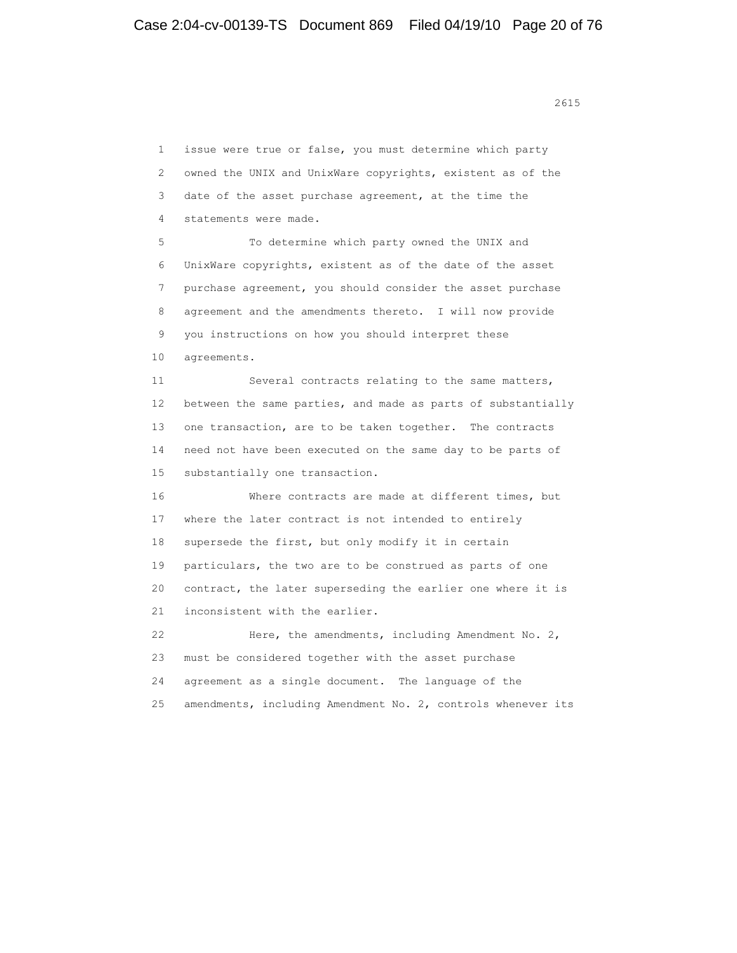<u>2615</u>

 1 issue were true or false, you must determine which party 2 owned the UNIX and UnixWare copyrights, existent as of the 3 date of the asset purchase agreement, at the time the 4 statements were made. 5 To determine which party owned the UNIX and 6 UnixWare copyrights, existent as of the date of the asset 7 purchase agreement, you should consider the asset purchase 8 agreement and the amendments thereto. I will now provide 9 you instructions on how you should interpret these 10 agreements. 11 Several contracts relating to the same matters, 12 between the same parties, and made as parts of substantially 13 one transaction, are to be taken together. The contracts 14 need not have been executed on the same day to be parts of 15 substantially one transaction. 16 Where contracts are made at different times, but 17 where the later contract is not intended to entirely 18 supersede the first, but only modify it in certain 19 particulars, the two are to be construed as parts of one 20 contract, the later superseding the earlier one where it is 21 inconsistent with the earlier. 22 Here, the amendments, including Amendment No. 2, 23 must be considered together with the asset purchase 24 agreement as a single document. The language of the 25 amendments, including Amendment No. 2, controls whenever its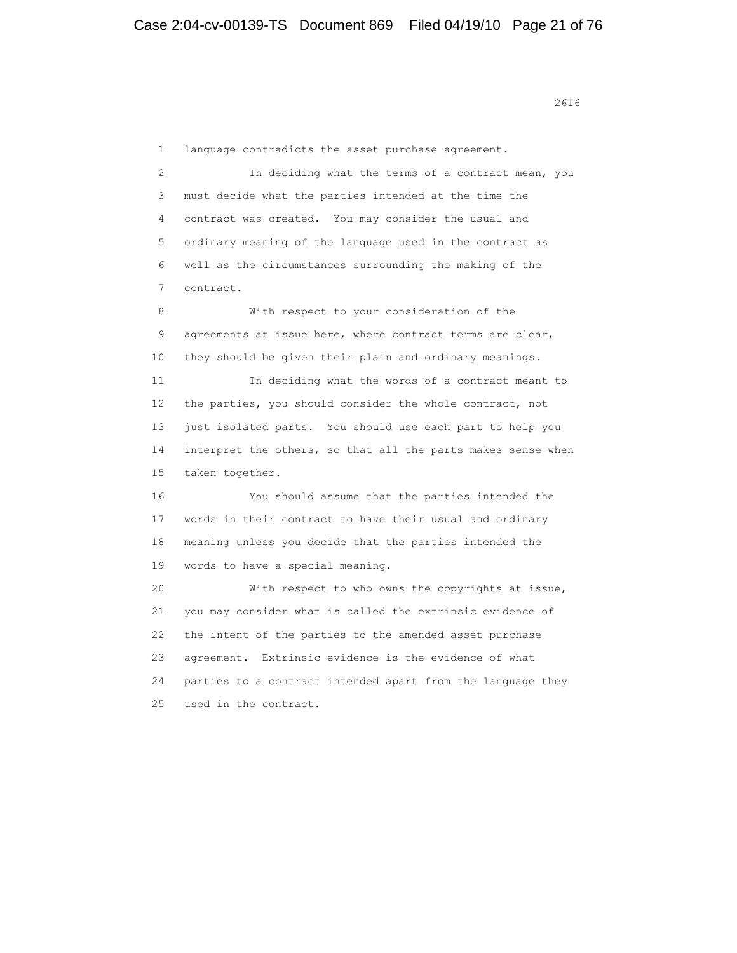<u>2616</u>

 1 language contradicts the asset purchase agreement. 2 In deciding what the terms of a contract mean, you 3 must decide what the parties intended at the time the 4 contract was created. You may consider the usual and 5 ordinary meaning of the language used in the contract as 6 well as the circumstances surrounding the making of the 7 contract. 8 With respect to your consideration of the 9 agreements at issue here, where contract terms are clear, 10 they should be given their plain and ordinary meanings. 11 In deciding what the words of a contract meant to 12 the parties, you should consider the whole contract, not 13 just isolated parts. You should use each part to help you 14 interpret the others, so that all the parts makes sense when 15 taken together. 16 You should assume that the parties intended the 17 words in their contract to have their usual and ordinary 18 meaning unless you decide that the parties intended the 19 words to have a special meaning. 20 With respect to who owns the copyrights at issue, 21 you may consider what is called the extrinsic evidence of 22 the intent of the parties to the amended asset purchase 23 agreement. Extrinsic evidence is the evidence of what 24 parties to a contract intended apart from the language they 25 used in the contract.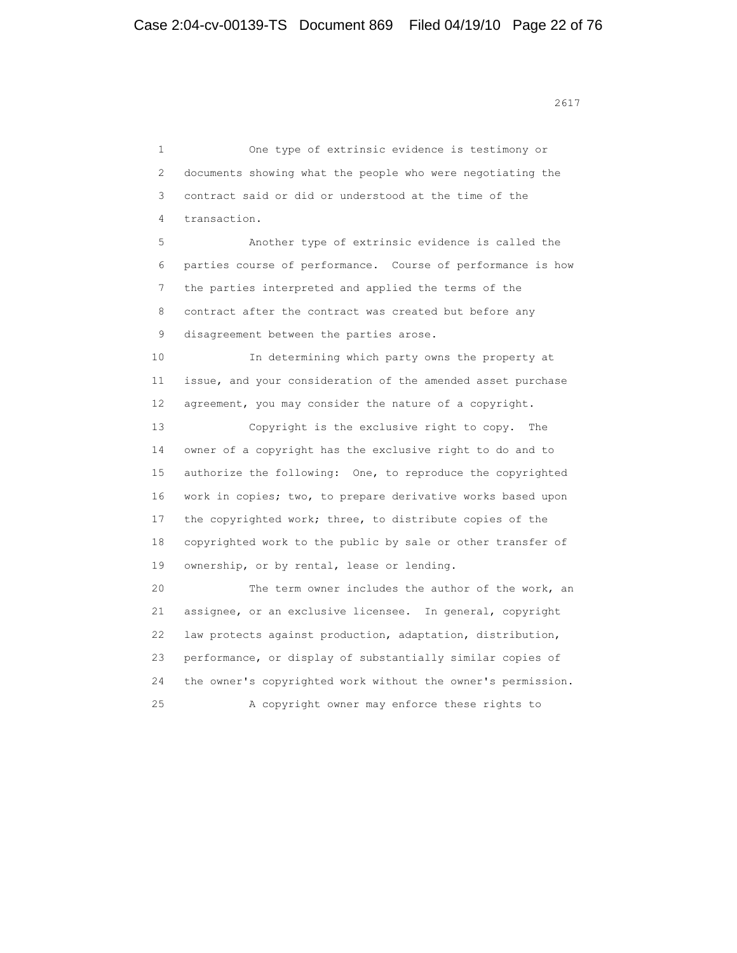<u>2617</u>

 1 One type of extrinsic evidence is testimony or 2 documents showing what the people who were negotiating the 3 contract said or did or understood at the time of the 4 transaction. 5 Another type of extrinsic evidence is called the 6 parties course of performance. Course of performance is how 7 the parties interpreted and applied the terms of the 8 contract after the contract was created but before any 9 disagreement between the parties arose. 10 In determining which party owns the property at 11 issue, and your consideration of the amended asset purchase 12 agreement, you may consider the nature of a copyright. 13 Copyright is the exclusive right to copy. The 14 owner of a copyright has the exclusive right to do and to 15 authorize the following: One, to reproduce the copyrighted 16 work in copies; two, to prepare derivative works based upon 17 the copyrighted work; three, to distribute copies of the 18 copyrighted work to the public by sale or other transfer of 19 ownership, or by rental, lease or lending. 20 The term owner includes the author of the work, an 21 assignee, or an exclusive licensee. In general, copyright 22 law protects against production, adaptation, distribution, 23 performance, or display of substantially similar copies of 24 the owner's copyrighted work without the owner's permission. 25 A copyright owner may enforce these rights to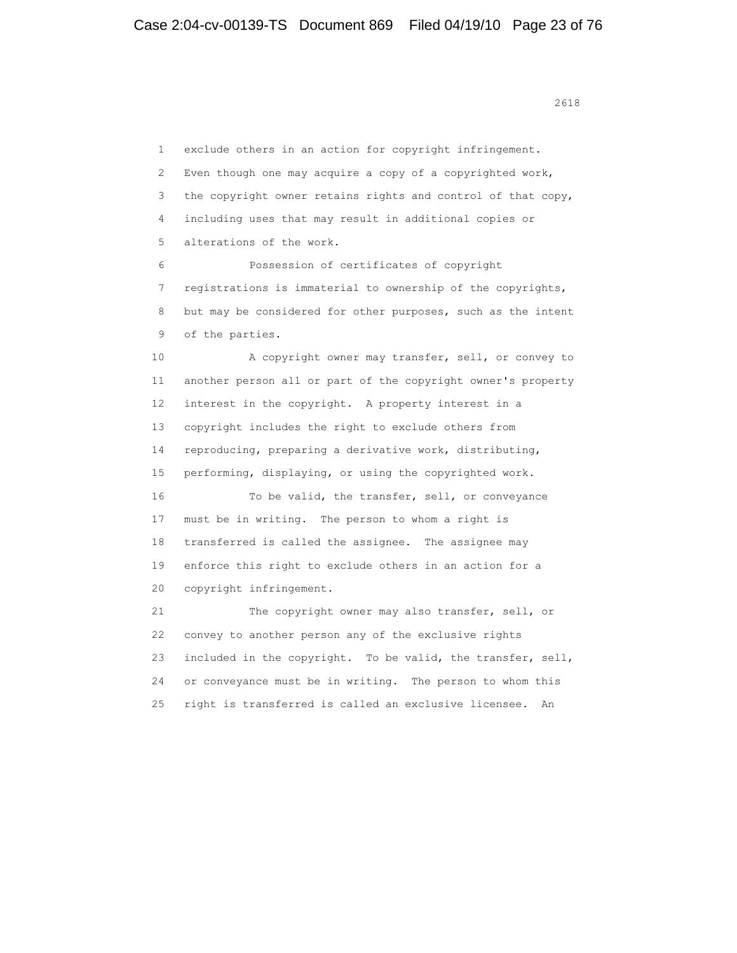1 exclude others in an action for copyright infringement. 2 Even though one may acquire a copy of a copyrighted work, 3 the copyright owner retains rights and control of that copy, 4 including uses that may result in additional copies or 5 alterations of the work. 6 Possession of certificates of copyright

 7 registrations is immaterial to ownership of the copyrights, 8 but may be considered for other purposes, such as the intent 9 of the parties.

 10 A copyright owner may transfer, sell, or convey to 11 another person all or part of the copyright owner's property 12 interest in the copyright. A property interest in a 13 copyright includes the right to exclude others from 14 reproducing, preparing a derivative work, distributing, 15 performing, displaying, or using the copyrighted work. 16 To be valid, the transfer, sell, or conveyance 17 must be in writing. The person to whom a right is 18 transferred is called the assignee. The assignee may 19 enforce this right to exclude others in an action for a 20 copyright infringement.

 21 The copyright owner may also transfer, sell, or 22 convey to another person any of the exclusive rights 23 included in the copyright. To be valid, the transfer, sell, 24 or conveyance must be in writing. The person to whom this 25 right is transferred is called an exclusive licensee. An

<u>2618</u>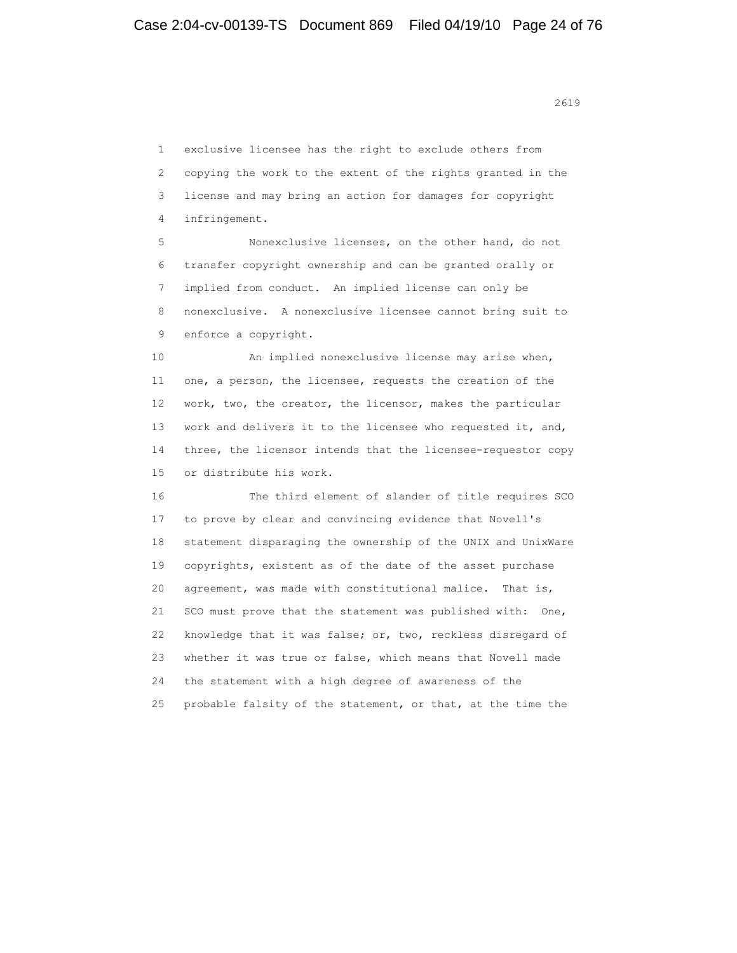<u>2619</u>

 1 exclusive licensee has the right to exclude others from 2 copying the work to the extent of the rights granted in the 3 license and may bring an action for damages for copyright 4 infringement.

 5 Nonexclusive licenses, on the other hand, do not 6 transfer copyright ownership and can be granted orally or 7 implied from conduct. An implied license can only be 8 nonexclusive. A nonexclusive licensee cannot bring suit to 9 enforce a copyright.

 10 An implied nonexclusive license may arise when, 11 one, a person, the licensee, requests the creation of the 12 work, two, the creator, the licensor, makes the particular 13 work and delivers it to the licensee who requested it, and, 14 three, the licensor intends that the licensee-requestor copy 15 or distribute his work.

 16 The third element of slander of title requires SCO 17 to prove by clear and convincing evidence that Novell's 18 statement disparaging the ownership of the UNIX and UnixWare 19 copyrights, existent as of the date of the asset purchase 20 agreement, was made with constitutional malice. That is, 21 SCO must prove that the statement was published with: One, 22 knowledge that it was false; or, two, reckless disregard of 23 whether it was true or false, which means that Novell made 24 the statement with a high degree of awareness of the 25 probable falsity of the statement, or that, at the time the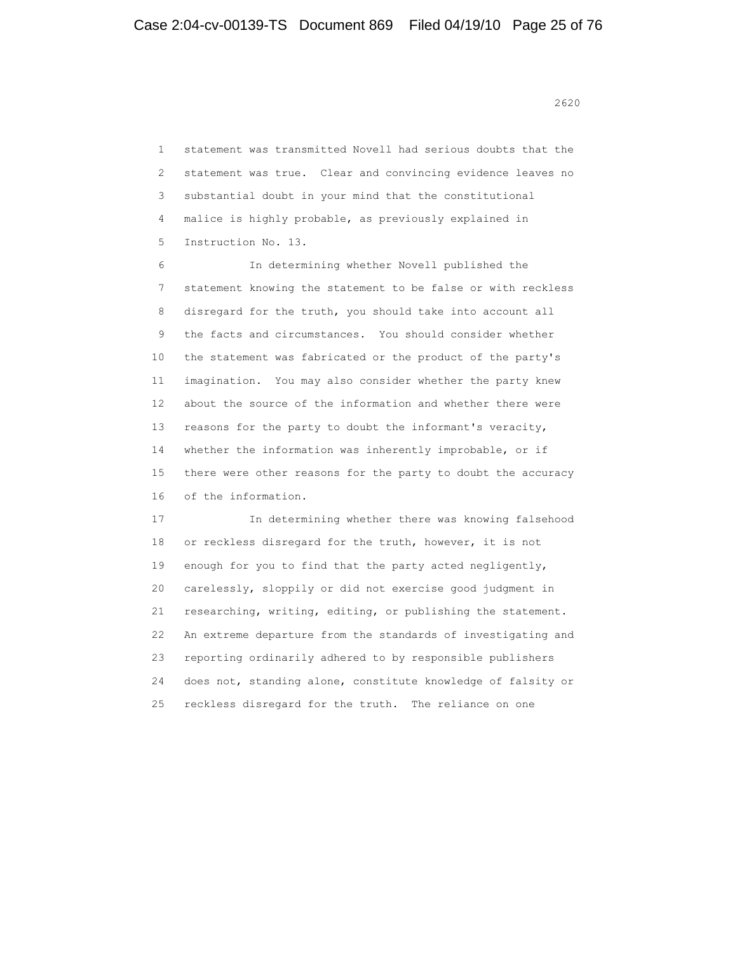<u>2620</u>

 1 statement was transmitted Novell had serious doubts that the 2 statement was true. Clear and convincing evidence leaves no 3 substantial doubt in your mind that the constitutional 4 malice is highly probable, as previously explained in 5 Instruction No. 13.

 6 In determining whether Novell published the 7 statement knowing the statement to be false or with reckless 8 disregard for the truth, you should take into account all 9 the facts and circumstances. You should consider whether 10 the statement was fabricated or the product of the party's 11 imagination. You may also consider whether the party knew 12 about the source of the information and whether there were 13 reasons for the party to doubt the informant's veracity, 14 whether the information was inherently improbable, or if 15 there were other reasons for the party to doubt the accuracy 16 of the information.

 17 In determining whether there was knowing falsehood 18 or reckless disregard for the truth, however, it is not 19 enough for you to find that the party acted negligently, 20 carelessly, sloppily or did not exercise good judgment in 21 researching, writing, editing, or publishing the statement. 22 An extreme departure from the standards of investigating and 23 reporting ordinarily adhered to by responsible publishers 24 does not, standing alone, constitute knowledge of falsity or 25 reckless disregard for the truth. The reliance on one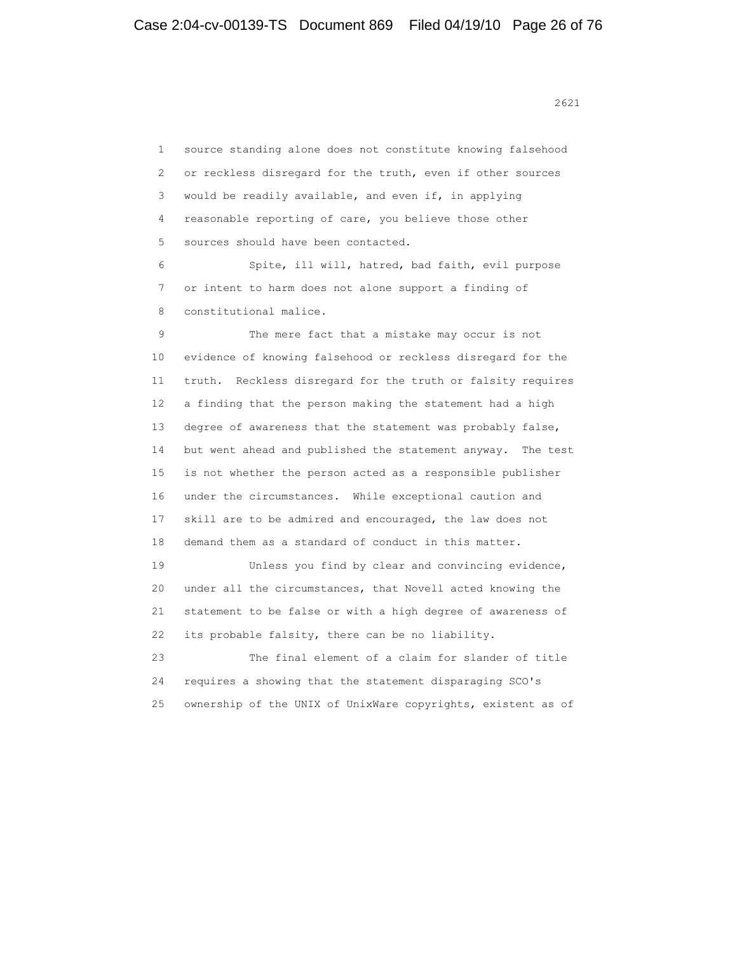1 source standing alone does not constitute knowing falsehood 2 or reckless disregard for the truth, even if other sources 3 would be readily available, and even if, in applying 4 reasonable reporting of care, you believe those other 5 sources should have been contacted. 6 Spite, ill will, hatred, bad faith, evil purpose 7 or intent to harm does not alone support a finding of 8 constitutional malice. 9 The mere fact that a mistake may occur is not 10 evidence of knowing falsehood or reckless disregard for the 11 truth. Reckless disregard for the truth or falsity requires 12 a finding that the person making the statement had a high 13 degree of awareness that the statement was probably false, 14 but went ahead and published the statement anyway. The test 15 is not whether the person acted as a responsible publisher 16 under the circumstances. While exceptional caution and 17 skill are to be admired and encouraged, the law does not 18 demand them as a standard of conduct in this matter. 19 Unless you find by clear and convincing evidence, 20 under all the circumstances, that Novell acted knowing the 21 statement to be false or with a high degree of awareness of 22 its probable falsity, there can be no liability. 23 The final element of a claim for slander of title 24 requires a showing that the statement disparaging SCO's 25 ownership of the UNIX of UnixWare copyrights, existent as of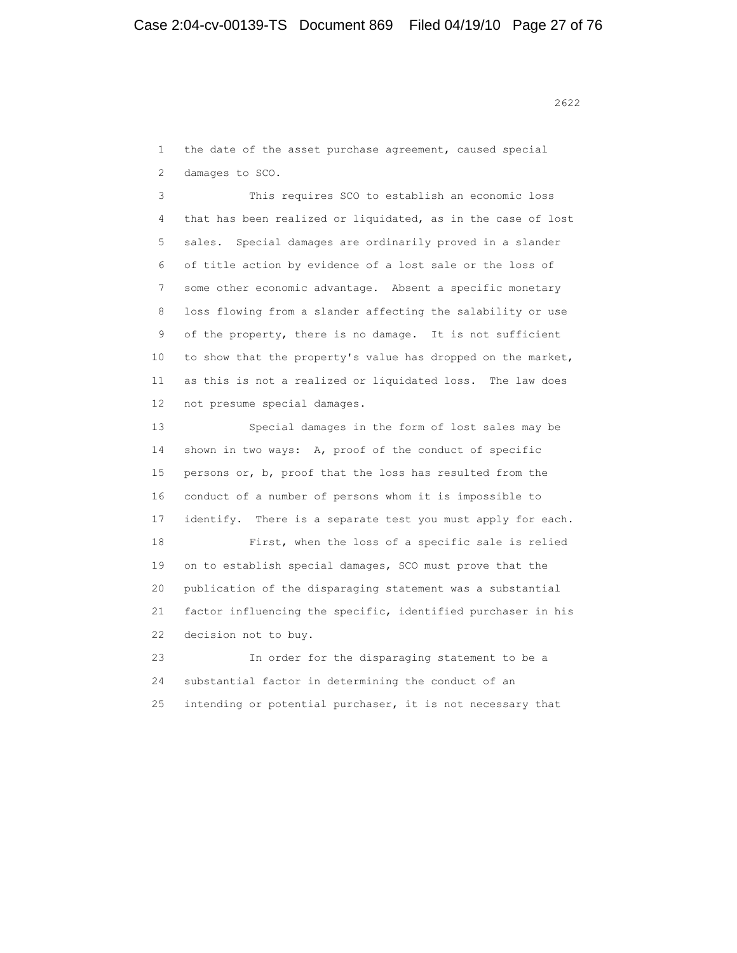2622<br>2622

 1 the date of the asset purchase agreement, caused special 2 damages to SCO.

 3 This requires SCO to establish an economic loss 4 that has been realized or liquidated, as in the case of lost 5 sales. Special damages are ordinarily proved in a slander 6 of title action by evidence of a lost sale or the loss of 7 some other economic advantage. Absent a specific monetary 8 loss flowing from a slander affecting the salability or use 9 of the property, there is no damage. It is not sufficient 10 to show that the property's value has dropped on the market, 11 as this is not a realized or liquidated loss. The law does 12 not presume special damages.

 13 Special damages in the form of lost sales may be 14 shown in two ways: A, proof of the conduct of specific 15 persons or, b, proof that the loss has resulted from the 16 conduct of a number of persons whom it is impossible to 17 identify. There is a separate test you must apply for each. 18 First, when the loss of a specific sale is relied 19 on to establish special damages, SCO must prove that the 20 publication of the disparaging statement was a substantial 21 factor influencing the specific, identified purchaser in his 22 decision not to buy.

 23 In order for the disparaging statement to be a 24 substantial factor in determining the conduct of an 25 intending or potential purchaser, it is not necessary that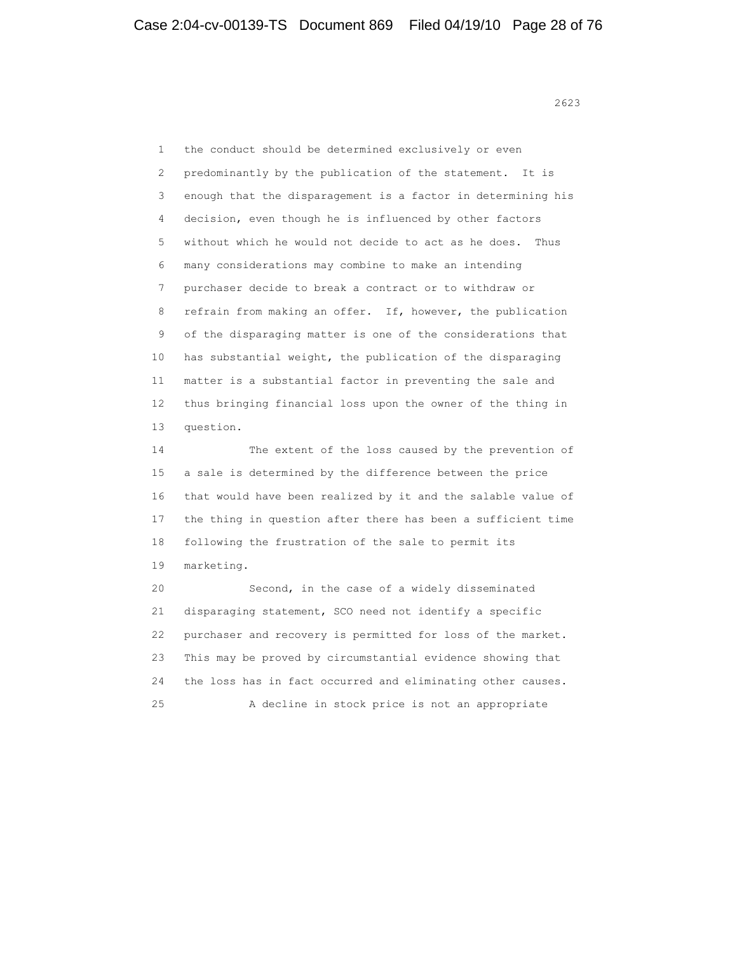1 the conduct should be determined exclusively or even 2 predominantly by the publication of the statement. It is 3 enough that the disparagement is a factor in determining his 4 decision, even though he is influenced by other factors 5 without which he would not decide to act as he does. Thus 6 many considerations may combine to make an intending 7 purchaser decide to break a contract or to withdraw or 8 refrain from making an offer. If, however, the publication 9 of the disparaging matter is one of the considerations that 10 has substantial weight, the publication of the disparaging 11 matter is a substantial factor in preventing the sale and 12 thus bringing financial loss upon the owner of the thing in 13 question.

 14 The extent of the loss caused by the prevention of 15 a sale is determined by the difference between the price 16 that would have been realized by it and the salable value of 17 the thing in question after there has been a sufficient time 18 following the frustration of the sale to permit its 19 marketing.

 20 Second, in the case of a widely disseminated 21 disparaging statement, SCO need not identify a specific 22 purchaser and recovery is permitted for loss of the market. 23 This may be proved by circumstantial evidence showing that 24 the loss has in fact occurred and eliminating other causes. 25 A decline in stock price is not an appropriate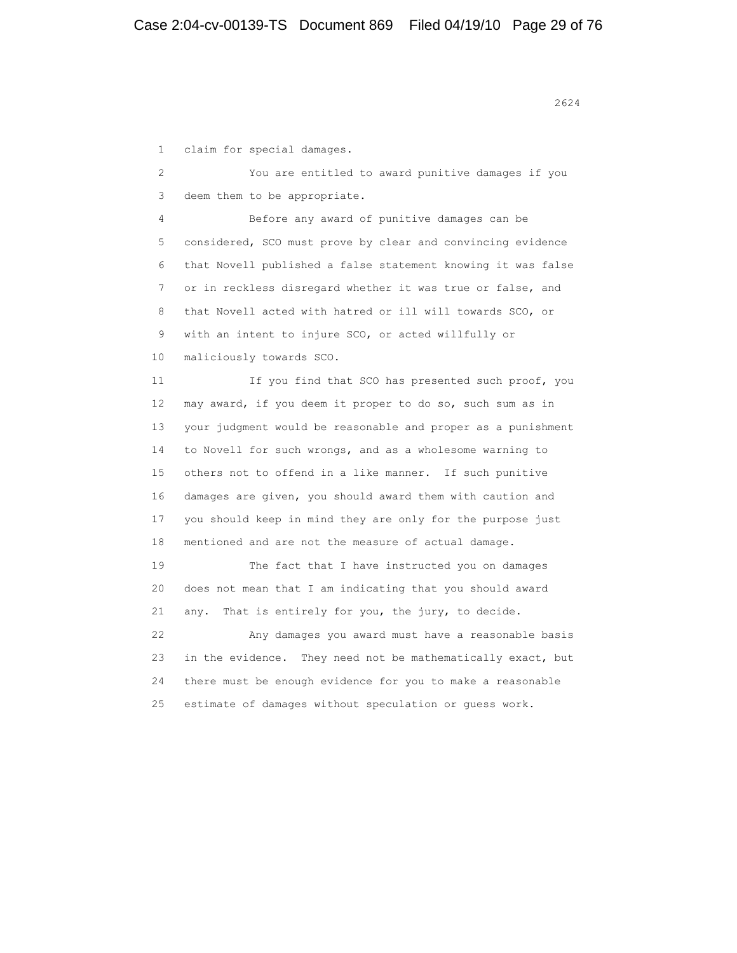1 claim for special damages. 2 You are entitled to award punitive damages if you 3 deem them to be appropriate. 4 Before any award of punitive damages can be 5 considered, SCO must prove by clear and convincing evidence 6 that Novell published a false statement knowing it was false 7 or in reckless disregard whether it was true or false, and 8 that Novell acted with hatred or ill will towards SCO, or 9 with an intent to injure SCO, or acted willfully or 10 maliciously towards SCO. 11 If you find that SCO has presented such proof, you 12 may award, if you deem it proper to do so, such sum as in 13 your judgment would be reasonable and proper as a punishment 14 to Novell for such wrongs, and as a wholesome warning to 15 others not to offend in a like manner. If such punitive 16 damages are given, you should award them with caution and 17 you should keep in mind they are only for the purpose just 18 mentioned and are not the measure of actual damage. 19 The fact that I have instructed you on damages 20 does not mean that I am indicating that you should award 21 any. That is entirely for you, the jury, to decide. 22 Any damages you award must have a reasonable basis 23 in the evidence. They need not be mathematically exact, but 24 there must be enough evidence for you to make a reasonable 25 estimate of damages without speculation or guess work.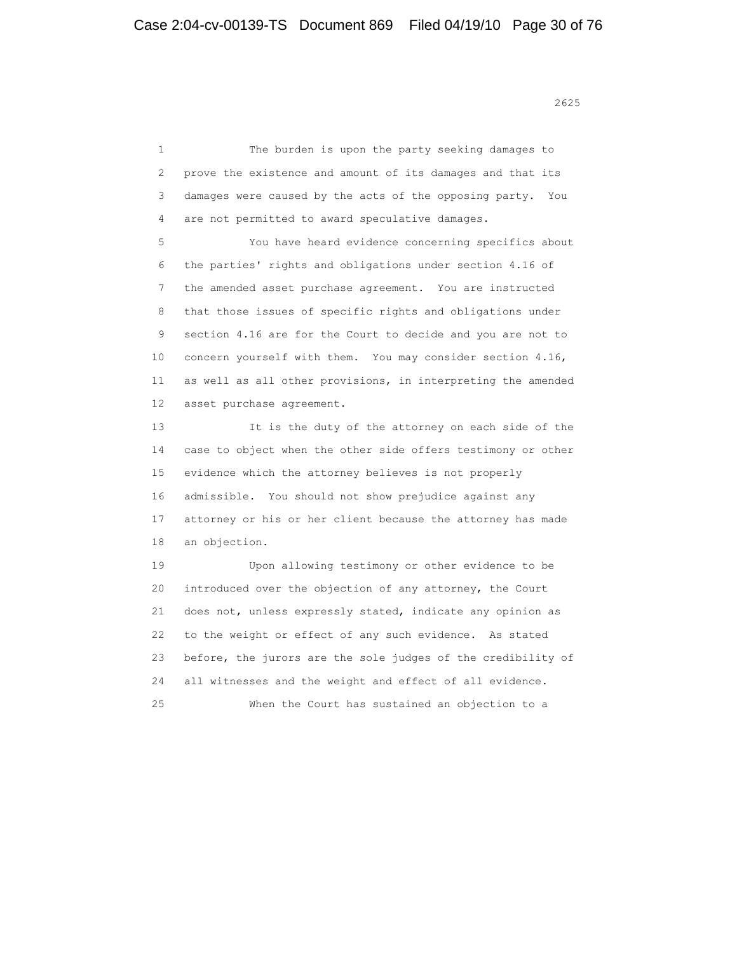<u>2625</u> and 2625

 1 The burden is upon the party seeking damages to 2 prove the existence and amount of its damages and that its 3 damages were caused by the acts of the opposing party. You 4 are not permitted to award speculative damages. 5 You have heard evidence concerning specifics about 6 the parties' rights and obligations under section 4.16 of 7 the amended asset purchase agreement. You are instructed 8 that those issues of specific rights and obligations under 9 section 4.16 are for the Court to decide and you are not to 10 concern yourself with them. You may consider section 4.16, 11 as well as all other provisions, in interpreting the amended 12 asset purchase agreement. 13 It is the duty of the attorney on each side of the 14 case to object when the other side offers testimony or other 15 evidence which the attorney believes is not properly 16 admissible. You should not show prejudice against any 17 attorney or his or her client because the attorney has made 18 an objection. 19 Upon allowing testimony or other evidence to be 20 introduced over the objection of any attorney, the Court 21 does not, unless expressly stated, indicate any opinion as 22 to the weight or effect of any such evidence. As stated 23 before, the jurors are the sole judges of the credibility of 24 all witnesses and the weight and effect of all evidence. 25 When the Court has sustained an objection to a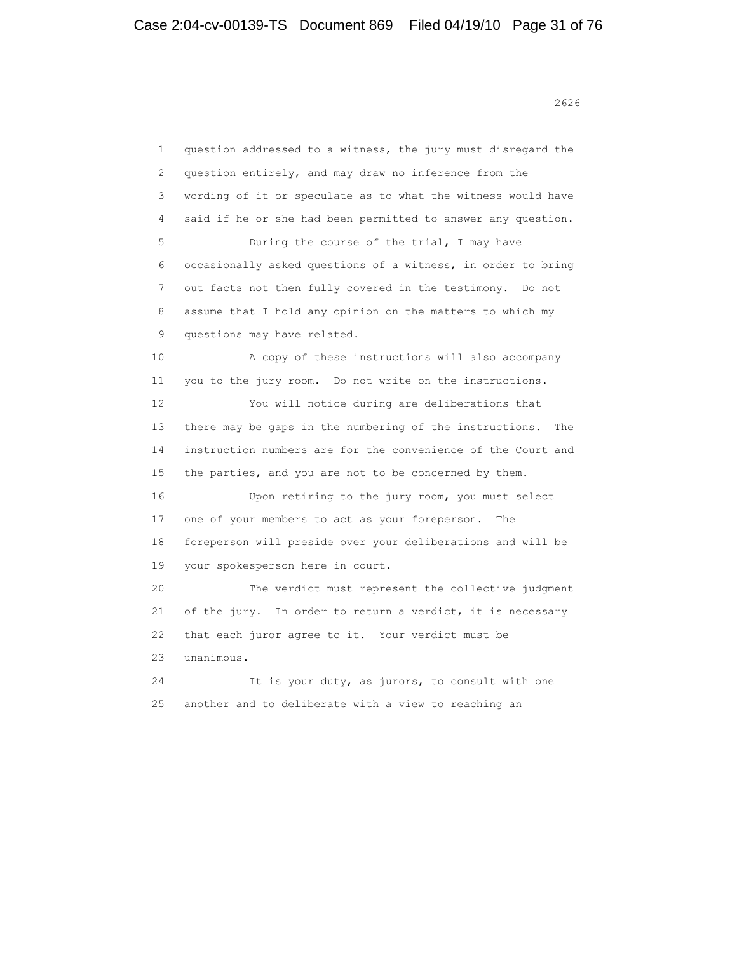<u>2626</u> 2626

 1 question addressed to a witness, the jury must disregard the 2 question entirely, and may draw no inference from the 3 wording of it or speculate as to what the witness would have 4 said if he or she had been permitted to answer any question. 5 During the course of the trial, I may have 6 occasionally asked questions of a witness, in order to bring 7 out facts not then fully covered in the testimony. Do not 8 assume that I hold any opinion on the matters to which my 9 questions may have related. 10 A copy of these instructions will also accompany 11 you to the jury room. Do not write on the instructions. 12 You will notice during are deliberations that 13 there may be gaps in the numbering of the instructions. The 14 instruction numbers are for the convenience of the Court and 15 the parties, and you are not to be concerned by them. 16 Upon retiring to the jury room, you must select 17 one of your members to act as your foreperson. The 18 foreperson will preside over your deliberations and will be 19 your spokesperson here in court. 20 The verdict must represent the collective judgment 21 of the jury. In order to return a verdict, it is necessary 22 that each juror agree to it. Your verdict must be 23 unanimous. 24 It is your duty, as jurors, to consult with one 25 another and to deliberate with a view to reaching an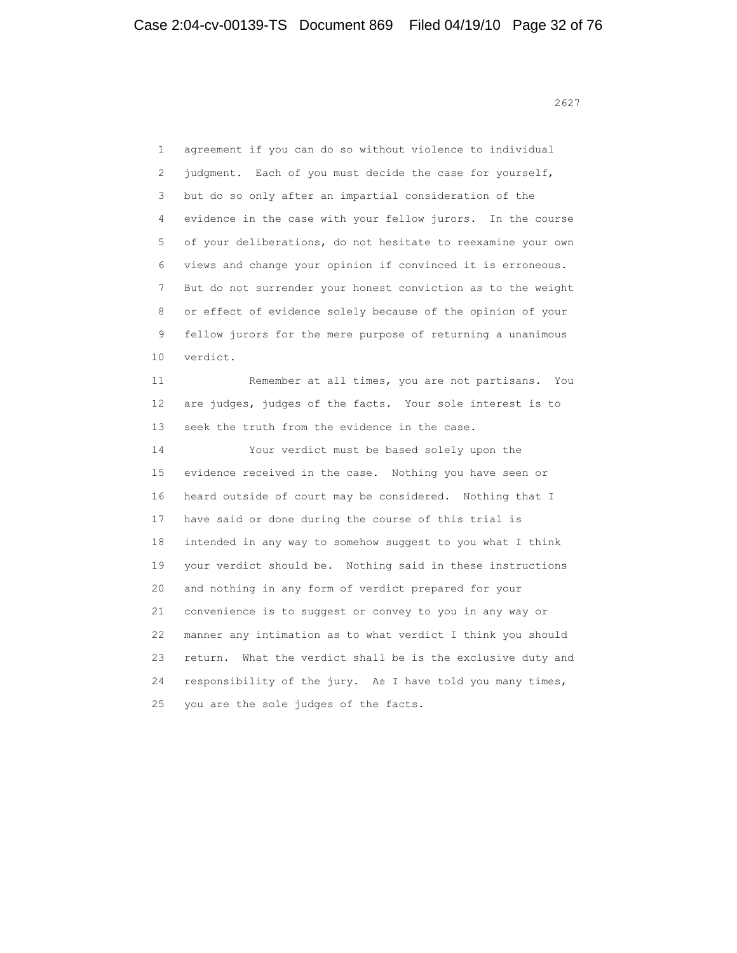<u>2627</u>

 1 agreement if you can do so without violence to individual 2 judgment. Each of you must decide the case for yourself, 3 but do so only after an impartial consideration of the 4 evidence in the case with your fellow jurors. In the course 5 of your deliberations, do not hesitate to reexamine your own 6 views and change your opinion if convinced it is erroneous. 7 But do not surrender your honest conviction as to the weight 8 or effect of evidence solely because of the opinion of your 9 fellow jurors for the mere purpose of returning a unanimous 10 verdict. 11 Remember at all times, you are not partisans. You 12 are judges, judges of the facts. Your sole interest is to 13 seek the truth from the evidence in the case. 14 Your verdict must be based solely upon the 15 evidence received in the case. Nothing you have seen or 16 heard outside of court may be considered. Nothing that I 17 have said or done during the course of this trial is 18 intended in any way to somehow suggest to you what I think 19 your verdict should be. Nothing said in these instructions 20 and nothing in any form of verdict prepared for your 21 convenience is to suggest or convey to you in any way or 22 manner any intimation as to what verdict I think you should 23 return. What the verdict shall be is the exclusive duty and 24 responsibility of the jury. As I have told you many times, 25 you are the sole judges of the facts.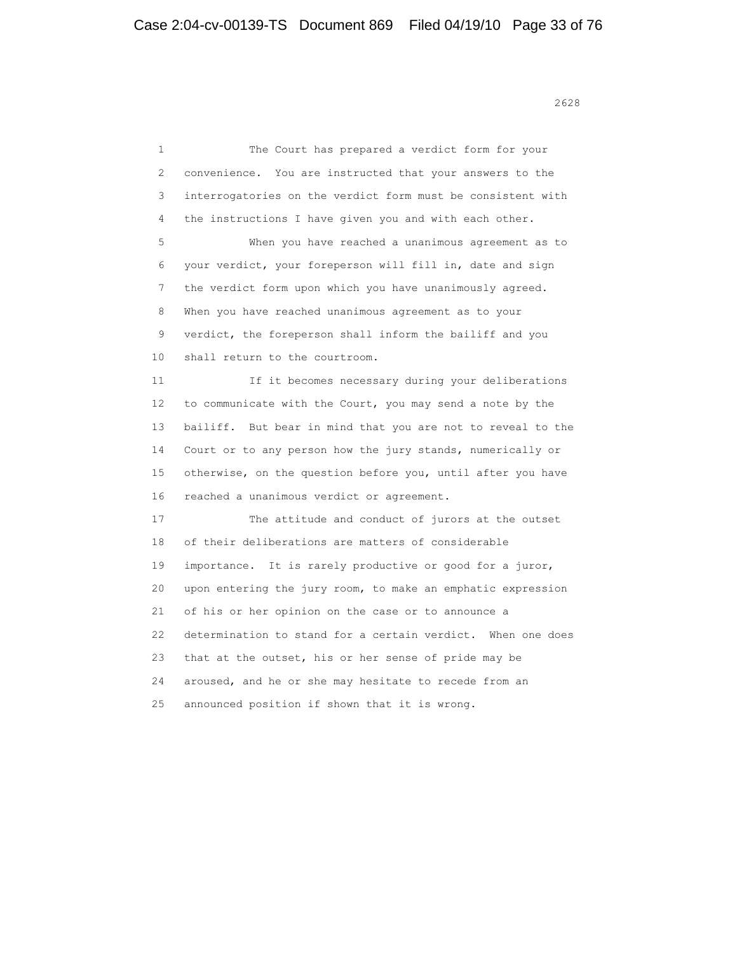<u>2628</u> and 2628

 1 The Court has prepared a verdict form for your 2 convenience. You are instructed that your answers to the 3 interrogatories on the verdict form must be consistent with 4 the instructions I have given you and with each other. 5 When you have reached a unanimous agreement as to 6 your verdict, your foreperson will fill in, date and sign 7 the verdict form upon which you have unanimously agreed. 8 When you have reached unanimous agreement as to your 9 verdict, the foreperson shall inform the bailiff and you 10 shall return to the courtroom. 11 If it becomes necessary during your deliberations 12 to communicate with the Court, you may send a note by the 13 bailiff. But bear in mind that you are not to reveal to the 14 Court or to any person how the jury stands, numerically or 15 otherwise, on the question before you, until after you have 16 reached a unanimous verdict or agreement. 17 The attitude and conduct of jurors at the outset 18 of their deliberations are matters of considerable 19 importance. It is rarely productive or good for a juror, 20 upon entering the jury room, to make an emphatic expression 21 of his or her opinion on the case or to announce a 22 determination to stand for a certain verdict. When one does 23 that at the outset, his or her sense of pride may be 24 aroused, and he or she may hesitate to recede from an 25 announced position if shown that it is wrong.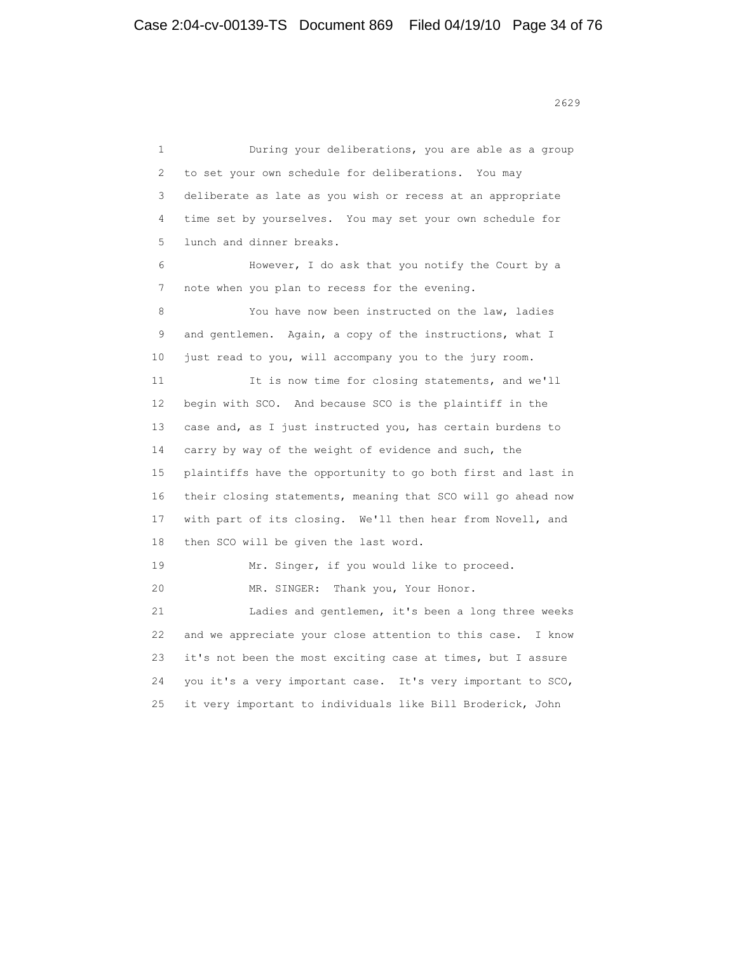1 During your deliberations, you are able as a group 2 to set your own schedule for deliberations. You may 3 deliberate as late as you wish or recess at an appropriate 4 time set by yourselves. You may set your own schedule for 5 lunch and dinner breaks. 6 However, I do ask that you notify the Court by a 7 note when you plan to recess for the evening. 8 You have now been instructed on the law, ladies 9 and gentlemen. Again, a copy of the instructions, what I 10 just read to you, will accompany you to the jury room. 11 It is now time for closing statements, and we'll 12 begin with SCO. And because SCO is the plaintiff in the 13 case and, as I just instructed you, has certain burdens to 14 carry by way of the weight of evidence and such, the 15 plaintiffs have the opportunity to go both first and last in 16 their closing statements, meaning that SCO will go ahead now 17 with part of its closing. We'll then hear from Novell, and 18 then SCO will be given the last word. 19 Mr. Singer, if you would like to proceed. 20 MR. SINGER: Thank you, Your Honor. 21 Ladies and gentlemen, it's been a long three weeks 22 and we appreciate your close attention to this case. I know 23 it's not been the most exciting case at times, but I assure 24 you it's a very important case. It's very important to SCO, 25 it very important to individuals like Bill Broderick, John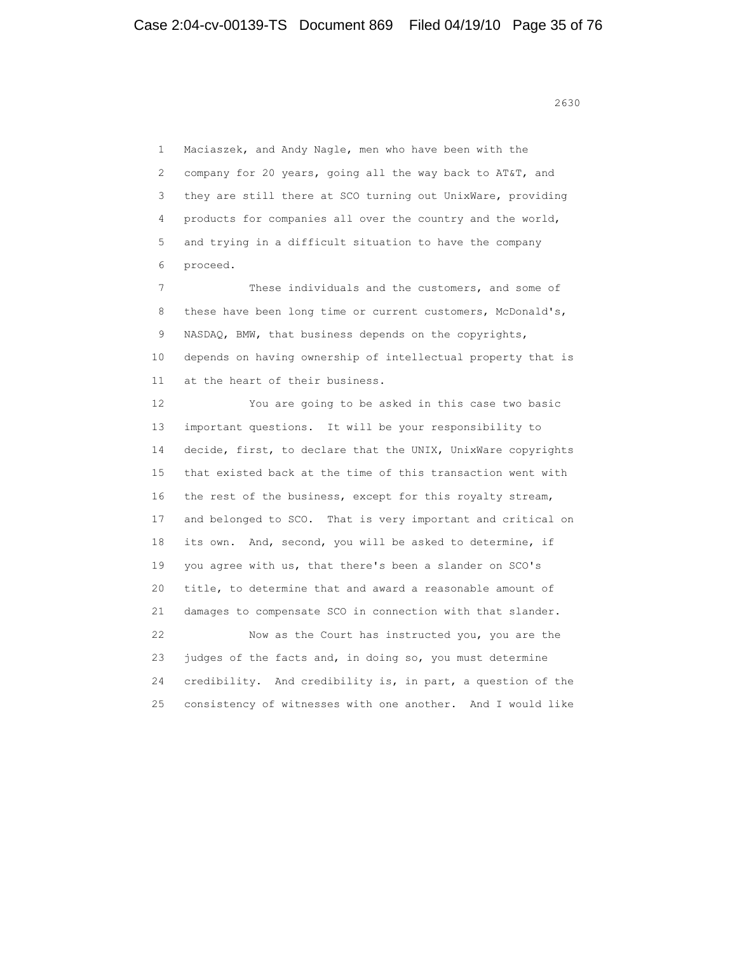<u>2630</u>

 1 Maciaszek, and Andy Nagle, men who have been with the 2 company for 20 years, going all the way back to AT&T, and 3 they are still there at SCO turning out UnixWare, providing 4 products for companies all over the country and the world, 5 and trying in a difficult situation to have the company 6 proceed.

 7 These individuals and the customers, and some of 8 these have been long time or current customers, McDonald's, 9 NASDAQ, BMW, that business depends on the copyrights, 10 depends on having ownership of intellectual property that is 11 at the heart of their business.

 12 You are going to be asked in this case two basic 13 important questions. It will be your responsibility to 14 decide, first, to declare that the UNIX, UnixWare copyrights 15 that existed back at the time of this transaction went with 16 the rest of the business, except for this royalty stream, 17 and belonged to SCO. That is very important and critical on 18 its own. And, second, you will be asked to determine, if 19 you agree with us, that there's been a slander on SCO's 20 title, to determine that and award a reasonable amount of 21 damages to compensate SCO in connection with that slander. 22 Now as the Court has instructed you, you are the 23 judges of the facts and, in doing so, you must determine 24 credibility. And credibility is, in part, a question of the 25 consistency of witnesses with one another. And I would like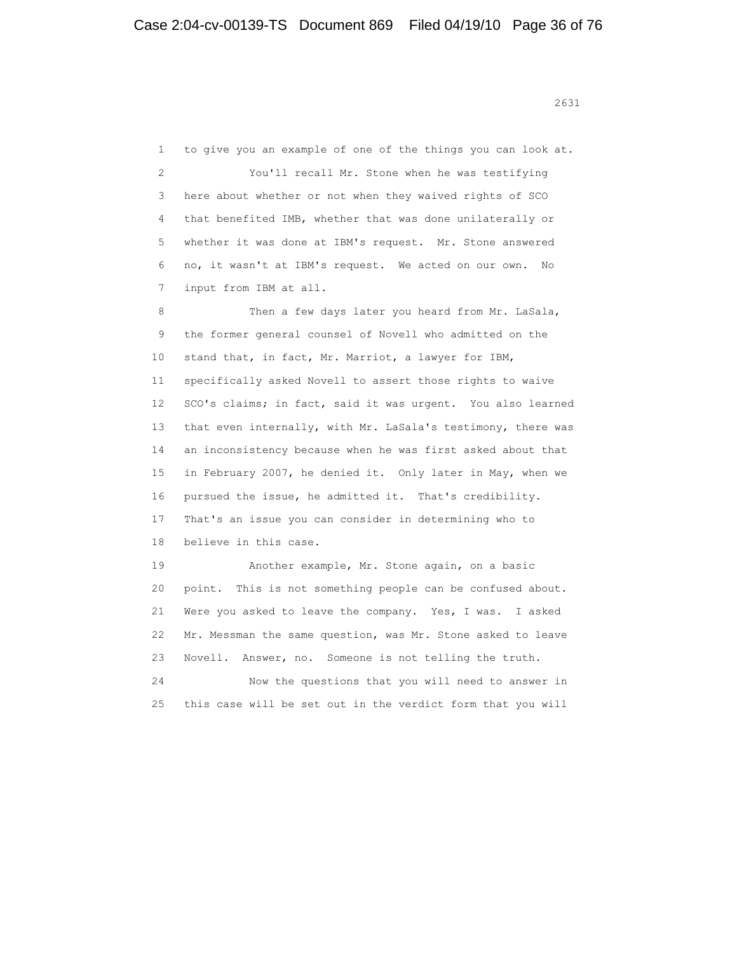1 to give you an example of one of the things you can look at. 2 You'll recall Mr. Stone when he was testifying 3 here about whether or not when they waived rights of SCO 4 that benefited IMB, whether that was done unilaterally or 5 whether it was done at IBM's request. Mr. Stone answered 6 no, it wasn't at IBM's request. We acted on our own. No 7 input from IBM at all. 8 Then a few days later you heard from Mr. LaSala, 9 the former general counsel of Novell who admitted on the 10 stand that, in fact, Mr. Marriot, a lawyer for IBM, 11 specifically asked Novell to assert those rights to waive 12 SCO's claims; in fact, said it was urgent. You also learned 13 that even internally, with Mr. LaSala's testimony, there was 14 an inconsistency because when he was first asked about that 15 in February 2007, he denied it. Only later in May, when we 16 pursued the issue, he admitted it. That's credibility. 17 That's an issue you can consider in determining who to 18 believe in this case. 19 Another example, Mr. Stone again, on a basic 20 point. This is not something people can be confused about. 21 Were you asked to leave the company. Yes, I was. I asked 22 Mr. Messman the same question, was Mr. Stone asked to leave 23 Novell. Answer, no. Someone is not telling the truth. 24 Now the questions that you will need to answer in

25 this case will be set out in the verdict form that you will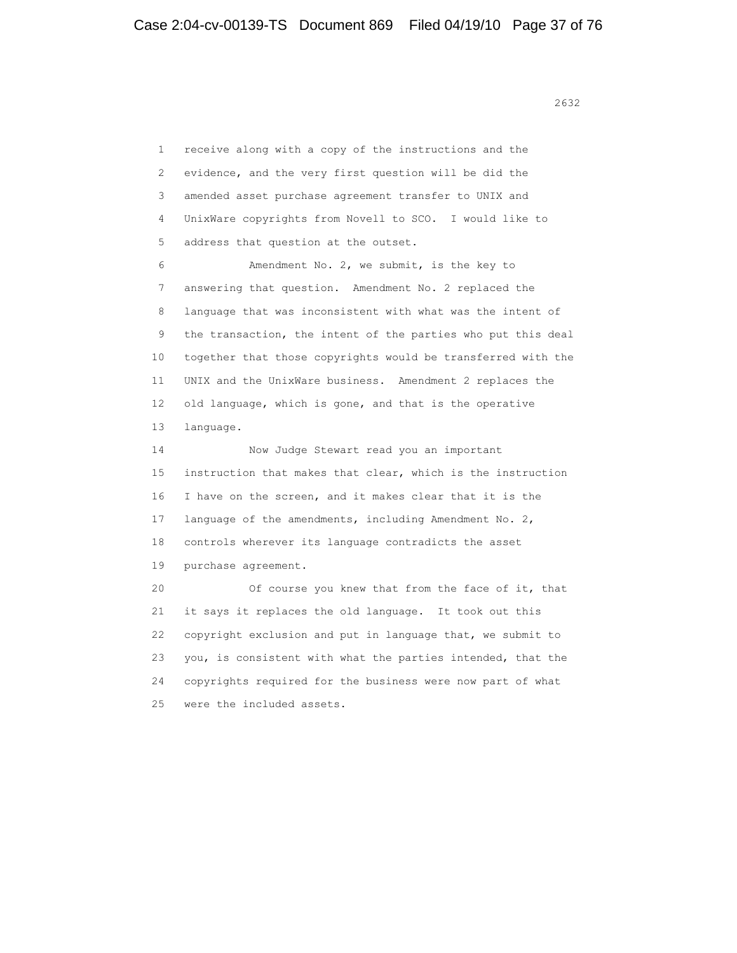2632 and 2632 and 2632 and 2632 and 2632

 1 receive along with a copy of the instructions and the 2 evidence, and the very first question will be did the 3 amended asset purchase agreement transfer to UNIX and 4 UnixWare copyrights from Novell to SCO. I would like to 5 address that question at the outset. 6 Amendment No. 2, we submit, is the key to 7 answering that question. Amendment No. 2 replaced the 8 language that was inconsistent with what was the intent of 9 the transaction, the intent of the parties who put this deal 10 together that those copyrights would be transferred with the 11 UNIX and the UnixWare business. Amendment 2 replaces the 12 old language, which is gone, and that is the operative 13 language. 14 Now Judge Stewart read you an important 15 instruction that makes that clear, which is the instruction 16 I have on the screen, and it makes clear that it is the 17 language of the amendments, including Amendment No. 2, 18 controls wherever its language contradicts the asset 19 purchase agreement. 20 Of course you knew that from the face of it, that 21 it says it replaces the old language. It took out this 22 copyright exclusion and put in language that, we submit to 23 you, is consistent with what the parties intended, that the 24 copyrights required for the business were now part of what 25 were the included assets.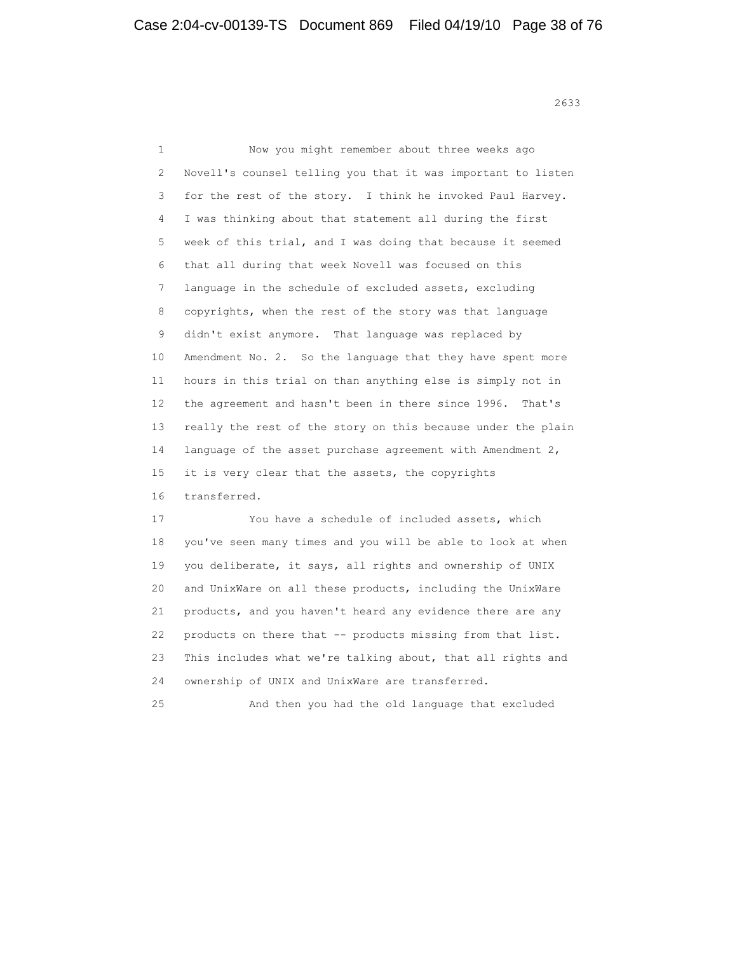<u>2633</u>

 1 Now you might remember about three weeks ago 2 Novell's counsel telling you that it was important to listen 3 for the rest of the story. I think he invoked Paul Harvey. 4 I was thinking about that statement all during the first 5 week of this trial, and I was doing that because it seemed 6 that all during that week Novell was focused on this 7 language in the schedule of excluded assets, excluding 8 copyrights, when the rest of the story was that language 9 didn't exist anymore. That language was replaced by 10 Amendment No. 2. So the language that they have spent more 11 hours in this trial on than anything else is simply not in 12 the agreement and hasn't been in there since 1996. That's 13 really the rest of the story on this because under the plain 14 language of the asset purchase agreement with Amendment 2, 15 it is very clear that the assets, the copyrights 16 transferred. 17 You have a schedule of included assets, which 18 you've seen many times and you will be able to look at when 19 you deliberate, it says, all rights and ownership of UNIX 20 and UnixWare on all these products, including the UnixWare 21 products, and you haven't heard any evidence there are any 22 products on there that -- products missing from that list. 23 This includes what we're talking about, that all rights and 24 ownership of UNIX and UnixWare are transferred.

25 And then you had the old language that excluded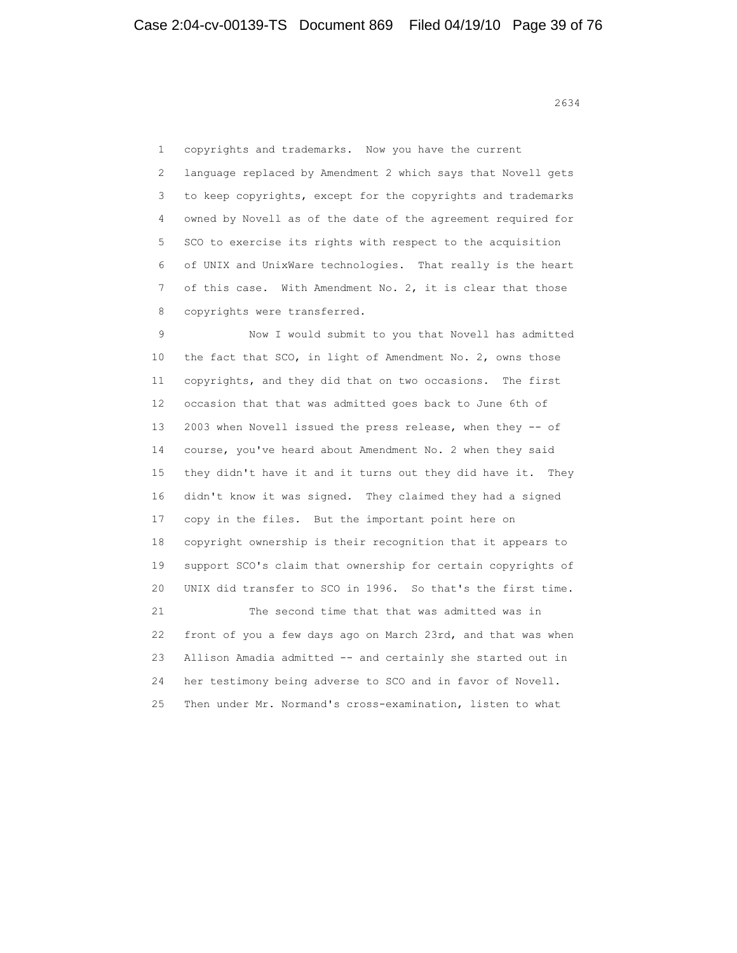1 copyrights and trademarks. Now you have the current 2 language replaced by Amendment 2 which says that Novell gets 3 to keep copyrights, except for the copyrights and trademarks 4 owned by Novell as of the date of the agreement required for 5 SCO to exercise its rights with respect to the acquisition 6 of UNIX and UnixWare technologies. That really is the heart 7 of this case. With Amendment No. 2, it is clear that those 8 copyrights were transferred.

 9 Now I would submit to you that Novell has admitted 10 the fact that SCO, in light of Amendment No. 2, owns those 11 copyrights, and they did that on two occasions. The first 12 occasion that that was admitted goes back to June 6th of 13 2003 when Novell issued the press release, when they -- of 14 course, you've heard about Amendment No. 2 when they said 15 they didn't have it and it turns out they did have it. They 16 didn't know it was signed. They claimed they had a signed 17 copy in the files. But the important point here on 18 copyright ownership is their recognition that it appears to 19 support SCO's claim that ownership for certain copyrights of 20 UNIX did transfer to SCO in 1996. So that's the first time. 21 The second time that that was admitted was in 22 front of you a few days ago on March 23rd, and that was when 23 Allison Amadia admitted -- and certainly she started out in 24 her testimony being adverse to SCO and in favor of Novell. 25 Then under Mr. Normand's cross-examination, listen to what

2634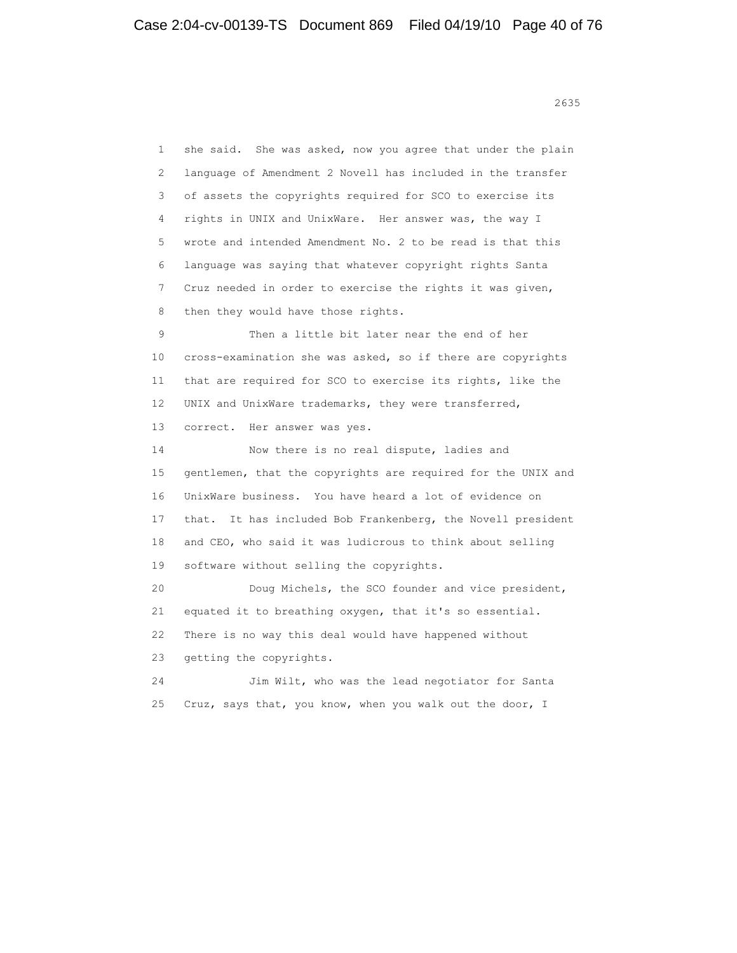<u>2635</u>

 1 she said. She was asked, now you agree that under the plain 2 language of Amendment 2 Novell has included in the transfer 3 of assets the copyrights required for SCO to exercise its 4 rights in UNIX and UnixWare. Her answer was, the way I 5 wrote and intended Amendment No. 2 to be read is that this 6 language was saying that whatever copyright rights Santa 7 Cruz needed in order to exercise the rights it was given, 8 then they would have those rights. 9 Then a little bit later near the end of her 10 cross-examination she was asked, so if there are copyrights 11 that are required for SCO to exercise its rights, like the 12 UNIX and UnixWare trademarks, they were transferred, 13 correct. Her answer was yes. 14 Now there is no real dispute, ladies and 15 gentlemen, that the copyrights are required for the UNIX and 16 UnixWare business. You have heard a lot of evidence on 17 that. It has included Bob Frankenberg, the Novell president 18 and CEO, who said it was ludicrous to think about selling 19 software without selling the copyrights. 20 Doug Michels, the SCO founder and vice president, 21 equated it to breathing oxygen, that it's so essential. 22 There is no way this deal would have happened without 23 getting the copyrights. 24 Jim Wilt, who was the lead negotiator for Santa 25 Cruz, says that, you know, when you walk out the door, I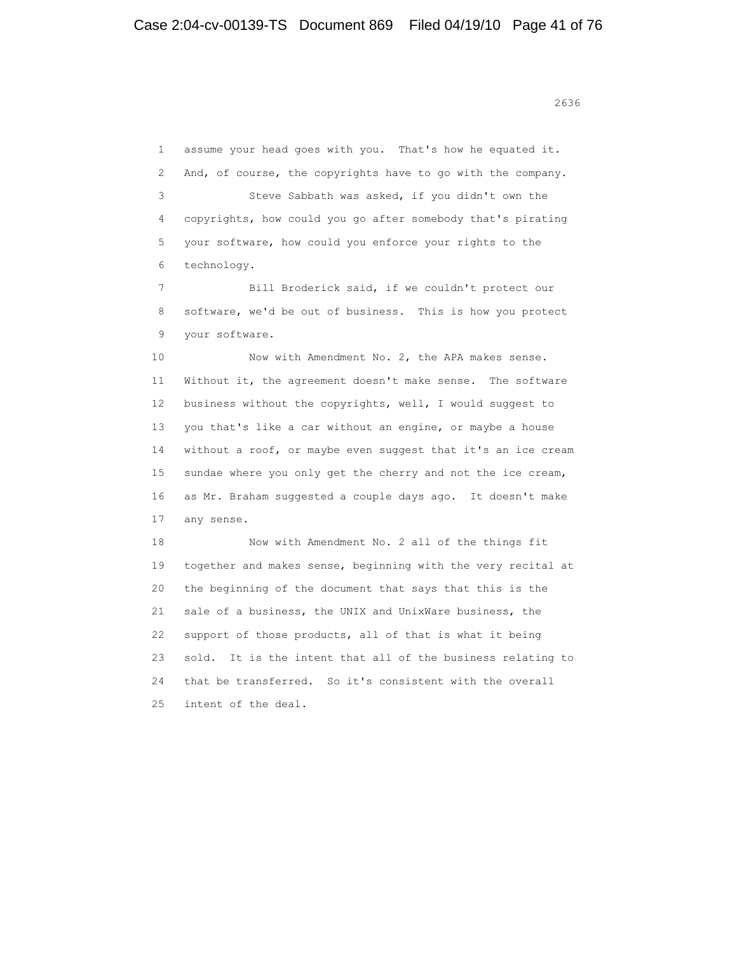1 assume your head goes with you. That's how he equated it. 2 And, of course, the copyrights have to go with the company. 3 Steve Sabbath was asked, if you didn't own the 4 copyrights, how could you go after somebody that's pirating 5 your software, how could you enforce your rights to the 6 technology.

 7 Bill Broderick said, if we couldn't protect our 8 software, we'd be out of business. This is how you protect 9 your software.

 10 Now with Amendment No. 2, the APA makes sense. 11 Without it, the agreement doesn't make sense. The software 12 business without the copyrights, well, I would suggest to 13 you that's like a car without an engine, or maybe a house 14 without a roof, or maybe even suggest that it's an ice cream 15 sundae where you only get the cherry and not the ice cream, 16 as Mr. Braham suggested a couple days ago. It doesn't make 17 any sense.

 18 Now with Amendment No. 2 all of the things fit 19 together and makes sense, beginning with the very recital at 20 the beginning of the document that says that this is the 21 sale of a business, the UNIX and UnixWare business, the 22 support of those products, all of that is what it being 23 sold. It is the intent that all of the business relating to 24 that be transferred. So it's consistent with the overall 25 intent of the deal.

<u>2636</u> **2636**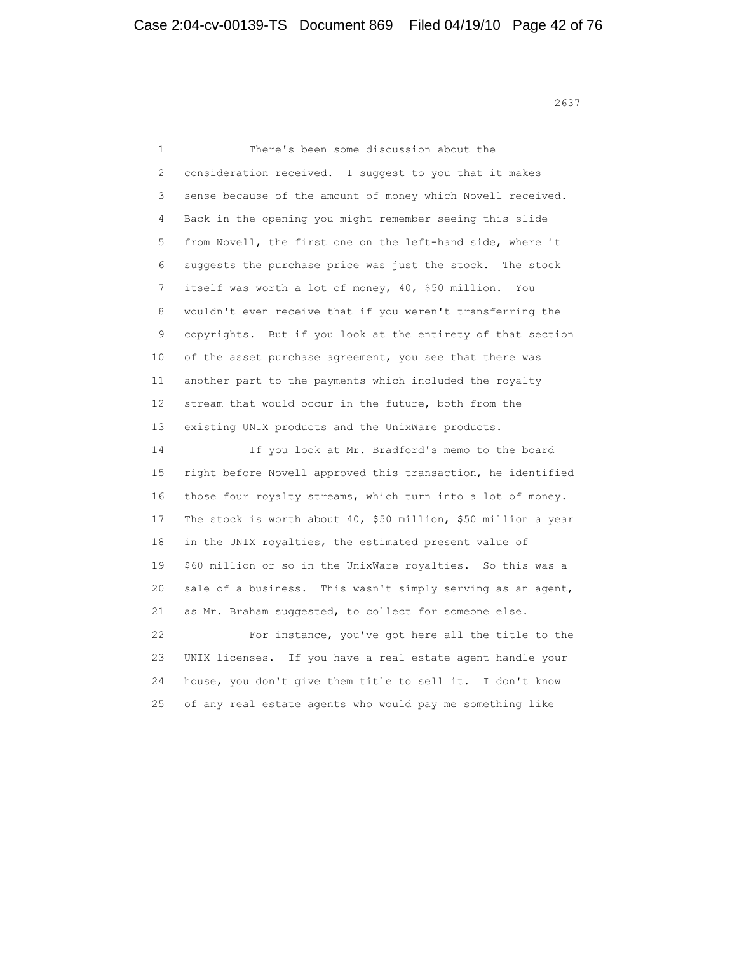<u>2637</u>

 1 There's been some discussion about the 2 consideration received. I suggest to you that it makes 3 sense because of the amount of money which Novell received. 4 Back in the opening you might remember seeing this slide 5 from Novell, the first one on the left-hand side, where it 6 suggests the purchase price was just the stock. The stock 7 itself was worth a lot of money, 40, \$50 million. You 8 wouldn't even receive that if you weren't transferring the 9 copyrights. But if you look at the entirety of that section 10 of the asset purchase agreement, you see that there was 11 another part to the payments which included the royalty 12 stream that would occur in the future, both from the 13 existing UNIX products and the UnixWare products. 14 If you look at Mr. Bradford's memo to the board 15 right before Novell approved this transaction, he identified 16 those four royalty streams, which turn into a lot of money. 17 The stock is worth about 40, \$50 million, \$50 million a year 18 in the UNIX royalties, the estimated present value of 19 \$60 million or so in the UnixWare royalties. So this was a 20 sale of a business. This wasn't simply serving as an agent, 21 as Mr. Braham suggested, to collect for someone else. 22 For instance, you've got here all the title to the 23 UNIX licenses. If you have a real estate agent handle your 24 house, you don't give them title to sell it. I don't know 25 of any real estate agents who would pay me something like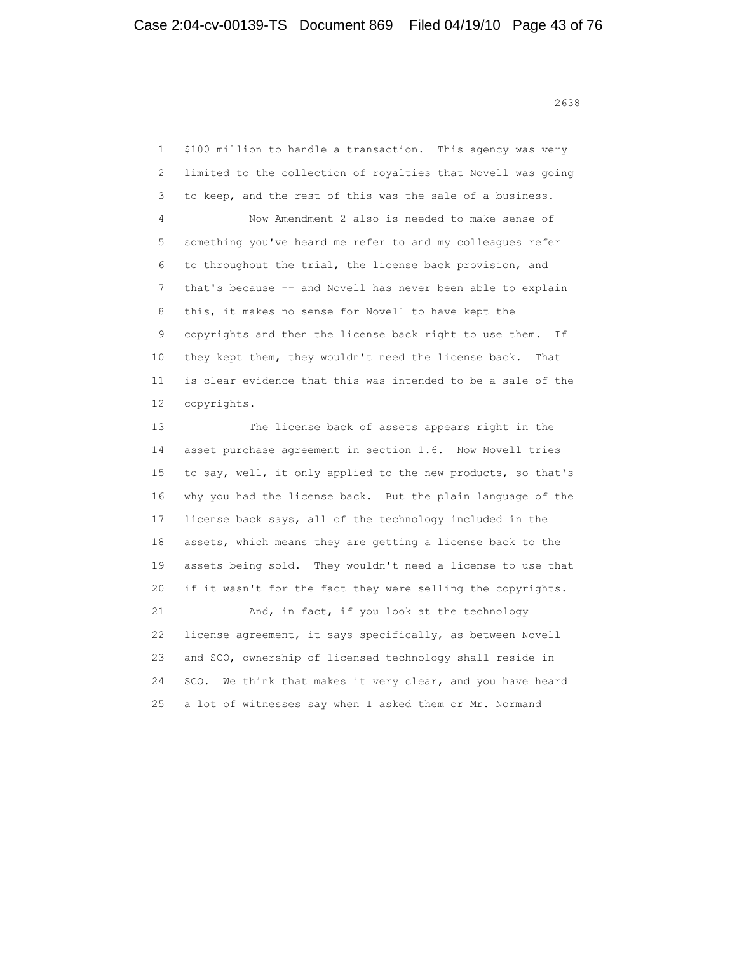<u>2638</u> **2638** 

 1 \$100 million to handle a transaction. This agency was very 2 limited to the collection of royalties that Novell was going 3 to keep, and the rest of this was the sale of a business. 4 Now Amendment 2 also is needed to make sense of 5 something you've heard me refer to and my colleagues refer 6 to throughout the trial, the license back provision, and 7 that's because -- and Novell has never been able to explain 8 this, it makes no sense for Novell to have kept the 9 copyrights and then the license back right to use them. If 10 they kept them, they wouldn't need the license back. That 11 is clear evidence that this was intended to be a sale of the 12 copyrights. 13 The license back of assets appears right in the 14 asset purchase agreement in section 1.6. Now Novell tries 15 to say, well, it only applied to the new products, so that's 16 why you had the license back. But the plain language of the 17 license back says, all of the technology included in the 18 assets, which means they are getting a license back to the 19 assets being sold. They wouldn't need a license to use that

 21 And, in fact, if you look at the technology 22 license agreement, it says specifically, as between Novell 23 and SCO, ownership of licensed technology shall reside in 24 SCO. We think that makes it very clear, and you have heard 25 a lot of witnesses say when I asked them or Mr. Normand

20 if it wasn't for the fact they were selling the copyrights.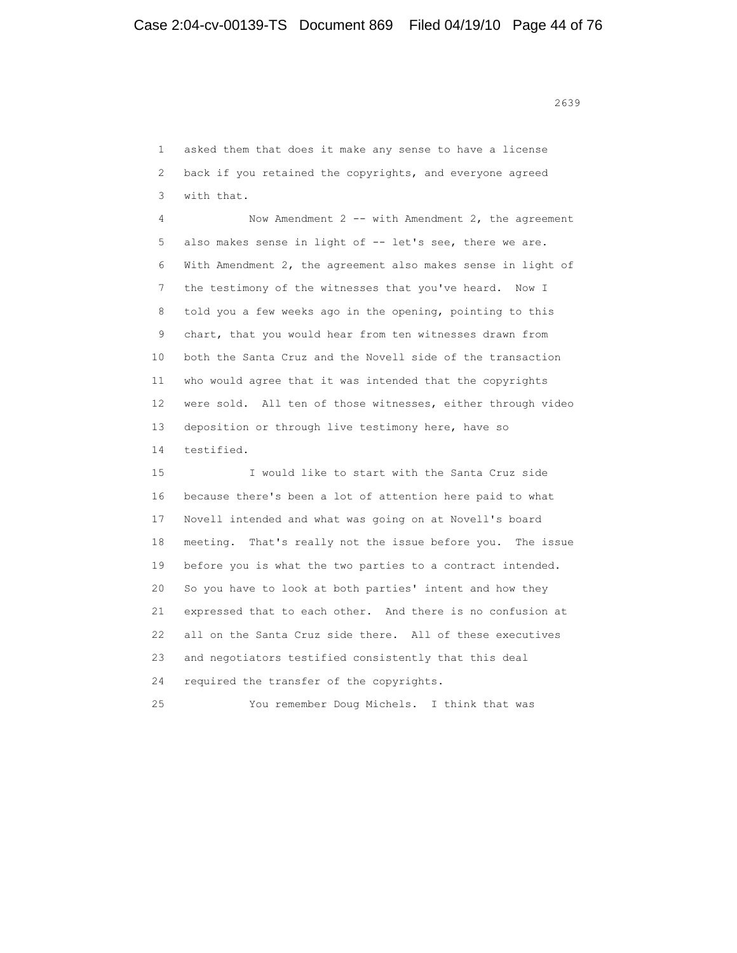<u>2639</u>

 1 asked them that does it make any sense to have a license 2 back if you retained the copyrights, and everyone agreed 3 with that. 4 Now Amendment 2 -- with Amendment 2, the agreement 5 also makes sense in light of -- let's see, there we are. 6 With Amendment 2, the agreement also makes sense in light of 7 the testimony of the witnesses that you've heard. Now I 8 told you a few weeks ago in the opening, pointing to this 9 chart, that you would hear from ten witnesses drawn from 10 both the Santa Cruz and the Novell side of the transaction 11 who would agree that it was intended that the copyrights 12 were sold. All ten of those witnesses, either through video 13 deposition or through live testimony here, have so 14 testified. 15 I would like to start with the Santa Cruz side 16 because there's been a lot of attention here paid to what 17 Novell intended and what was going on at Novell's board 18 meeting. That's really not the issue before you. The issue 19 before you is what the two parties to a contract intended. 20 So you have to look at both parties' intent and how they 21 expressed that to each other. And there is no confusion at 22 all on the Santa Cruz side there. All of these executives 23 and negotiators testified consistently that this deal 24 required the transfer of the copyrights. 25 You remember Doug Michels. I think that was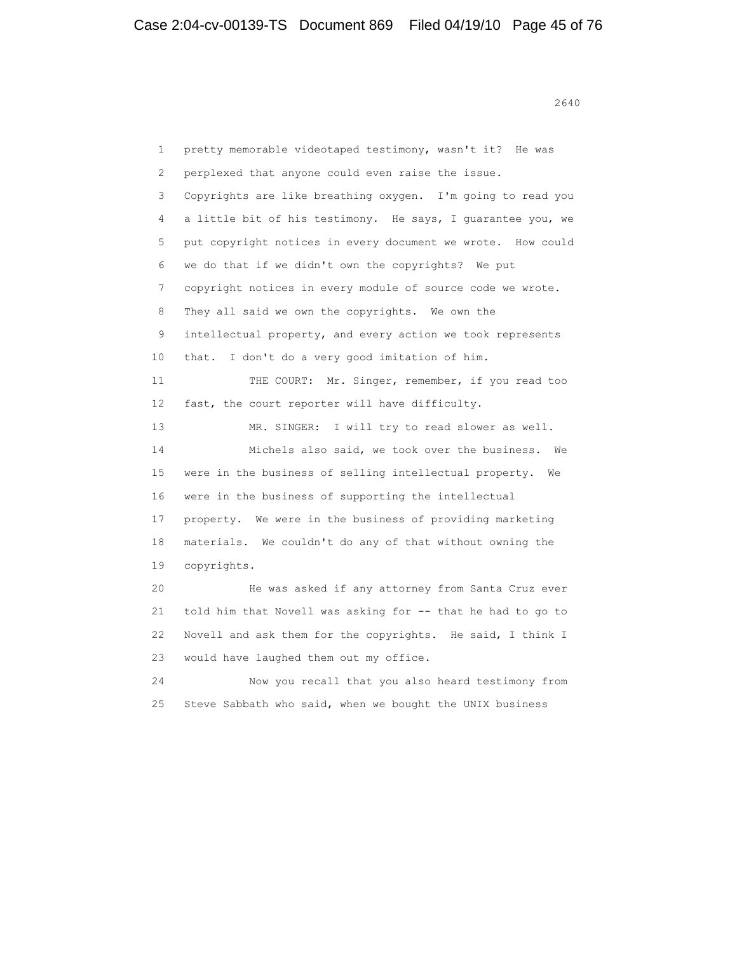1 pretty memorable videotaped testimony, wasn't it? He was 2 perplexed that anyone could even raise the issue. 3 Copyrights are like breathing oxygen. I'm going to read you 4 a little bit of his testimony. He says, I guarantee you, we 5 put copyright notices in every document we wrote. How could 6 we do that if we didn't own the copyrights? We put 7 copyright notices in every module of source code we wrote. 8 They all said we own the copyrights. We own the 9 intellectual property, and every action we took represents 10 that. I don't do a very good imitation of him. 11 THE COURT: Mr. Singer, remember, if you read too 12 fast, the court reporter will have difficulty. 13 MR. SINGER: I will try to read slower as well. 14 Michels also said, we took over the business. We 15 were in the business of selling intellectual property. We 16 were in the business of supporting the intellectual 17 property. We were in the business of providing marketing 18 materials. We couldn't do any of that without owning the 19 copyrights. 20 He was asked if any attorney from Santa Cruz ever 21 told him that Novell was asking for -- that he had to go to 22 Novell and ask them for the copyrights. He said, I think I 23 would have laughed them out my office. 24 Now you recall that you also heard testimony from 25 Steve Sabbath who said, when we bought the UNIX business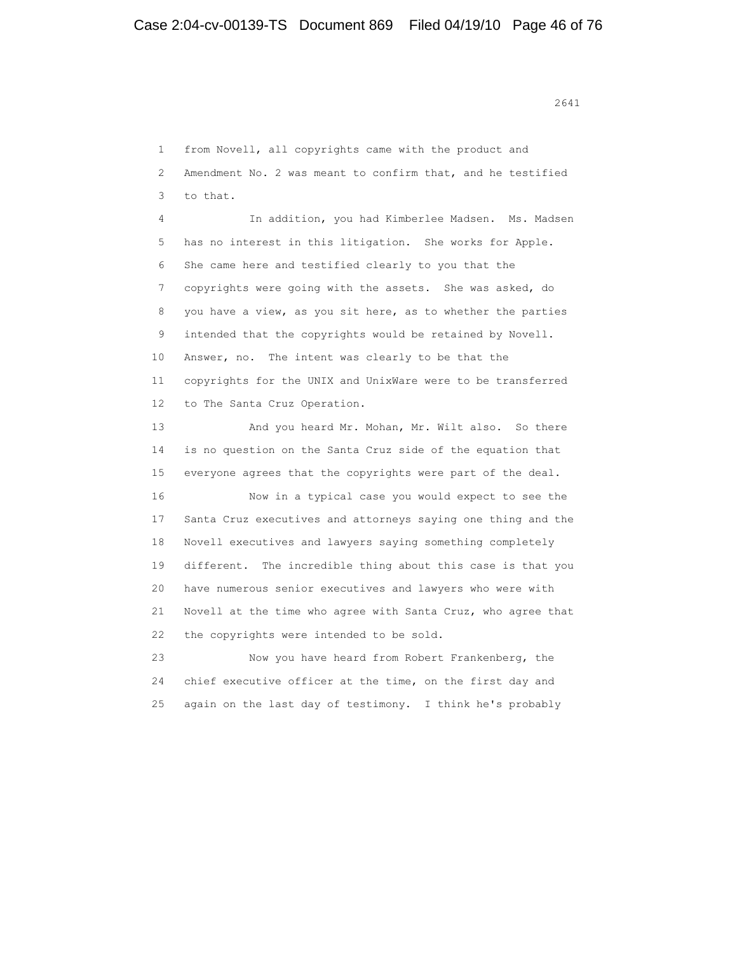1 from Novell, all copyrights came with the product and 2 Amendment No. 2 was meant to confirm that, and he testified 3 to that. 4 In addition, you had Kimberlee Madsen. Ms. Madsen 5 has no interest in this litigation. She works for Apple. 6 She came here and testified clearly to you that the 7 copyrights were going with the assets. She was asked, do 8 you have a view, as you sit here, as to whether the parties 9 intended that the copyrights would be retained by Novell. 10 Answer, no. The intent was clearly to be that the 11 copyrights for the UNIX and UnixWare were to be transferred 12 to The Santa Cruz Operation. 13 And you heard Mr. Mohan, Mr. Wilt also. So there 14 is no question on the Santa Cruz side of the equation that 15 everyone agrees that the copyrights were part of the deal. 16 Now in a typical case you would expect to see the 17 Santa Cruz executives and attorneys saying one thing and the 18 Novell executives and lawyers saying something completely 19 different. The incredible thing about this case is that you 20 have numerous senior executives and lawyers who were with 21 Novell at the time who agree with Santa Cruz, who agree that 22 the copyrights were intended to be sold. 23 Now you have heard from Robert Frankenberg, the 24 chief executive officer at the time, on the first day and 25 again on the last day of testimony. I think he's probably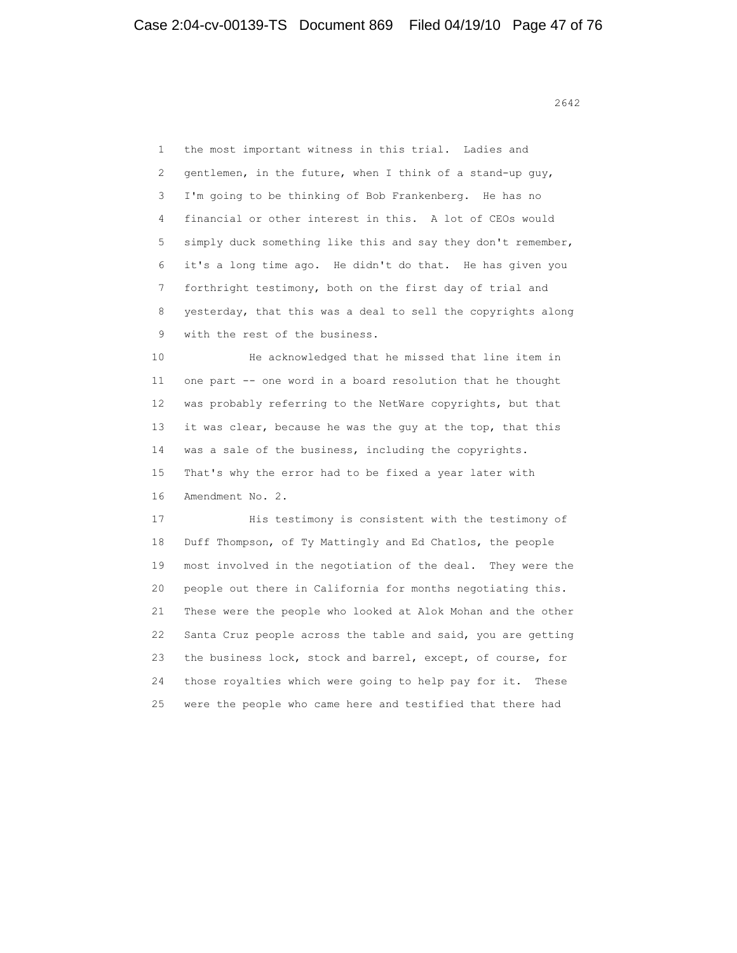1 the most important witness in this trial. Ladies and 2 gentlemen, in the future, when I think of a stand-up guy, 3 I'm going to be thinking of Bob Frankenberg. He has no 4 financial or other interest in this. A lot of CEOs would 5 simply duck something like this and say they don't remember, 6 it's a long time ago. He didn't do that. He has given you 7 forthright testimony, both on the first day of trial and 8 yesterday, that this was a deal to sell the copyrights along 9 with the rest of the business.

 10 He acknowledged that he missed that line item in 11 one part -- one word in a board resolution that he thought 12 was probably referring to the NetWare copyrights, but that 13 it was clear, because he was the guy at the top, that this 14 was a sale of the business, including the copyrights. 15 That's why the error had to be fixed a year later with 16 Amendment No. 2.

 17 His testimony is consistent with the testimony of 18 Duff Thompson, of Ty Mattingly and Ed Chatlos, the people 19 most involved in the negotiation of the deal. They were the 20 people out there in California for months negotiating this. 21 These were the people who looked at Alok Mohan and the other 22 Santa Cruz people across the table and said, you are getting 23 the business lock, stock and barrel, except, of course, for 24 those royalties which were going to help pay for it. These 25 were the people who came here and testified that there had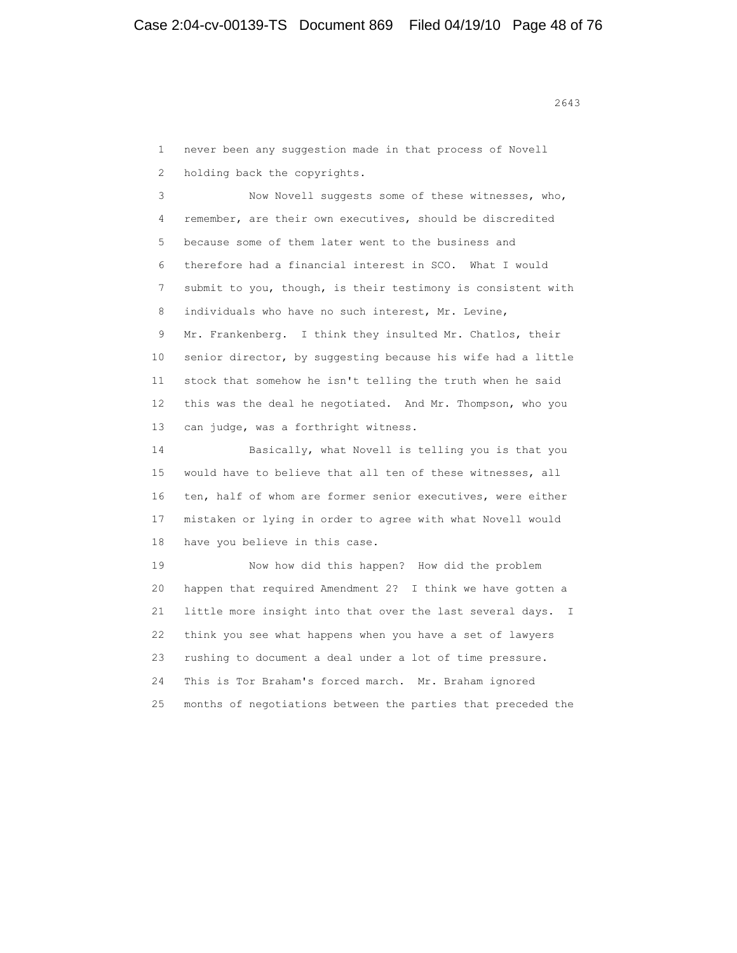1 never been any suggestion made in that process of Novell 2 holding back the copyrights.

 3 Now Novell suggests some of these witnesses, who, 4 remember, are their own executives, should be discredited 5 because some of them later went to the business and 6 therefore had a financial interest in SCO. What I would 7 submit to you, though, is their testimony is consistent with 8 individuals who have no such interest, Mr. Levine, 9 Mr. Frankenberg. I think they insulted Mr. Chatlos, their 10 senior director, by suggesting because his wife had a little 11 stock that somehow he isn't telling the truth when he said 12 this was the deal he negotiated. And Mr. Thompson, who you 13 can judge, was a forthright witness.

 14 Basically, what Novell is telling you is that you 15 would have to believe that all ten of these witnesses, all 16 ten, half of whom are former senior executives, were either 17 mistaken or lying in order to agree with what Novell would 18 have you believe in this case.

 19 Now how did this happen? How did the problem 20 happen that required Amendment 2? I think we have gotten a 21 little more insight into that over the last several days. I 22 think you see what happens when you have a set of lawyers 23 rushing to document a deal under a lot of time pressure. 24 This is Tor Braham's forced march. Mr. Braham ignored 25 months of negotiations between the parties that preceded the

2643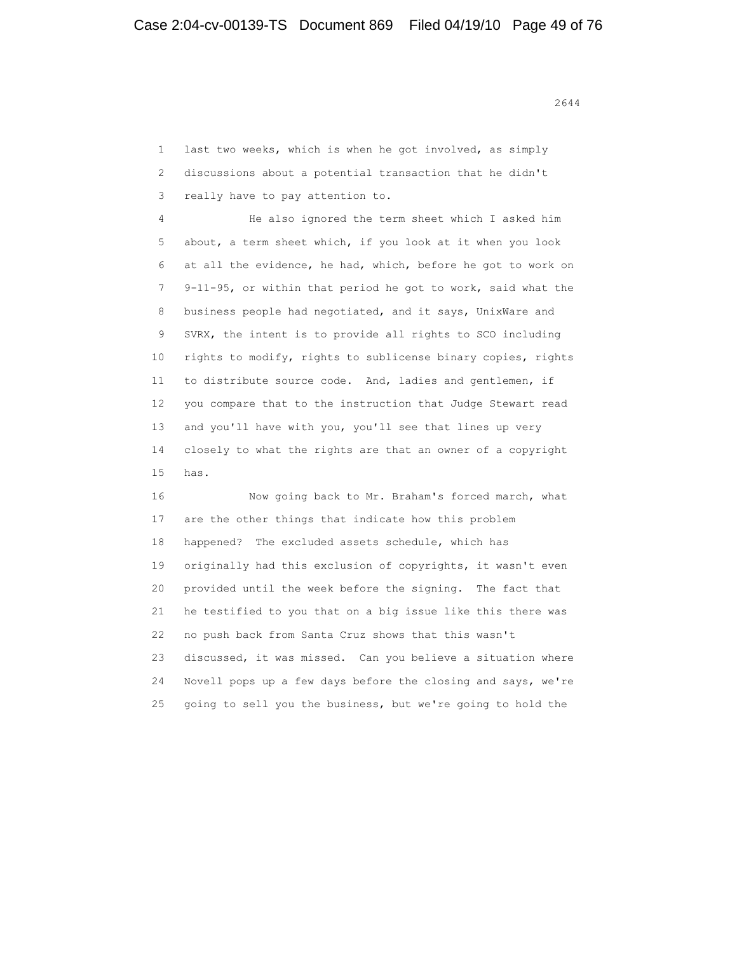1 last two weeks, which is when he got involved, as simply 2 discussions about a potential transaction that he didn't 3 really have to pay attention to.

 4 He also ignored the term sheet which I asked him 5 about, a term sheet which, if you look at it when you look 6 at all the evidence, he had, which, before he got to work on 7 9-11-95, or within that period he got to work, said what the 8 business people had negotiated, and it says, UnixWare and 9 SVRX, the intent is to provide all rights to SCO including 10 rights to modify, rights to sublicense binary copies, rights 11 to distribute source code. And, ladies and gentlemen, if 12 you compare that to the instruction that Judge Stewart read 13 and you'll have with you, you'll see that lines up very 14 closely to what the rights are that an owner of a copyright 15 has.

 16 Now going back to Mr. Braham's forced march, what 17 are the other things that indicate how this problem 18 happened? The excluded assets schedule, which has 19 originally had this exclusion of copyrights, it wasn't even 20 provided until the week before the signing. The fact that 21 he testified to you that on a big issue like this there was 22 no push back from Santa Cruz shows that this wasn't 23 discussed, it was missed. Can you believe a situation where 24 Novell pops up a few days before the closing and says, we're 25 going to sell you the business, but we're going to hold the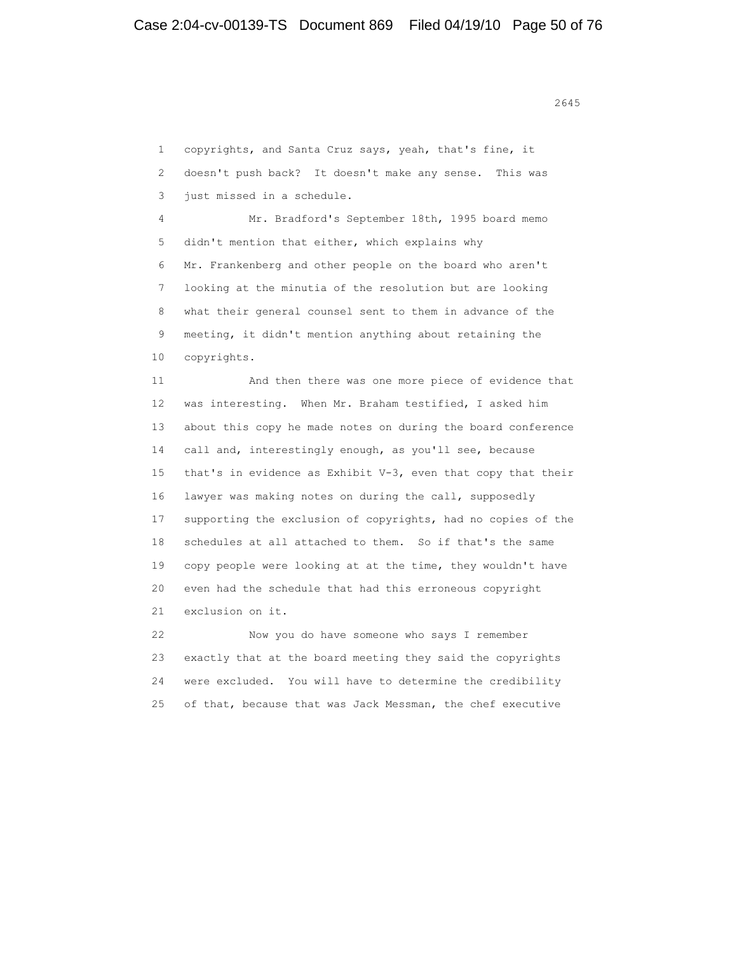1 copyrights, and Santa Cruz says, yeah, that's fine, it 2 doesn't push back? It doesn't make any sense. This was 3 just missed in a schedule. 4 Mr. Bradford's September 18th, 1995 board memo 5 didn't mention that either, which explains why 6 Mr. Frankenberg and other people on the board who aren't 7 looking at the minutia of the resolution but are looking 8 what their general counsel sent to them in advance of the 9 meeting, it didn't mention anything about retaining the 10 copyrights. 11 And then there was one more piece of evidence that 12 was interesting. When Mr. Braham testified, I asked him 13 about this copy he made notes on during the board conference 14 call and, interestingly enough, as you'll see, because 15 that's in evidence as Exhibit V-3, even that copy that their 16 lawyer was making notes on during the call, supposedly 17 supporting the exclusion of copyrights, had no copies of the 18 schedules at all attached to them. So if that's the same 19 copy people were looking at at the time, they wouldn't have 20 even had the schedule that had this erroneous copyright 21 exclusion on it. 22 Now you do have someone who says I remember 23 exactly that at the board meeting they said the copyrights

 24 were excluded. You will have to determine the credibility 25 of that, because that was Jack Messman, the chef executive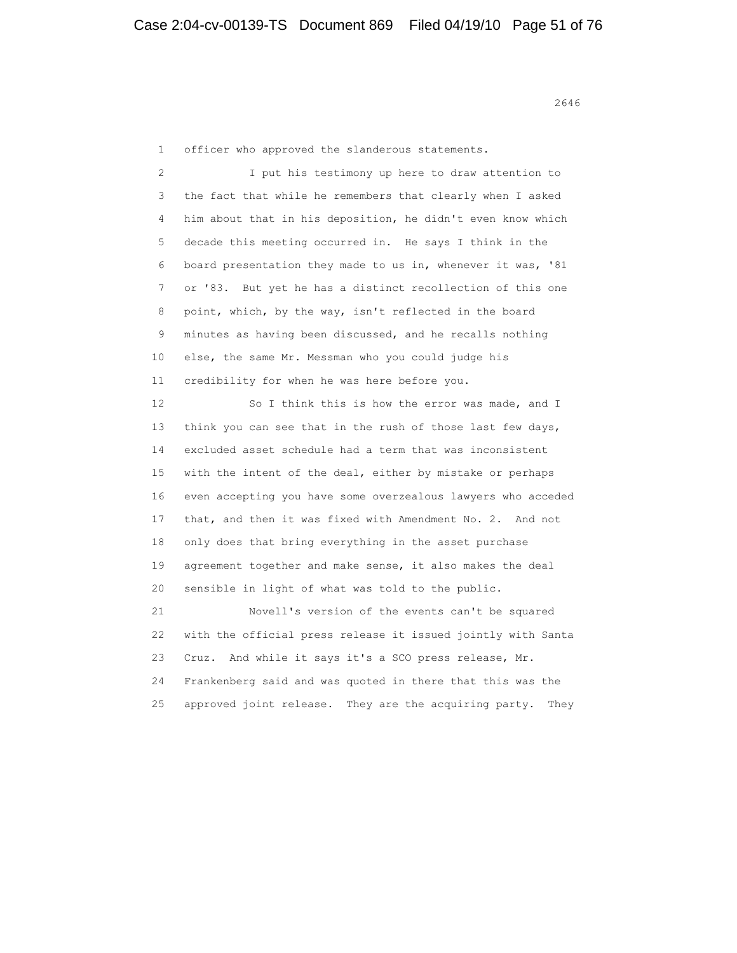1 officer who approved the slanderous statements.

 2 I put his testimony up here to draw attention to 3 the fact that while he remembers that clearly when I asked 4 him about that in his deposition, he didn't even know which 5 decade this meeting occurred in. He says I think in the 6 board presentation they made to us in, whenever it was, '81 7 or '83. But yet he has a distinct recollection of this one 8 point, which, by the way, isn't reflected in the board 9 minutes as having been discussed, and he recalls nothing 10 else, the same Mr. Messman who you could judge his 11 credibility for when he was here before you. 12 So I think this is how the error was made, and I 13 think you can see that in the rush of those last few days, 14 excluded asset schedule had a term that was inconsistent 15 with the intent of the deal, either by mistake or perhaps 16 even accepting you have some overzealous lawyers who acceded 17 that, and then it was fixed with Amendment No. 2. And not 18 only does that bring everything in the asset purchase 19 agreement together and make sense, it also makes the deal 20 sensible in light of what was told to the public. 21 Novell's version of the events can't be squared 22 with the official press release it issued jointly with Santa 23 Cruz. And while it says it's a SCO press release, Mr. 24 Frankenberg said and was quoted in there that this was the 25 approved joint release. They are the acquiring party. They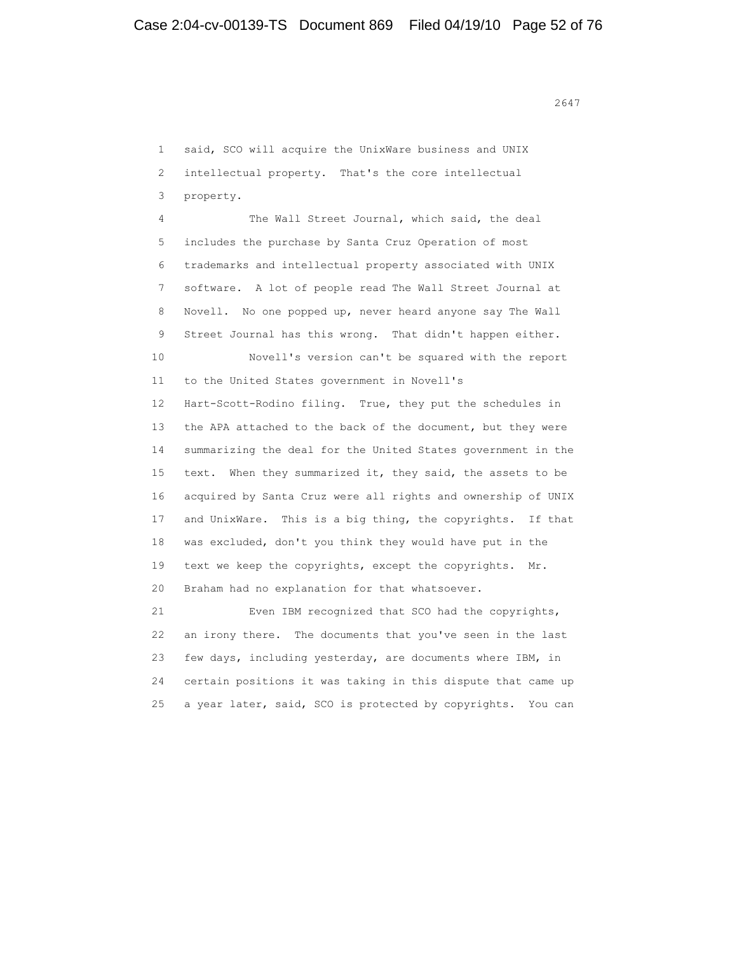1 said, SCO will acquire the UnixWare business and UNIX 2 intellectual property. That's the core intellectual 3 property. 4 The Wall Street Journal, which said, the deal 5 includes the purchase by Santa Cruz Operation of most 6 trademarks and intellectual property associated with UNIX 7 software. A lot of people read The Wall Street Journal at 8 Novell. No one popped up, never heard anyone say The Wall 9 Street Journal has this wrong. That didn't happen either. 10 Novell's version can't be squared with the report 11 to the United States government in Novell's 12 Hart-Scott-Rodino filing. True, they put the schedules in 13 the APA attached to the back of the document, but they were 14 summarizing the deal for the United States government in the 15 text. When they summarized it, they said, the assets to be 16 acquired by Santa Cruz were all rights and ownership of UNIX 17 and UnixWare. This is a big thing, the copyrights. If that 18 was excluded, don't you think they would have put in the 19 text we keep the copyrights, except the copyrights. Mr. 20 Braham had no explanation for that whatsoever. 21 Even IBM recognized that SCO had the copyrights,

 22 an irony there. The documents that you've seen in the last 23 few days, including yesterday, are documents where IBM, in 24 certain positions it was taking in this dispute that came up 25 a year later, said, SCO is protected by copyrights. You can

2647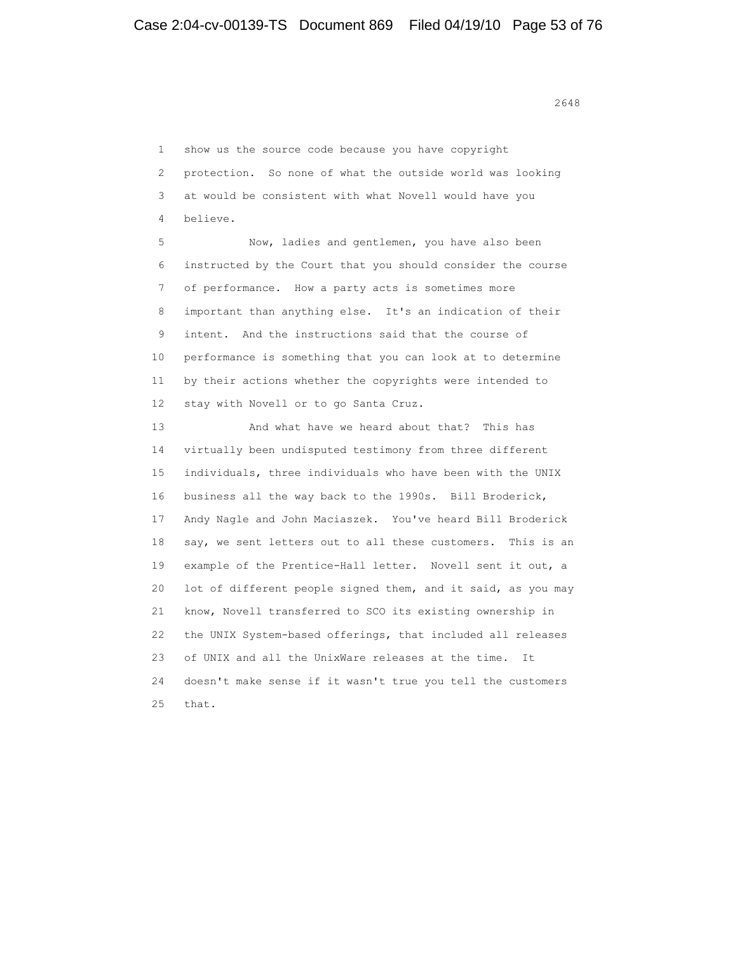1 show us the source code because you have copyright 2 protection. So none of what the outside world was looking 3 at would be consistent with what Novell would have you 4 believe.

 5 Now, ladies and gentlemen, you have also been 6 instructed by the Court that you should consider the course 7 of performance. How a party acts is sometimes more 8 important than anything else. It's an indication of their 9 intent. And the instructions said that the course of 10 performance is something that you can look at to determine 11 by their actions whether the copyrights were intended to 12 stay with Novell or to go Santa Cruz.

 13 And what have we heard about that? This has 14 virtually been undisputed testimony from three different 15 individuals, three individuals who have been with the UNIX 16 business all the way back to the 1990s. Bill Broderick, 17 Andy Nagle and John Maciaszek. You've heard Bill Broderick 18 say, we sent letters out to all these customers. This is an 19 example of the Prentice-Hall letter. Novell sent it out, a 20 lot of different people signed them, and it said, as you may 21 know, Novell transferred to SCO its existing ownership in 22 the UNIX System-based offerings, that included all releases 23 of UNIX and all the UnixWare releases at the time. It 24 doesn't make sense if it wasn't true you tell the customers 25 that.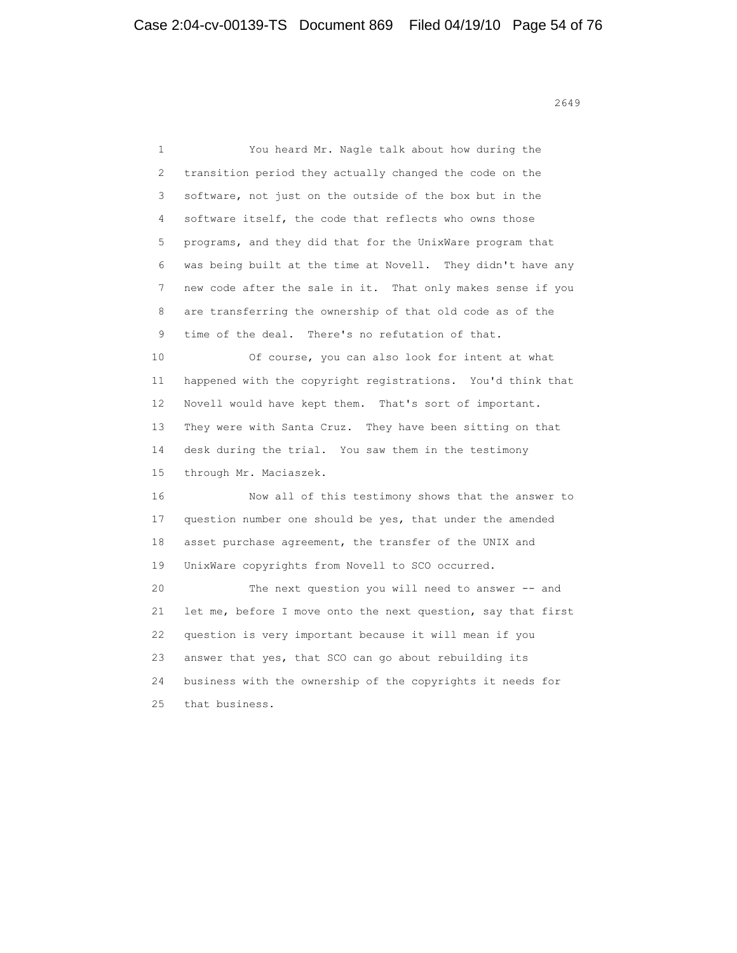1 You heard Mr. Nagle talk about how during the 2 transition period they actually changed the code on the 3 software, not just on the outside of the box but in the 4 software itself, the code that reflects who owns those 5 programs, and they did that for the UnixWare program that 6 was being built at the time at Novell. They didn't have any 7 new code after the sale in it. That only makes sense if you 8 are transferring the ownership of that old code as of the 9 time of the deal. There's no refutation of that. 10 Of course, you can also look for intent at what 11 happened with the copyright registrations. You'd think that 12 Novell would have kept them. That's sort of important. 13 They were with Santa Cruz. They have been sitting on that 14 desk during the trial. You saw them in the testimony 15 through Mr. Maciaszek. 16 Now all of this testimony shows that the answer to 17 question number one should be yes, that under the amended 18 asset purchase agreement, the transfer of the UNIX and 19 UnixWare copyrights from Novell to SCO occurred. 20 The next question you will need to answer -- and 21 let me, before I move onto the next question, say that first 22 question is very important because it will mean if you 23 answer that yes, that SCO can go about rebuilding its 24 business with the ownership of the copyrights it needs for 25 that business.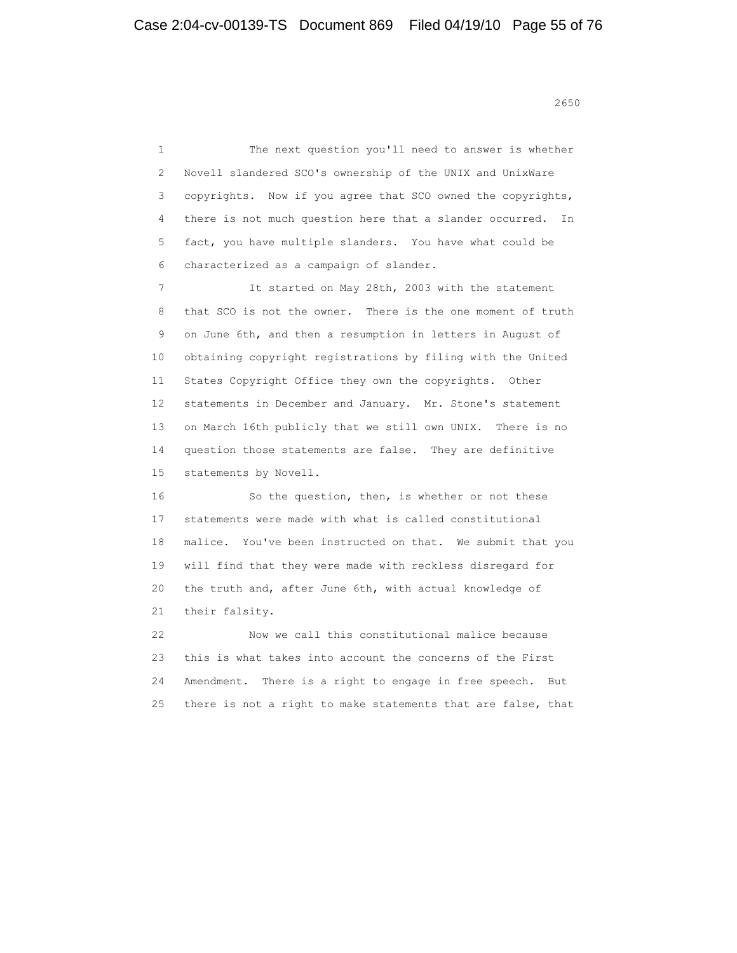<u>2650</u>

 1 The next question you'll need to answer is whether 2 Novell slandered SCO's ownership of the UNIX and UnixWare 3 copyrights. Now if you agree that SCO owned the copyrights, 4 there is not much question here that a slander occurred. In 5 fact, you have multiple slanders. You have what could be 6 characterized as a campaign of slander. 7 It started on May 28th, 2003 with the statement 8 that SCO is not the owner. There is the one moment of truth 9 on June 6th, and then a resumption in letters in August of 10 obtaining copyright registrations by filing with the United 11 States Copyright Office they own the copyrights. Other 12 statements in December and January. Mr. Stone's statement 13 on March 16th publicly that we still own UNIX. There is no 14 question those statements are false. They are definitive 15 statements by Novell. 16 So the question, then, is whether or not these 17 statements were made with what is called constitutional 18 malice. You've been instructed on that. We submit that you 19 will find that they were made with reckless disregard for 20 the truth and, after June 6th, with actual knowledge of 21 their falsity. 22 Now we call this constitutional malice because 23 this is what takes into account the concerns of the First 24 Amendment. There is a right to engage in free speech. But

25 there is not a right to make statements that are false, that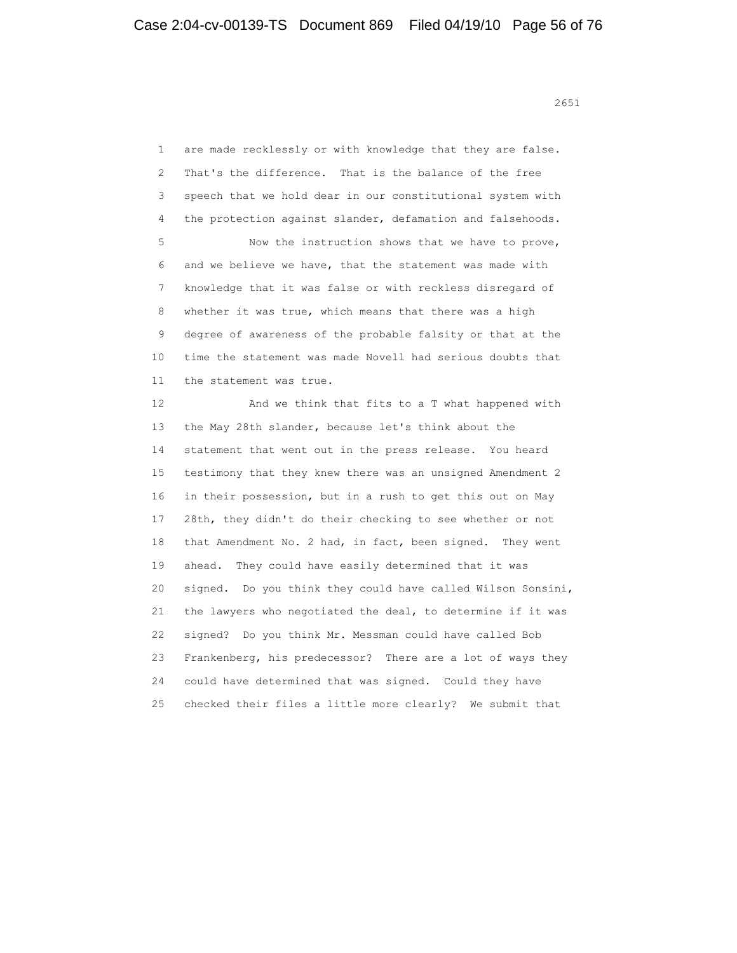1 are made recklessly or with knowledge that they are false. 2 That's the difference. That is the balance of the free 3 speech that we hold dear in our constitutional system with 4 the protection against slander, defamation and falsehoods. 5 Now the instruction shows that we have to prove, 6 and we believe we have, that the statement was made with 7 knowledge that it was false or with reckless disregard of 8 whether it was true, which means that there was a high 9 degree of awareness of the probable falsity or that at the 10 time the statement was made Novell had serious doubts that 11 the statement was true. 12 And we think that fits to a T what happened with 13 the May 28th slander, because let's think about the 14 statement that went out in the press release. You heard 15 testimony that they knew there was an unsigned Amendment 2 16 in their possession, but in a rush to get this out on May 17 28th, they didn't do their checking to see whether or not 18 that Amendment No. 2 had, in fact, been signed. They went 19 ahead. They could have easily determined that it was 20 signed. Do you think they could have called Wilson Sonsini, 21 the lawyers who negotiated the deal, to determine if it was 22 signed? Do you think Mr. Messman could have called Bob 23 Frankenberg, his predecessor? There are a lot of ways they 24 could have determined that was signed. Could they have

25 checked their files a little more clearly? We submit that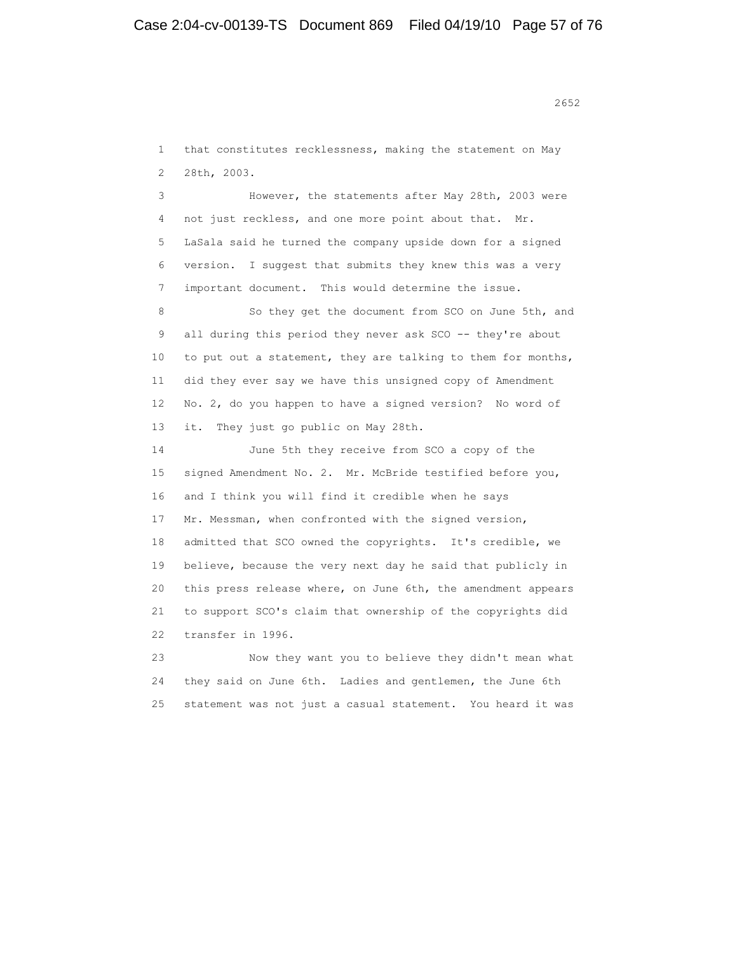1 that constitutes recklessness, making the statement on May 2 28th, 2003.

 3 However, the statements after May 28th, 2003 were 4 not just reckless, and one more point about that. Mr. 5 LaSala said he turned the company upside down for a signed 6 version. I suggest that submits they knew this was a very 7 important document. This would determine the issue.

8 So they get the document from SCO on June 5th, and 9 all during this period they never ask SCO -- they're about 10 to put out a statement, they are talking to them for months, 11 did they ever say we have this unsigned copy of Amendment 12 No. 2, do you happen to have a signed version? No word of 13 it. They just go public on May 28th.

 14 June 5th they receive from SCO a copy of the 15 signed Amendment No. 2. Mr. McBride testified before you, 16 and I think you will find it credible when he says 17 Mr. Messman, when confronted with the signed version, 18 admitted that SCO owned the copyrights. It's credible, we 19 believe, because the very next day he said that publicly in 20 this press release where, on June 6th, the amendment appears 21 to support SCO's claim that ownership of the copyrights did 22 transfer in 1996.

 23 Now they want you to believe they didn't mean what 24 they said on June 6th. Ladies and gentlemen, the June 6th 25 statement was not just a casual statement. You heard it was

 $2652$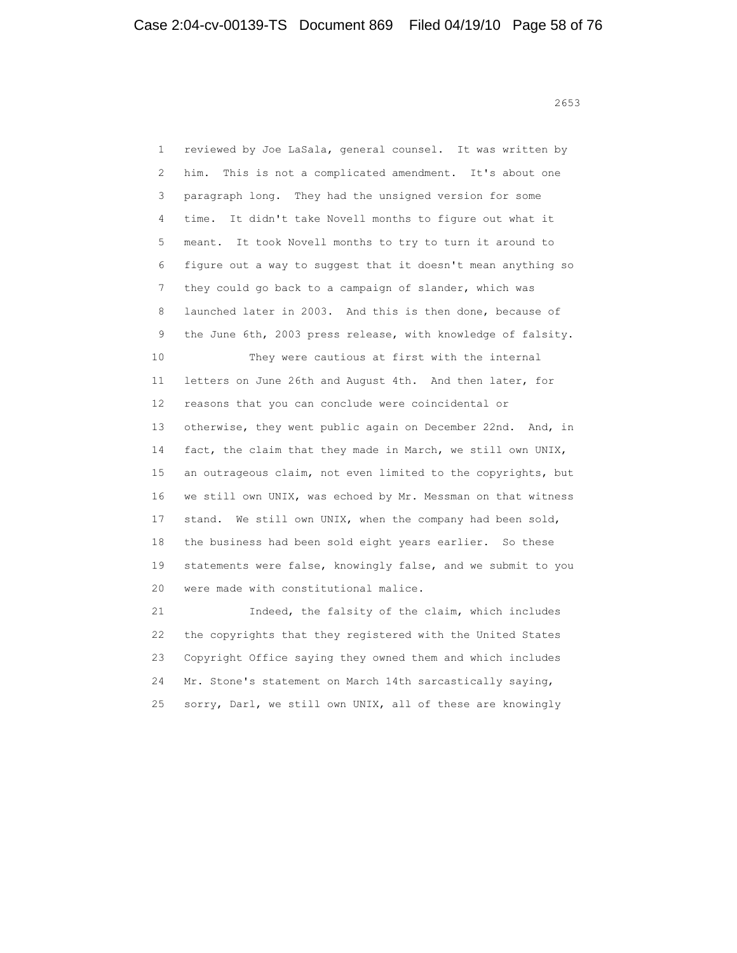1 reviewed by Joe LaSala, general counsel. It was written by 2 him. This is not a complicated amendment. It's about one 3 paragraph long. They had the unsigned version for some 4 time. It didn't take Novell months to figure out what it 5 meant. It took Novell months to try to turn it around to 6 figure out a way to suggest that it doesn't mean anything so 7 they could go back to a campaign of slander, which was 8 launched later in 2003. And this is then done, because of 9 the June 6th, 2003 press release, with knowledge of falsity. 10 They were cautious at first with the internal 11 letters on June 26th and August 4th. And then later, for 12 reasons that you can conclude were coincidental or 13 otherwise, they went public again on December 22nd. And, in 14 fact, the claim that they made in March, we still own UNIX, 15 an outrageous claim, not even limited to the copyrights, but 16 we still own UNIX, was echoed by Mr. Messman on that witness 17 stand. We still own UNIX, when the company had been sold, 18 the business had been sold eight years earlier. So these 19 statements were false, knowingly false, and we submit to you 20 were made with constitutional malice. 21 Indeed, the falsity of the claim, which includes 22 the copyrights that they registered with the United States 23 Copyright Office saying they owned them and which includes 24 Mr. Stone's statement on March 14th sarcastically saying, 25 sorry, Darl, we still own UNIX, all of these are knowingly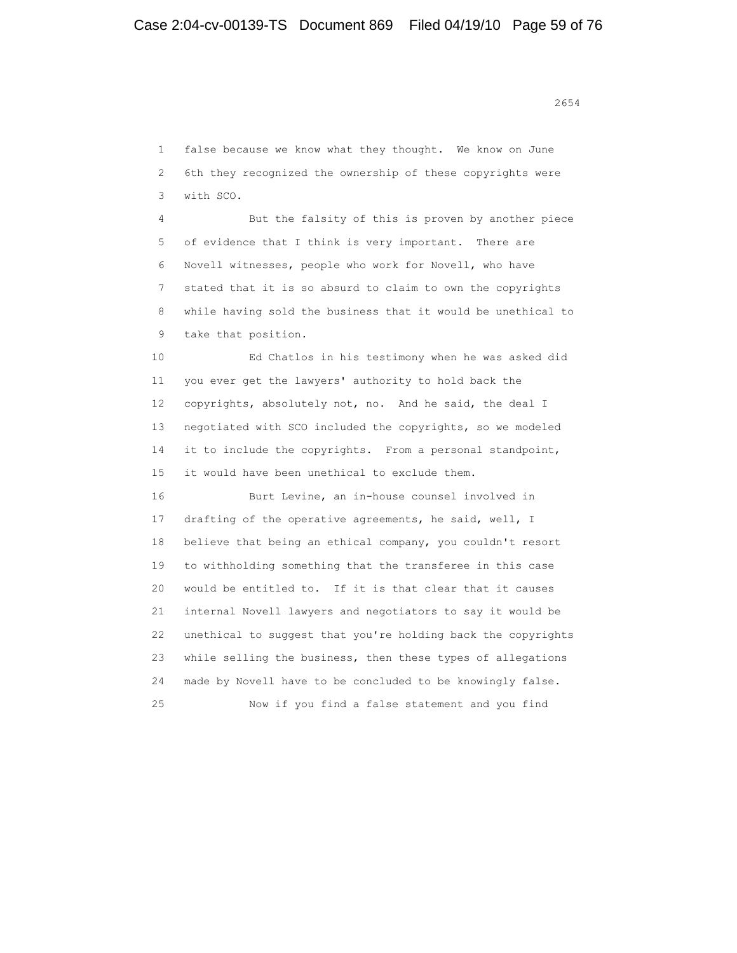1 false because we know what they thought. We know on June 2 6th they recognized the ownership of these copyrights were 3 with SCO. 4 But the falsity of this is proven by another piece 5 of evidence that I think is very important. There are 6 Novell witnesses, people who work for Novell, who have 7 stated that it is so absurd to claim to own the copyrights 8 while having sold the business that it would be unethical to 9 take that position. 10 Ed Chatlos in his testimony when he was asked did 11 you ever get the lawyers' authority to hold back the 12 copyrights, absolutely not, no. And he said, the deal I 13 negotiated with SCO included the copyrights, so we modeled 14 it to include the copyrights. From a personal standpoint, 15 it would have been unethical to exclude them.

 16 Burt Levine, an in-house counsel involved in 17 drafting of the operative agreements, he said, well, I 18 believe that being an ethical company, you couldn't resort 19 to withholding something that the transferee in this case 20 would be entitled to. If it is that clear that it causes 21 internal Novell lawyers and negotiators to say it would be 22 unethical to suggest that you're holding back the copyrights 23 while selling the business, then these types of allegations 24 made by Novell have to be concluded to be knowingly false. 25 Now if you find a false statement and you find

2654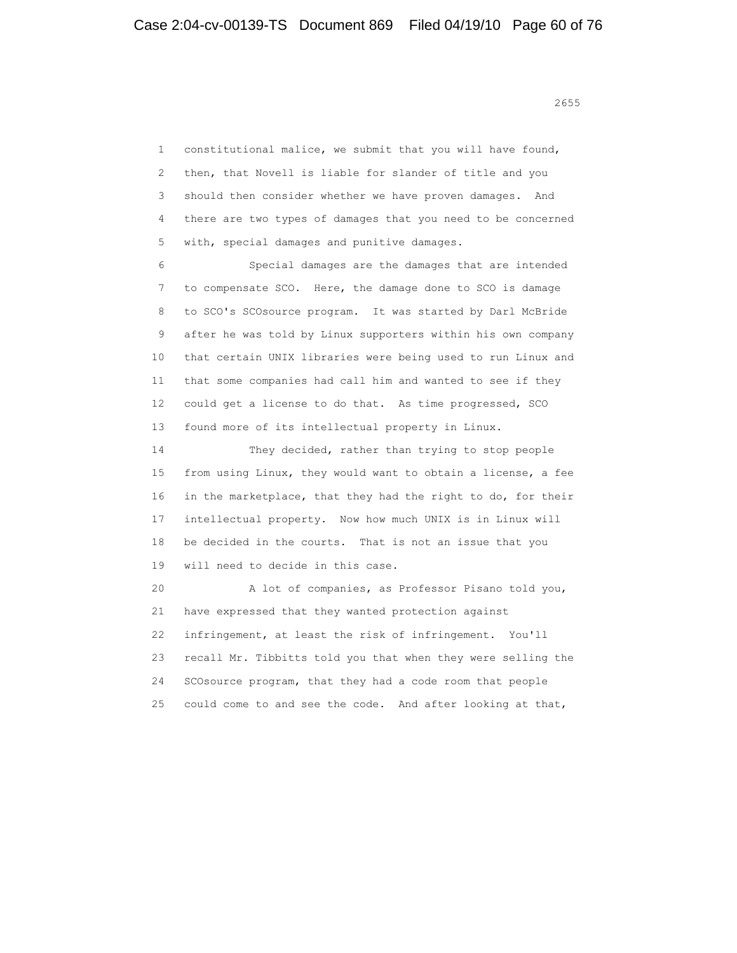1 constitutional malice, we submit that you will have found, 2 then, that Novell is liable for slander of title and you 3 should then consider whether we have proven damages. And 4 there are two types of damages that you need to be concerned 5 with, special damages and punitive damages.

 6 Special damages are the damages that are intended 7 to compensate SCO. Here, the damage done to SCO is damage 8 to SCO's SCOsource program. It was started by Darl McBride 9 after he was told by Linux supporters within his own company 10 that certain UNIX libraries were being used to run Linux and 11 that some companies had call him and wanted to see if they 12 could get a license to do that. As time progressed, SCO 13 found more of its intellectual property in Linux.

 14 They decided, rather than trying to stop people 15 from using Linux, they would want to obtain a license, a fee 16 in the marketplace, that they had the right to do, for their 17 intellectual property. Now how much UNIX is in Linux will 18 be decided in the courts. That is not an issue that you 19 will need to decide in this case.

 20 A lot of companies, as Professor Pisano told you, 21 have expressed that they wanted protection against 22 infringement, at least the risk of infringement. You'll 23 recall Mr. Tibbitts told you that when they were selling the 24 SCOsource program, that they had a code room that people 25 could come to and see the code. And after looking at that,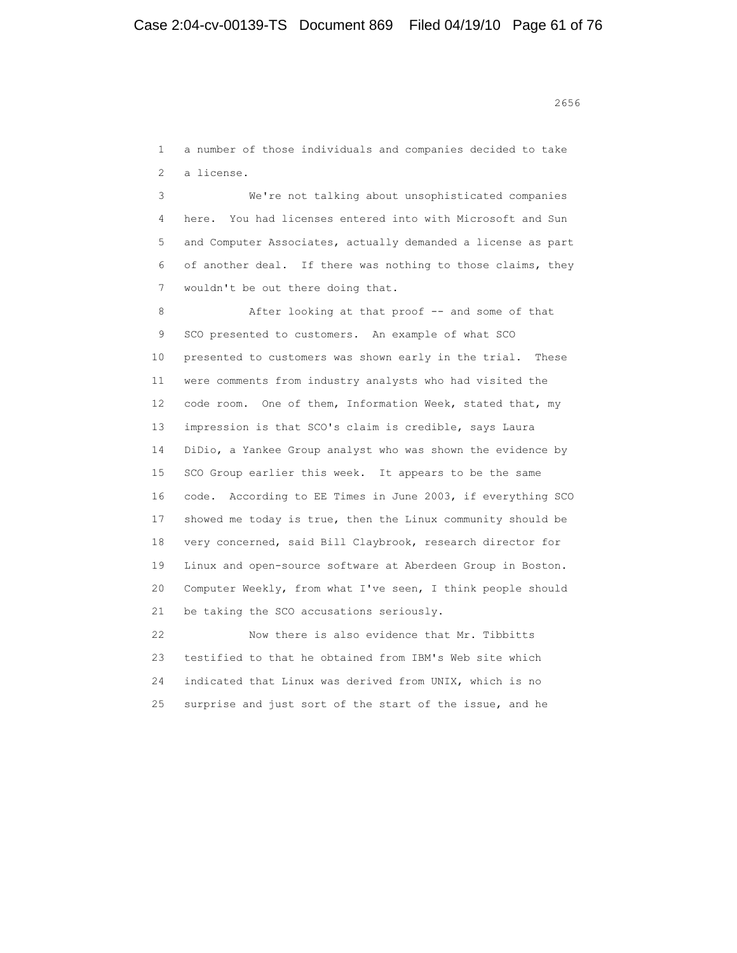1 a number of those individuals and companies decided to take 2 a license.

 3 We're not talking about unsophisticated companies 4 here. You had licenses entered into with Microsoft and Sun 5 and Computer Associates, actually demanded a license as part 6 of another deal. If there was nothing to those claims, they 7 wouldn't be out there doing that.

8 After looking at that proof -- and some of that 9 SCO presented to customers. An example of what SCO 10 presented to customers was shown early in the trial. These 11 were comments from industry analysts who had visited the 12 code room. One of them, Information Week, stated that, my 13 impression is that SCO's claim is credible, says Laura 14 DiDio, a Yankee Group analyst who was shown the evidence by 15 SCO Group earlier this week. It appears to be the same 16 code. According to EE Times in June 2003, if everything SCO 17 showed me today is true, then the Linux community should be 18 very concerned, said Bill Claybrook, research director for 19 Linux and open-source software at Aberdeen Group in Boston. 20 Computer Weekly, from what I've seen, I think people should 21 be taking the SCO accusations seriously.

 22 Now there is also evidence that Mr. Tibbitts 23 testified to that he obtained from IBM's Web site which 24 indicated that Linux was derived from UNIX, which is no 25 surprise and just sort of the start of the issue, and he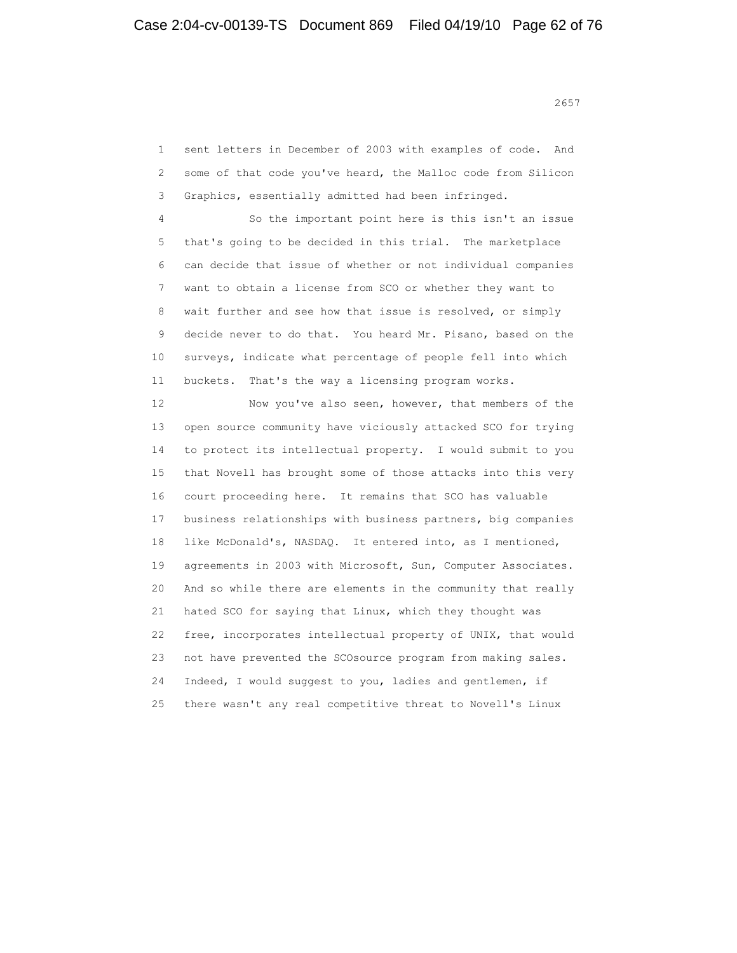1 sent letters in December of 2003 with examples of code. And 2 some of that code you've heard, the Malloc code from Silicon 3 Graphics, essentially admitted had been infringed.

 4 So the important point here is this isn't an issue 5 that's going to be decided in this trial. The marketplace 6 can decide that issue of whether or not individual companies 7 want to obtain a license from SCO or whether they want to 8 wait further and see how that issue is resolved, or simply 9 decide never to do that. You heard Mr. Pisano, based on the 10 surveys, indicate what percentage of people fell into which 11 buckets. That's the way a licensing program works.

 12 Now you've also seen, however, that members of the 13 open source community have viciously attacked SCO for trying 14 to protect its intellectual property. I would submit to you 15 that Novell has brought some of those attacks into this very 16 court proceeding here. It remains that SCO has valuable 17 business relationships with business partners, big companies 18 like McDonald's, NASDAQ. It entered into, as I mentioned, 19 agreements in 2003 with Microsoft, Sun, Computer Associates. 20 And so while there are elements in the community that really 21 hated SCO for saying that Linux, which they thought was 22 free, incorporates intellectual property of UNIX, that would 23 not have prevented the SCOsource program from making sales. 24 Indeed, I would suggest to you, ladies and gentlemen, if 25 there wasn't any real competitive threat to Novell's Linux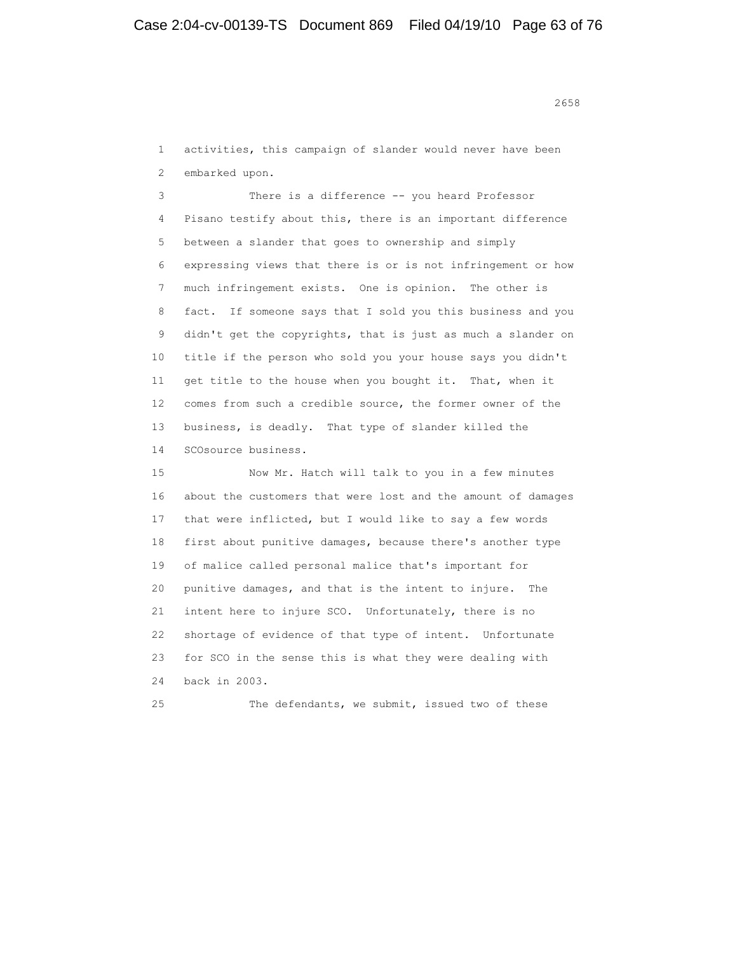<u>2658</u> **2658** 

 1 activities, this campaign of slander would never have been 2 embarked upon.

 3 There is a difference -- you heard Professor 4 Pisano testify about this, there is an important difference 5 between a slander that goes to ownership and simply 6 expressing views that there is or is not infringement or how 7 much infringement exists. One is opinion. The other is 8 fact. If someone says that I sold you this business and you 9 didn't get the copyrights, that is just as much a slander on 10 title if the person who sold you your house says you didn't 11 get title to the house when you bought it. That, when it 12 comes from such a credible source, the former owner of the 13 business, is deadly. That type of slander killed the 14 SCOsource business.

 15 Now Mr. Hatch will talk to you in a few minutes 16 about the customers that were lost and the amount of damages 17 that were inflicted, but I would like to say a few words 18 first about punitive damages, because there's another type 19 of malice called personal malice that's important for 20 punitive damages, and that is the intent to injure. The 21 intent here to injure SCO. Unfortunately, there is no 22 shortage of evidence of that type of intent. Unfortunate 23 for SCO in the sense this is what they were dealing with 24 back in 2003.

25 The defendants, we submit, issued two of these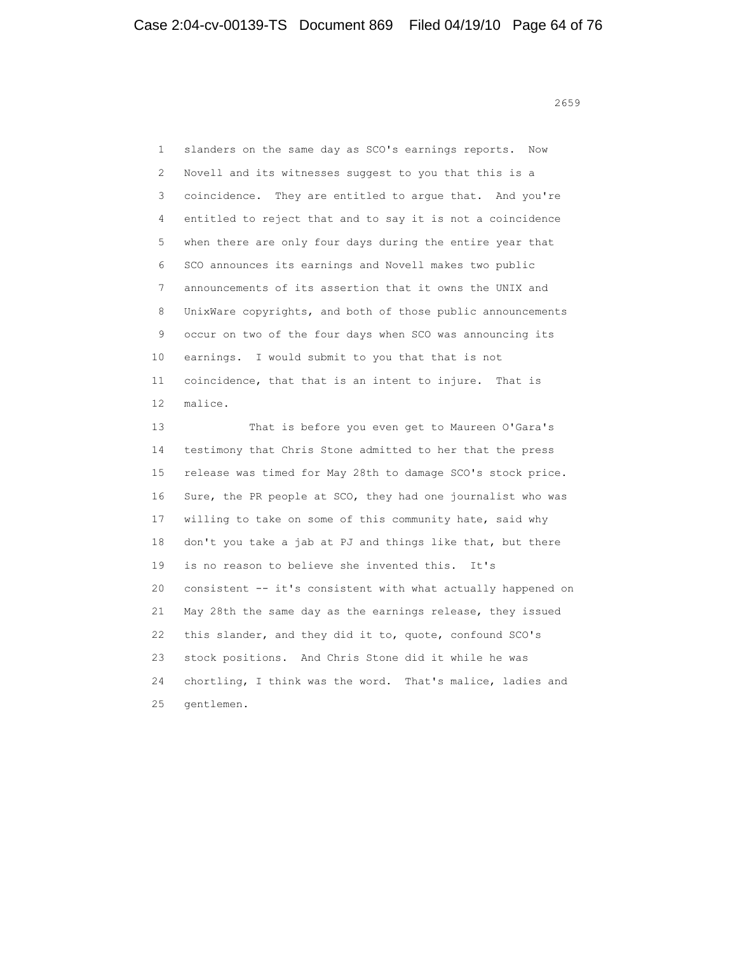<u>2659</u>

 1 slanders on the same day as SCO's earnings reports. Now 2 Novell and its witnesses suggest to you that this is a 3 coincidence. They are entitled to argue that. And you're 4 entitled to reject that and to say it is not a coincidence 5 when there are only four days during the entire year that 6 SCO announces its earnings and Novell makes two public 7 announcements of its assertion that it owns the UNIX and 8 UnixWare copyrights, and both of those public announcements 9 occur on two of the four days when SCO was announcing its 10 earnings. I would submit to you that that is not 11 coincidence, that that is an intent to injure. That is 12 malice. 13 That is before you even get to Maureen O'Gara's

 14 testimony that Chris Stone admitted to her that the press 15 release was timed for May 28th to damage SCO's stock price. 16 Sure, the PR people at SCO, they had one journalist who was 17 willing to take on some of this community hate, said why 18 don't you take a jab at PJ and things like that, but there 19 is no reason to believe she invented this. It's 20 consistent -- it's consistent with what actually happened on 21 May 28th the same day as the earnings release, they issued 22 this slander, and they did it to, quote, confound SCO's 23 stock positions. And Chris Stone did it while he was 24 chortling, I think was the word. That's malice, ladies and 25 gentlemen.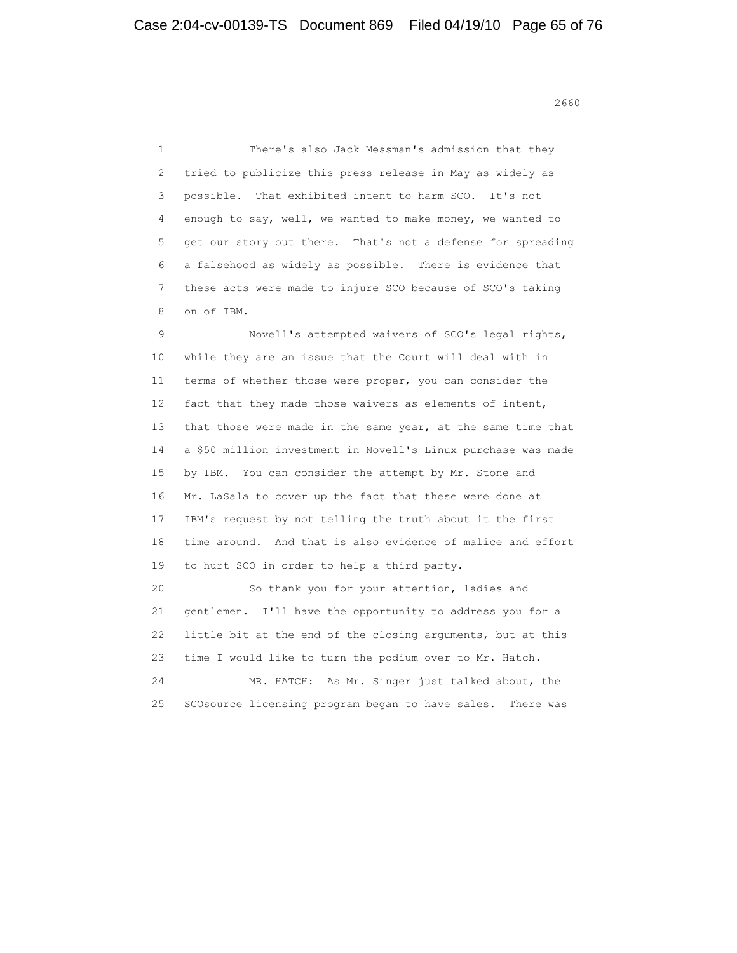<u>2660</u> and 2660 and 2660 and 2660 and 2660 and 2660 and 2660 and 2660 and 2660 and 2660 and 2660 and 2660 and 26

 1 There's also Jack Messman's admission that they 2 tried to publicize this press release in May as widely as 3 possible. That exhibited intent to harm SCO. It's not 4 enough to say, well, we wanted to make money, we wanted to 5 get our story out there. That's not a defense for spreading 6 a falsehood as widely as possible. There is evidence that 7 these acts were made to injure SCO because of SCO's taking 8 on of IBM. 9 Novell's attempted waivers of SCO's legal rights, 10 while they are an issue that the Court will deal with in 11 terms of whether those were proper, you can consider the 12 fact that they made those waivers as elements of intent, 13 that those were made in the same year, at the same time that 14 a \$50 million investment in Novell's Linux purchase was made 15 by IBM. You can consider the attempt by Mr. Stone and 16 Mr. LaSala to cover up the fact that these were done at 17 IBM's request by not telling the truth about it the first 18 time around. And that is also evidence of malice and effort 19 to hurt SCO in order to help a third party. 20 So thank you for your attention, ladies and 21 gentlemen. I'll have the opportunity to address you for a 22 little bit at the end of the closing arguments, but at this 23 time I would like to turn the podium over to Mr. Hatch. 24 MR. HATCH: As Mr. Singer just talked about, the 25 SCOsource licensing program began to have sales. There was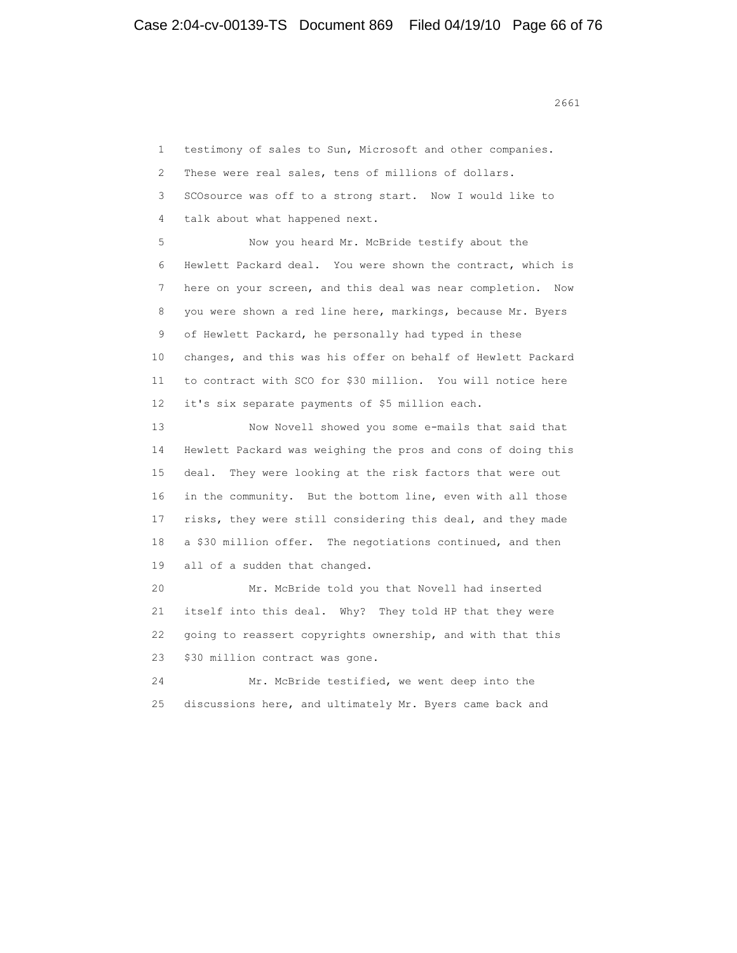1 testimony of sales to Sun, Microsoft and other companies.

2 These were real sales, tens of millions of dollars.

3 SCOsource was off to a strong start. Now I would like to

4 talk about what happened next.

 5 Now you heard Mr. McBride testify about the 6 Hewlett Packard deal. You were shown the contract, which is 7 here on your screen, and this deal was near completion. Now 8 you were shown a red line here, markings, because Mr. Byers 9 of Hewlett Packard, he personally had typed in these 10 changes, and this was his offer on behalf of Hewlett Packard 11 to contract with SCO for \$30 million. You will notice here 12 it's six separate payments of \$5 million each.

 13 Now Novell showed you some e-mails that said that 14 Hewlett Packard was weighing the pros and cons of doing this 15 deal. They were looking at the risk factors that were out 16 in the community. But the bottom line, even with all those 17 risks, they were still considering this deal, and they made 18 a \$30 million offer. The negotiations continued, and then 19 all of a sudden that changed.

 20 Mr. McBride told you that Novell had inserted 21 itself into this deal. Why? They told HP that they were 22 going to reassert copyrights ownership, and with that this 23 \$30 million contract was gone.

 24 Mr. McBride testified, we went deep into the 25 discussions here, and ultimately Mr. Byers came back and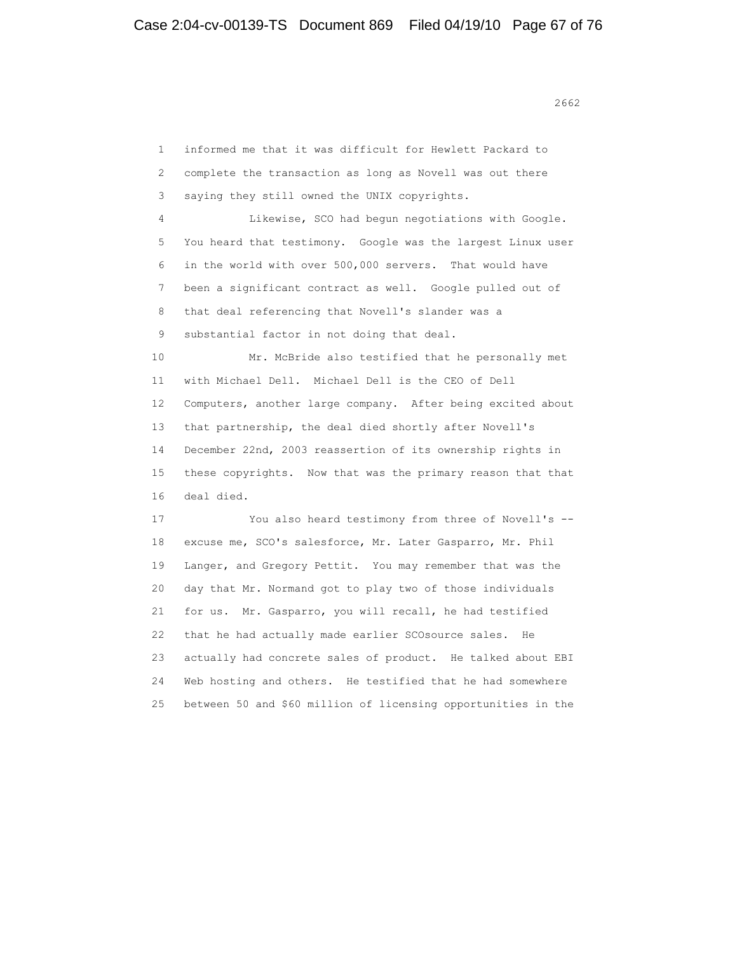1 informed me that it was difficult for Hewlett Packard to 2 complete the transaction as long as Novell was out there 3 saying they still owned the UNIX copyrights. 4 Likewise, SCO had begun negotiations with Google. 5 You heard that testimony. Google was the largest Linux user 6 in the world with over 500,000 servers. That would have 7 been a significant contract as well. Google pulled out of 8 that deal referencing that Novell's slander was a 9 substantial factor in not doing that deal. 10 Mr. McBride also testified that he personally met 11 with Michael Dell. Michael Dell is the CEO of Dell 12 Computers, another large company. After being excited about 13 that partnership, the deal died shortly after Novell's 14 December 22nd, 2003 reassertion of its ownership rights in 15 these copyrights. Now that was the primary reason that that 16 deal died. 17 You also heard testimony from three of Novell's -- 18 excuse me, SCO's salesforce, Mr. Later Gasparro, Mr. Phil 19 Langer, and Gregory Pettit. You may remember that was the 20 day that Mr. Normand got to play two of those individuals 21 for us. Mr. Gasparro, you will recall, he had testified 22 that he had actually made earlier SCOsource sales. He 23 actually had concrete sales of product. He talked about EBI 24 Web hosting and others. He testified that he had somewhere 25 between 50 and \$60 million of licensing opportunities in the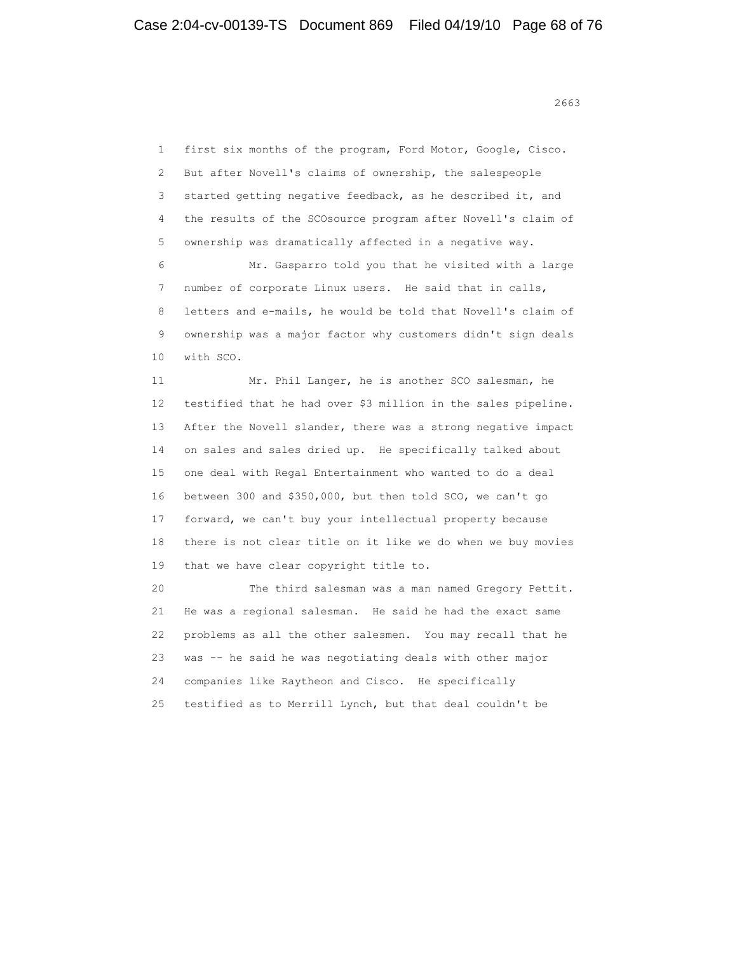1 first six months of the program, Ford Motor, Google, Cisco. 2 But after Novell's claims of ownership, the salespeople 3 started getting negative feedback, as he described it, and 4 the results of the SCOsource program after Novell's claim of 5 ownership was dramatically affected in a negative way. 6 Mr. Gasparro told you that he visited with a large 7 number of corporate Linux users. He said that in calls, 8 letters and e-mails, he would be told that Novell's claim of 9 ownership was a major factor why customers didn't sign deals 10 with SCO. 11 Mr. Phil Langer, he is another SCO salesman, he 12 testified that he had over \$3 million in the sales pipeline. 13 After the Novell slander, there was a strong negative impact 14 on sales and sales dried up. He specifically talked about 15 one deal with Regal Entertainment who wanted to do a deal 16 between 300 and \$350,000, but then told SCO, we can't go 17 forward, we can't buy your intellectual property because 18 there is not clear title on it like we do when we buy movies 19 that we have clear copyright title to.

 20 The third salesman was a man named Gregory Pettit. 21 He was a regional salesman. He said he had the exact same 22 problems as all the other salesmen. You may recall that he 23 was -- he said he was negotiating deals with other major 24 companies like Raytheon and Cisco. He specifically 25 testified as to Merrill Lynch, but that deal couldn't be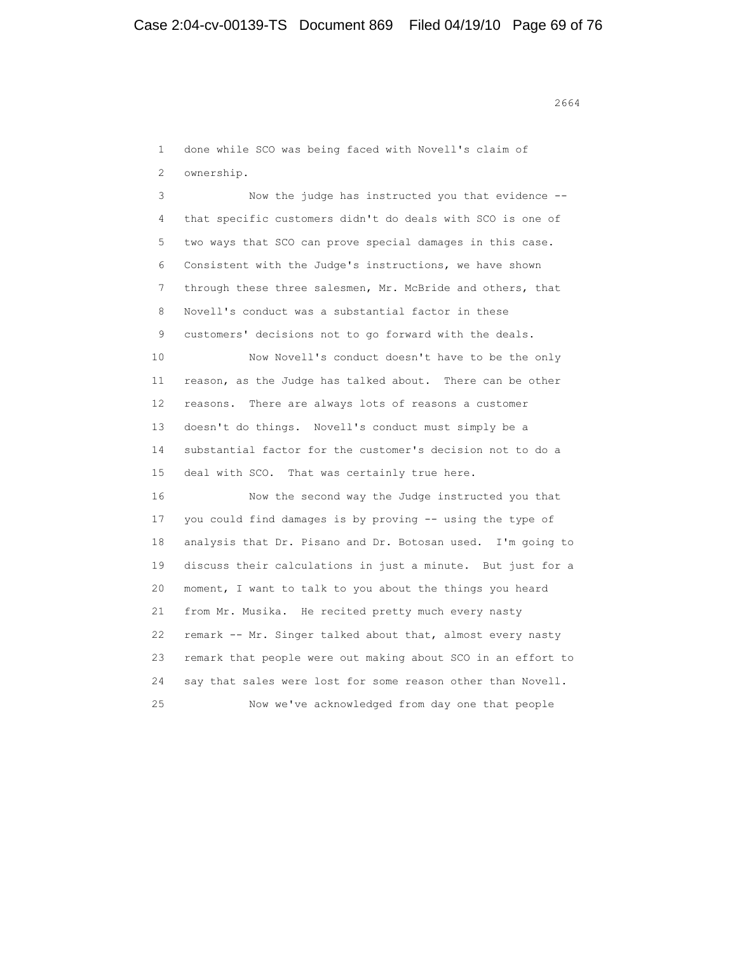1 done while SCO was being faced with Novell's claim of 2 ownership. 3 Now the judge has instructed you that evidence -- 4 that specific customers didn't do deals with SCO is one of

 5 two ways that SCO can prove special damages in this case. 6 Consistent with the Judge's instructions, we have shown 7 through these three salesmen, Mr. McBride and others, that 8 Novell's conduct was a substantial factor in these 9 customers' decisions not to go forward with the deals. 10 Now Novell's conduct doesn't have to be the only 11 reason, as the Judge has talked about. There can be other 12 reasons. There are always lots of reasons a customer 13 doesn't do things. Novell's conduct must simply be a 14 substantial factor for the customer's decision not to do a 15 deal with SCO. That was certainly true here.

 16 Now the second way the Judge instructed you that 17 you could find damages is by proving -- using the type of 18 analysis that Dr. Pisano and Dr. Botosan used. I'm going to 19 discuss their calculations in just a minute. But just for a 20 moment, I want to talk to you about the things you heard 21 from Mr. Musika. He recited pretty much every nasty 22 remark -- Mr. Singer talked about that, almost every nasty 23 remark that people were out making about SCO in an effort to 24 say that sales were lost for some reason other than Novell. 25 Now we've acknowledged from day one that people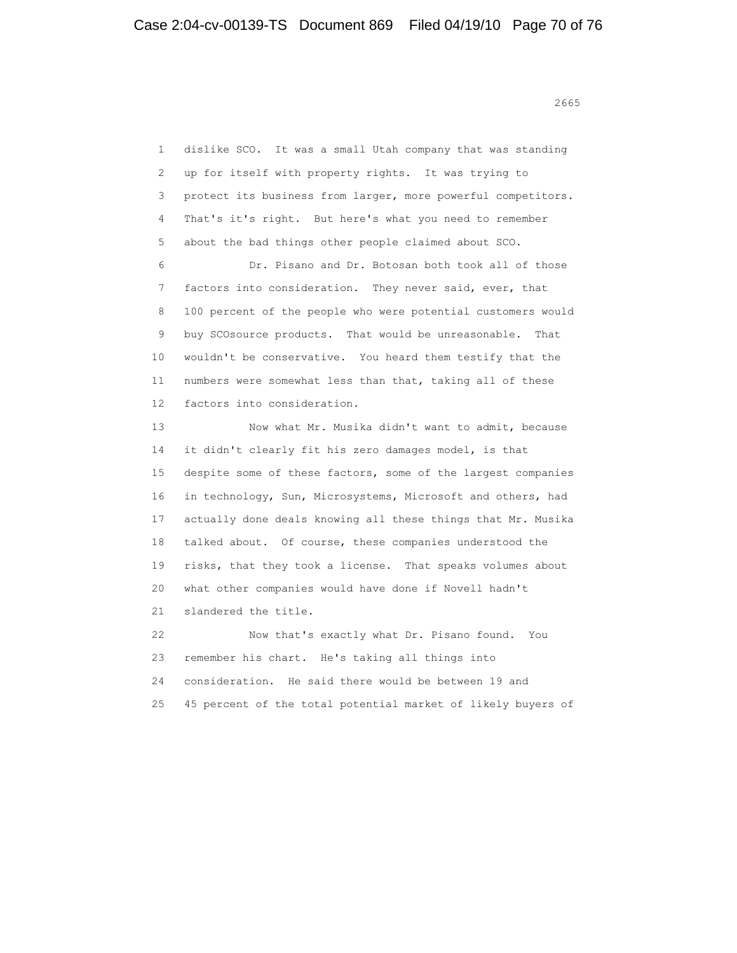<u>2665</u> and 2665 and 2665 and 2665 and 2665 and 2665 and 2665 and 2665 and 2665 and 2665 and 2665 and 2665 and 26

 1 dislike SCO. It was a small Utah company that was standing 2 up for itself with property rights. It was trying to 3 protect its business from larger, more powerful competitors. 4 That's it's right. But here's what you need to remember 5 about the bad things other people claimed about SCO. 6 Dr. Pisano and Dr. Botosan both took all of those 7 factors into consideration. They never said, ever, that 8 100 percent of the people who were potential customers would 9 buy SCOsource products. That would be unreasonable. That 10 wouldn't be conservative. You heard them testify that the 11 numbers were somewhat less than that, taking all of these 12 factors into consideration. 13 Now what Mr. Musika didn't want to admit, because 14 it didn't clearly fit his zero damages model, is that 15 despite some of these factors, some of the largest companies 16 in technology, Sun, Microsystems, Microsoft and others, had 17 actually done deals knowing all these things that Mr. Musika 18 talked about. Of course, these companies understood the 19 risks, that they took a license. That speaks volumes about 20 what other companies would have done if Novell hadn't 21 slandered the title. 22 Now that's exactly what Dr. Pisano found. You 23 remember his chart. He's taking all things into 24 consideration. He said there would be between 19 and 25 45 percent of the total potential market of likely buyers of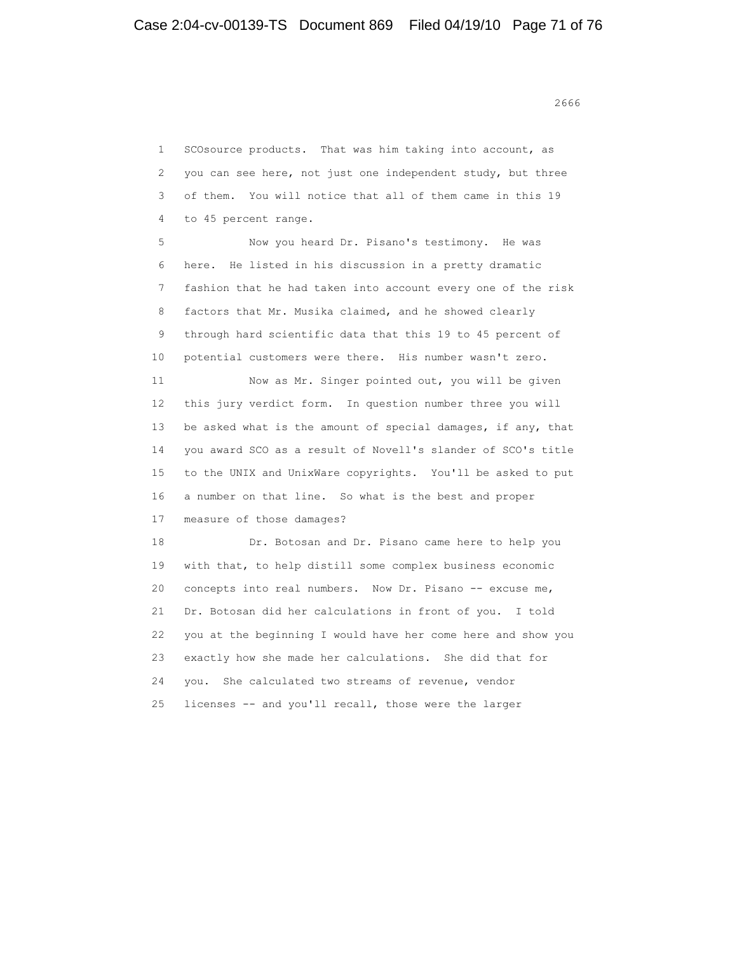1 SCOsource products. That was him taking into account, as 2 you can see here, not just one independent study, but three 3 of them. You will notice that all of them came in this 19 4 to 45 percent range. 5 Now you heard Dr. Pisano's testimony. He was 6 here. He listed in his discussion in a pretty dramatic 7 fashion that he had taken into account every one of the risk 8 factors that Mr. Musika claimed, and he showed clearly 9 through hard scientific data that this 19 to 45 percent of 10 potential customers were there. His number wasn't zero. 11 Now as Mr. Singer pointed out, you will be given 12 this jury verdict form. In question number three you will 13 be asked what is the amount of special damages, if any, that 14 you award SCO as a result of Novell's slander of SCO's title 15 to the UNIX and UnixWare copyrights. You'll be asked to put 16 a number on that line. So what is the best and proper 17 measure of those damages? 18 Dr. Botosan and Dr. Pisano came here to help you 19 with that, to help distill some complex business economic 20 concepts into real numbers. Now Dr. Pisano -- excuse me, 21 Dr. Botosan did her calculations in front of you. I told 22 you at the beginning I would have her come here and show you 23 exactly how she made her calculations. She did that for 24 you. She calculated two streams of revenue, vendor 25 licenses -- and you'll recall, those were the larger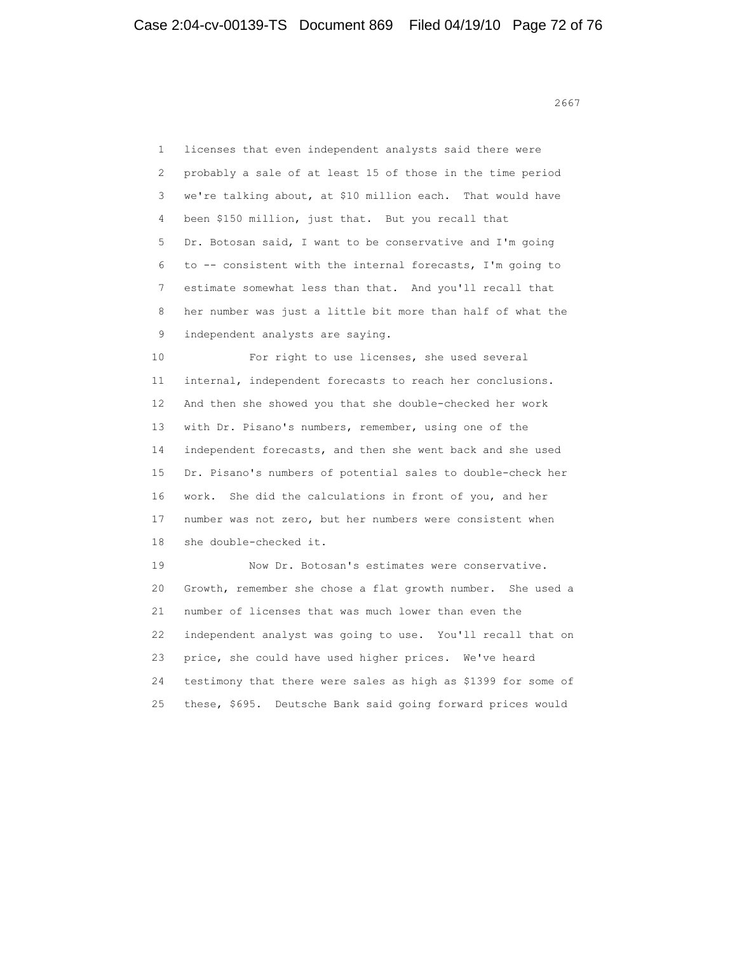1 licenses that even independent analysts said there were 2 probably a sale of at least 15 of those in the time period 3 we're talking about, at \$10 million each. That would have 4 been \$150 million, just that. But you recall that 5 Dr. Botosan said, I want to be conservative and I'm going 6 to -- consistent with the internal forecasts, I'm going to 7 estimate somewhat less than that. And you'll recall that 8 her number was just a little bit more than half of what the 9 independent analysts are saying.

 10 For right to use licenses, she used several 11 internal, independent forecasts to reach her conclusions. 12 And then she showed you that she double-checked her work 13 with Dr. Pisano's numbers, remember, using one of the 14 independent forecasts, and then she went back and she used 15 Dr. Pisano's numbers of potential sales to double-check her 16 work. She did the calculations in front of you, and her 17 number was not zero, but her numbers were consistent when 18 she double-checked it.

 19 Now Dr. Botosan's estimates were conservative. 20 Growth, remember she chose a flat growth number. She used a 21 number of licenses that was much lower than even the 22 independent analyst was going to use. You'll recall that on 23 price, she could have used higher prices. We've heard 24 testimony that there were sales as high as \$1399 for some of 25 these, \$695. Deutsche Bank said going forward prices would

 $2667$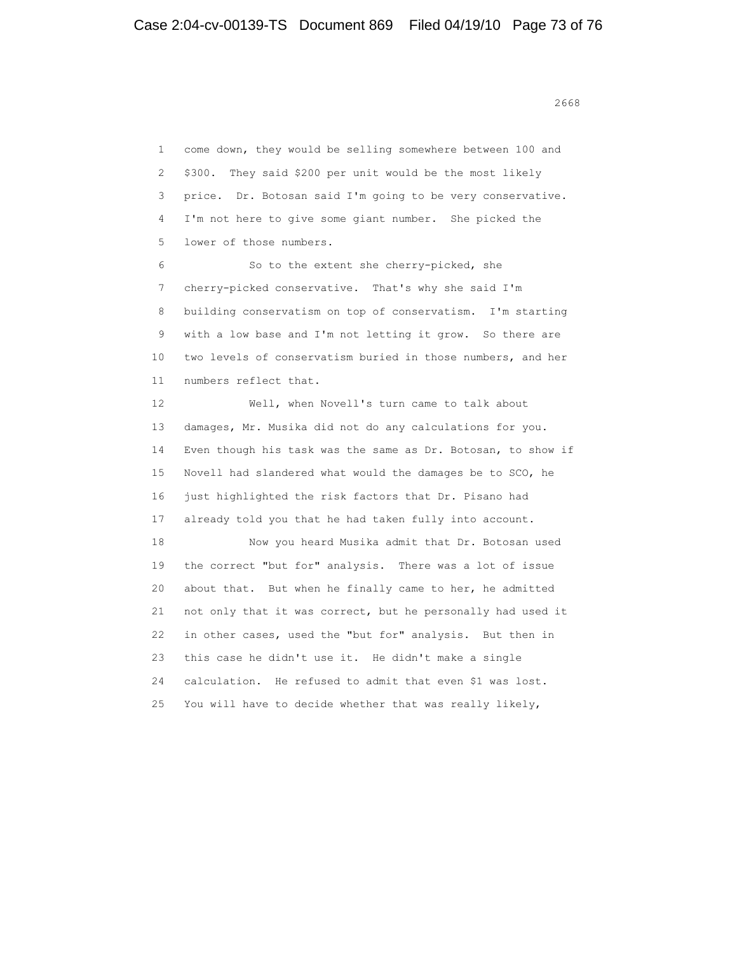2668 **2668** 

 1 come down, they would be selling somewhere between 100 and 2 \$300. They said \$200 per unit would be the most likely 3 price. Dr. Botosan said I'm going to be very conservative. 4 I'm not here to give some giant number. She picked the 5 lower of those numbers. 6 So to the extent she cherry-picked, she 7 cherry-picked conservative. That's why she said I'm 8 building conservatism on top of conservatism. I'm starting 9 with a low base and I'm not letting it grow. So there are 10 two levels of conservatism buried in those numbers, and her 11 numbers reflect that. 12 Well, when Novell's turn came to talk about 13 damages, Mr. Musika did not do any calculations for you. 14 Even though his task was the same as Dr. Botosan, to show if 15 Novell had slandered what would the damages be to SCO, he 16 just highlighted the risk factors that Dr. Pisano had 17 already told you that he had taken fully into account. 18 Now you heard Musika admit that Dr. Botosan used 19 the correct "but for" analysis. There was a lot of issue 20 about that. But when he finally came to her, he admitted 21 not only that it was correct, but he personally had used it 22 in other cases, used the "but for" analysis. But then in 23 this case he didn't use it. He didn't make a single 24 calculation. He refused to admit that even \$1 was lost. 25 You will have to decide whether that was really likely,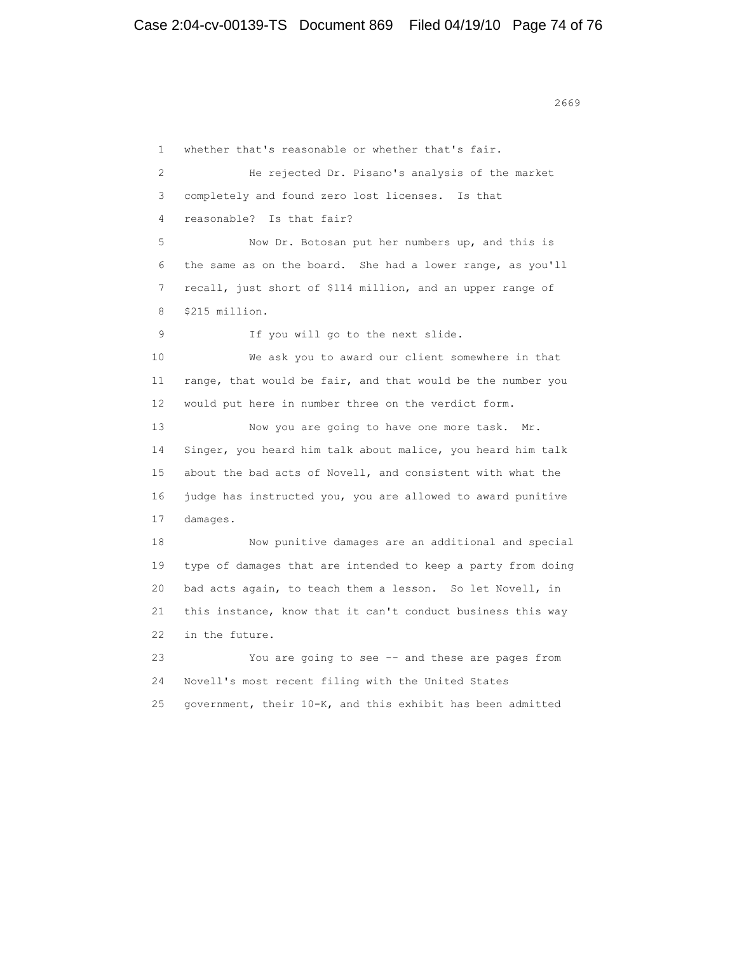1 whether that's reasonable or whether that's fair. 2 He rejected Dr. Pisano's analysis of the market 3 completely and found zero lost licenses. Is that 4 reasonable? Is that fair? 5 Now Dr. Botosan put her numbers up, and this is 6 the same as on the board. She had a lower range, as you'll 7 recall, just short of \$114 million, and an upper range of 8 \$215 million. 9 If you will go to the next slide. 10 We ask you to award our client somewhere in that 11 range, that would be fair, and that would be the number you 12 would put here in number three on the verdict form. 13 Now you are going to have one more task. Mr. 14 Singer, you heard him talk about malice, you heard him talk 15 about the bad acts of Novell, and consistent with what the 16 judge has instructed you, you are allowed to award punitive 17 damages. 18 Now punitive damages are an additional and special 19 type of damages that are intended to keep a party from doing 20 bad acts again, to teach them a lesson. So let Novell, in 21 this instance, know that it can't conduct business this way 22 in the future. 23 You are going to see -- and these are pages from 24 Novell's most recent filing with the United States 25 government, their 10-K, and this exhibit has been admitted

2669 and 2669 and 2669 and 2669 and 2669 and 2669 and 2669 and 2669 and 2669 and 2669 and 267 and 2689 and 26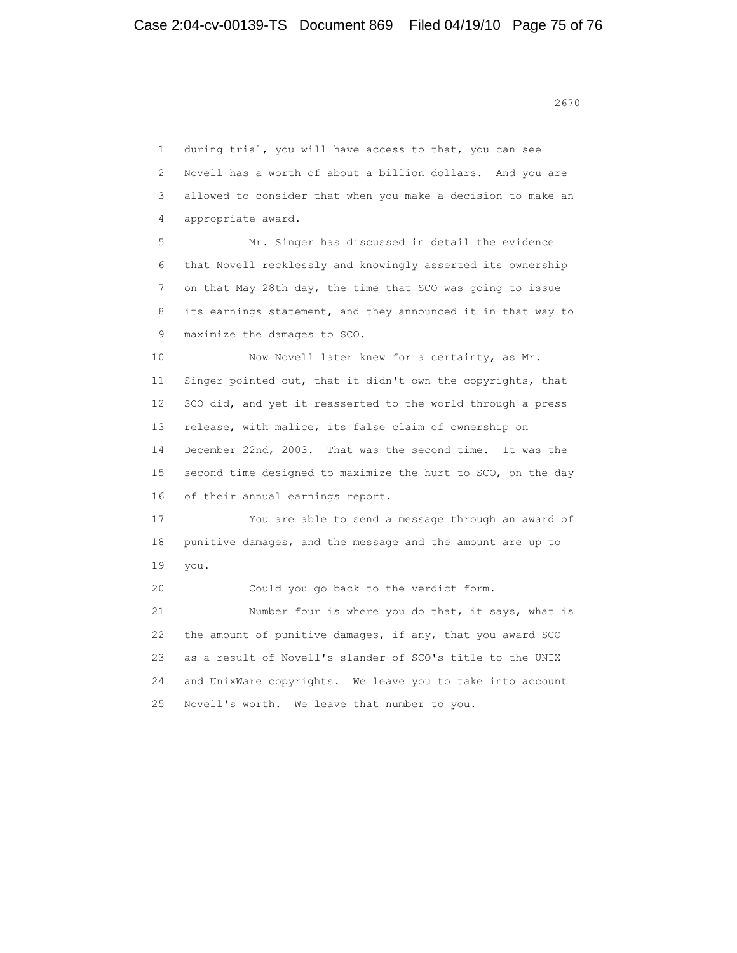2670

 1 during trial, you will have access to that, you can see 2 Novell has a worth of about a billion dollars. And you are 3 allowed to consider that when you make a decision to make an 4 appropriate award. 5 Mr. Singer has discussed in detail the evidence 6 that Novell recklessly and knowingly asserted its ownership 7 on that May 28th day, the time that SCO was going to issue 8 its earnings statement, and they announced it in that way to 9 maximize the damages to SCO. 10 Now Novell later knew for a certainty, as Mr. 11 Singer pointed out, that it didn't own the copyrights, that 12 SCO did, and yet it reasserted to the world through a press 13 release, with malice, its false claim of ownership on 14 December 22nd, 2003. That was the second time. It was the 15 second time designed to maximize the hurt to SCO, on the day 16 of their annual earnings report. 17 You are able to send a message through an award of 18 punitive damages, and the message and the amount are up to 19 you. 20 Could you go back to the verdict form. 21 Number four is where you do that, it says, what is 22 the amount of punitive damages, if any, that you award SCO 23 as a result of Novell's slander of SCO's title to the UNIX 24 and UnixWare copyrights. We leave you to take into account 25 Novell's worth. We leave that number to you.